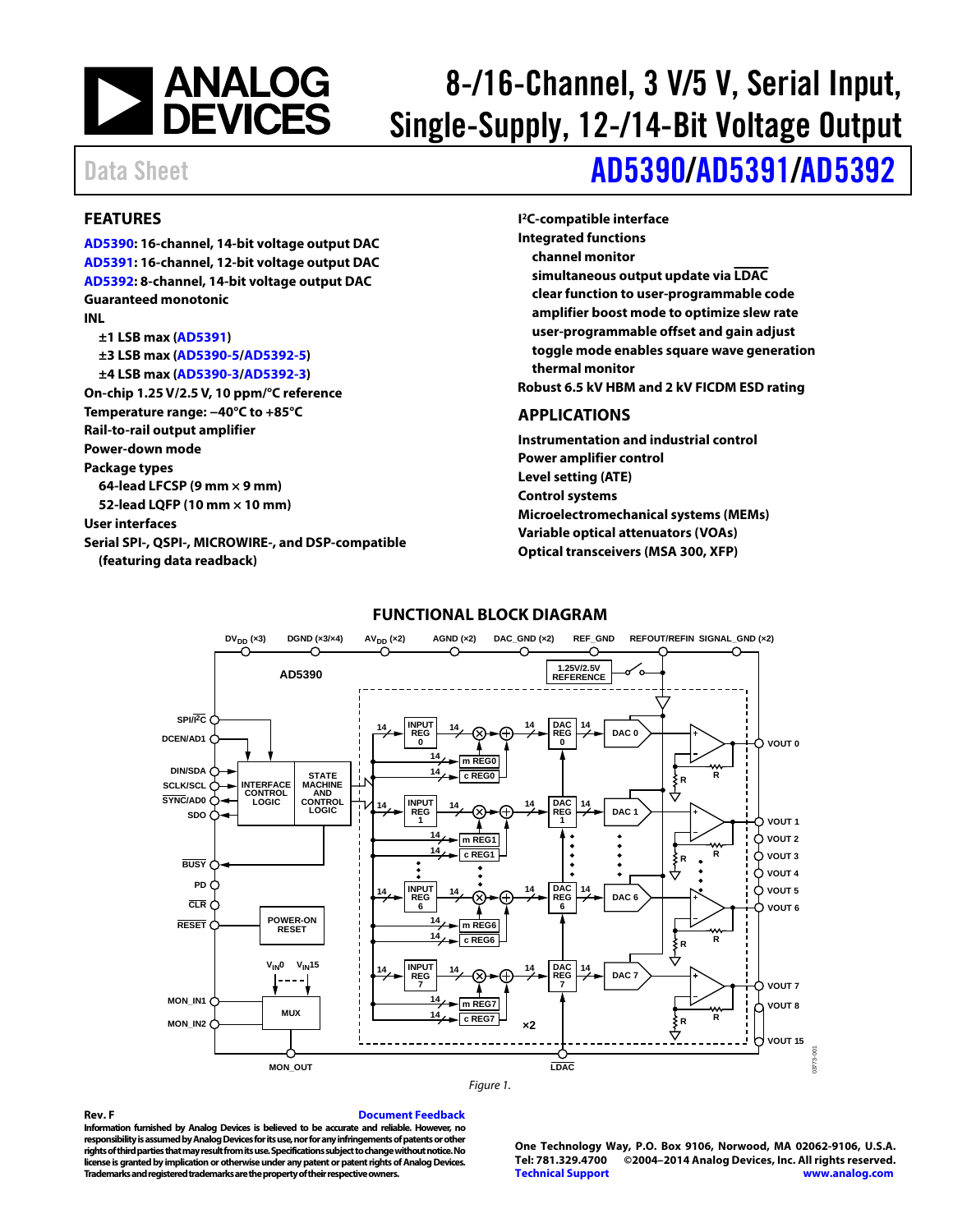

## 8-/16-Channel, 3 V/5 V, Serial Input, Single-Supply, 12-/14-Bit Voltage Output

## Data Sheet **[AD5390](http://www.analog.com/AD5390?doc=AD5390_5391_5392.pdf)[/AD5391](http://www.analog.com/AD5391?doc=AD5390_5391_5392.pdf)[/AD5392](http://www.analog.com/AD5392?doc=AD5390_5391_5392.pdf)**

#### <span id="page-0-0"></span>**FEATURES**

**[AD5390:](http://www.analog.com/AD5390?doc=AD5390_5391_5392.pdf) 16-channel, 14-bit voltage output DAC [AD5391:](http://www.analog.com/AD5391?doc=AD5390_5391_5392.pdf) 16-channel, 12-bit voltage output DAC [AD5392:](http://www.analog.com/AD5392?doc=AD5390_5391_5392.pdf) 8-channel, 14-bit voltage output DAC Guaranteed monotonic INL ±1 LSB max [\(AD5391\)](http://www.analog.com/AD5391?doc=AD5390_5391_5392.pdf) ±3 LSB max [\(AD5390-5/](http://www.analog.com/AD5390?doc=AD5390_5391_5392.pdf)[AD5392-5\)](http://www.analog.com/AD5392?doc=AD5390_5391_5392.pdf) ±4 LSB max [\(AD5390-3/](http://www.analog.com/AD5390?doc=AD5390_5391_5392.pdf)[AD5392-3\)](http://www.analog.com/AD5392?doc=AD5390_5391_5392.pdf) On-chip 1.25 V/2.5 V, 10 ppm/°C reference Temperature range: −40°C to +85°C Rail-to-rail output amplifier Power-down mode Package types 64-lead LFCSP (9 mm × 9 mm) 52-lead LQFP (10 mm × 10 mm) User interfaces Serial SPI-, QSPI-, MICROWIRE-, and DSP-compatible (featuring data readback)** 

**I 2C-compatible interface Integrated functions channel monitor simultaneous output update via LDAC clear function to user-programmable code amplifier boost mode to optimize slew rate user-programmable offset and gain adjust toggle mode enables square wave generation thermal monitor Robust 6.5 kV HBM and 2 kV FICDM ESD rating** 

#### <span id="page-0-1"></span>**APPLICATIONS**

**Instrumentation and industrial control Power amplifier control Level setting (ATE) Control systems Microelectromechanical systems (MEMs) Variable optical attenuators (VOAs) Optical transceivers (MSA 300, XFP)** 

<span id="page-0-2"></span>

#### **FUNCTIONAL BLOCK DIAGRAM**

**Rev. F [Document Feedback](https://form.analog.com/Form_Pages/feedback/documentfeedback.aspx?doc=AD5390_AD5391_AD5392.pdf&product=AD5390_5391_5392&rev=F)  Information furnished by Analog Devices is believed to be accurate and reliable. However, no responsibility is assumed by Analog Devices for its use, nor for any infringements of patents or other rights of third parties that may result from its use. Specifications subject to change without notice. No license is granted by implication or otherwise under any patent or patent rights of Analog Devices. Trademarks and registered trademarks are the property of their respective owners.** 

**One Technology Way, P.O. Box 9106, Norwood, MA 02062-9106, U.S.A. Tel: 781.329.4700 ©2004–2014 Analog Devices, Inc. All rights reserved. [Technical Support](http://www.analog.com/en/content/technical_support_page/fca.html) [www.analog.com](http://www.analog.com/)**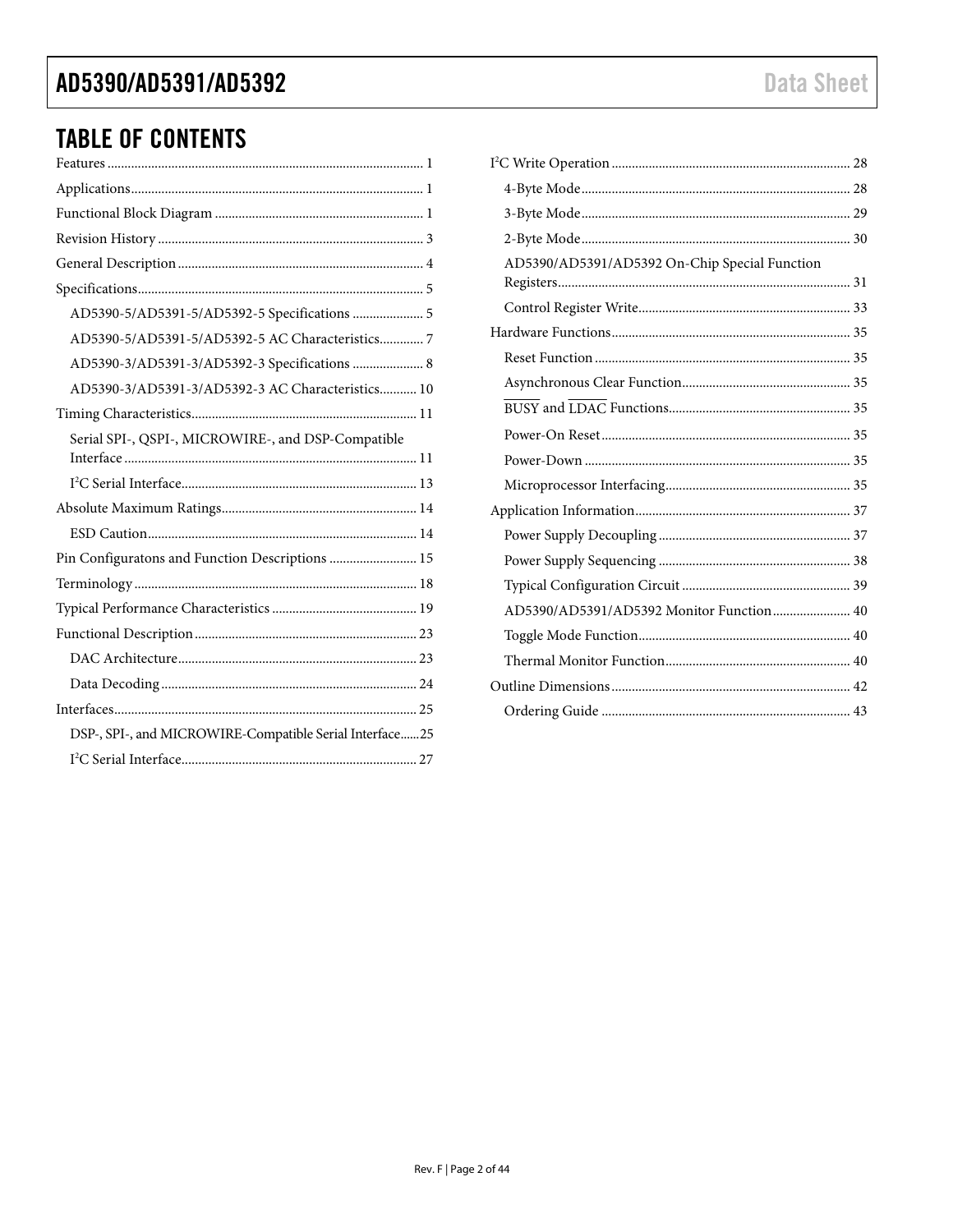### AD5390/AD5391/AD5392

### **TABLE OF CONTENTS**

| AD5390-5/AD5391-5/AD5392-5 Specifications  5            |
|---------------------------------------------------------|
| AD5390-5/AD5391-5/AD5392-5 AC Characteristics 7         |
| AD5390-3/AD5391-3/AD5392-3 Specifications  8            |
| AD5390-3/AD5391-3/AD5392-3 AC Characteristics 10        |
|                                                         |
| Serial SPI-, QSPI-, MICROWIRE-, and DSP-Compatible      |
|                                                         |
|                                                         |
|                                                         |
| Pin Configuratons and Function Descriptions  15         |
|                                                         |
|                                                         |
|                                                         |
|                                                         |
|                                                         |
|                                                         |
| DSP-, SPI-, and MICROWIRE-Compatible Serial Interface25 |
|                                                         |

| AD5390/AD5391/AD5392 On-Chip Special Function |  |
|-----------------------------------------------|--|
|                                               |  |
|                                               |  |
|                                               |  |
|                                               |  |
|                                               |  |
|                                               |  |
|                                               |  |
|                                               |  |
|                                               |  |
|                                               |  |
|                                               |  |
|                                               |  |
| AD5390/AD5391/AD5392 Monitor Function 40      |  |
|                                               |  |
|                                               |  |
|                                               |  |
|                                               |  |
|                                               |  |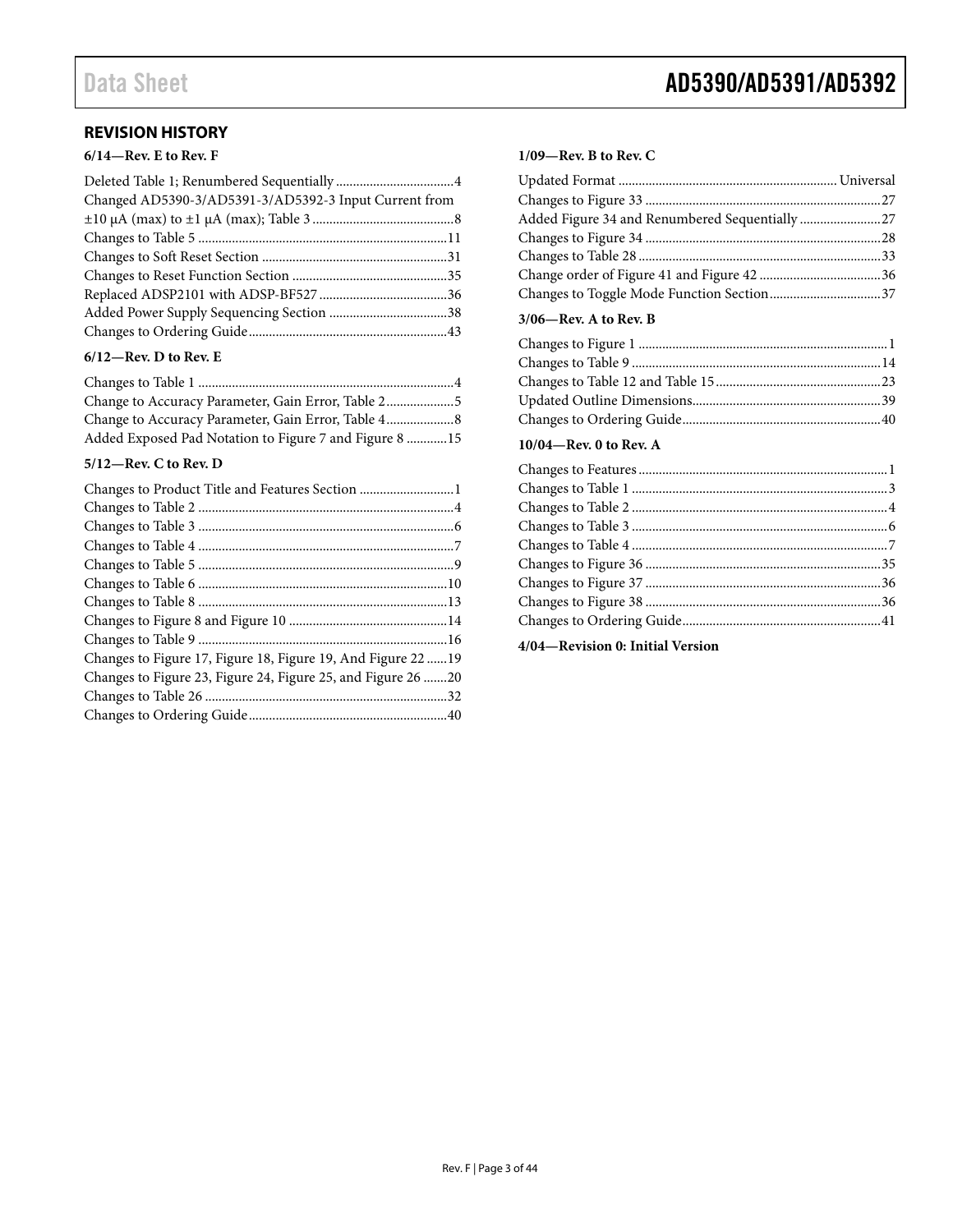### <span id="page-2-0"></span>**REVISION HISTORY**

#### **6/14—Rev. E to Rev. F**

| Changed AD5390-3/AD5391-3/AD5392-3 Input Current from |  |
|-------------------------------------------------------|--|
|                                                       |  |
|                                                       |  |
|                                                       |  |
|                                                       |  |
|                                                       |  |
|                                                       |  |
|                                                       |  |
|                                                       |  |

#### **6/12—Rev. D to Rev. E**

| Change to Accuracy Parameter, Gain Error, Table 4 8    |  |
|--------------------------------------------------------|--|
| Added Exposed Pad Notation to Figure 7 and Figure 8 15 |  |

#### **5/12—Rev. C to Rev. D**

| Changes to Product Title and Features Section 1               |  |
|---------------------------------------------------------------|--|
|                                                               |  |
|                                                               |  |
|                                                               |  |
|                                                               |  |
|                                                               |  |
|                                                               |  |
|                                                               |  |
|                                                               |  |
| Changes to Figure 17, Figure 18, Figure 19, And Figure 22  19 |  |
| Changes to Figure 23, Figure 24, Figure 25, and Figure 26 20  |  |
|                                                               |  |
|                                                               |  |

## Data Sheet **AD5390/AD5391/AD5392**

#### **1/09—Rev. B to Rev. C**

| Added Figure 34 and Renumbered Sequentially 27 |  |
|------------------------------------------------|--|
|                                                |  |
|                                                |  |
|                                                |  |
| Changes to Toggle Mode Function Section37      |  |
|                                                |  |

#### **3/06—Rev. A to Rev. B**

#### **10/04—Rev. 0 to Rev. A**

**4/04—Revision 0: Initial Version**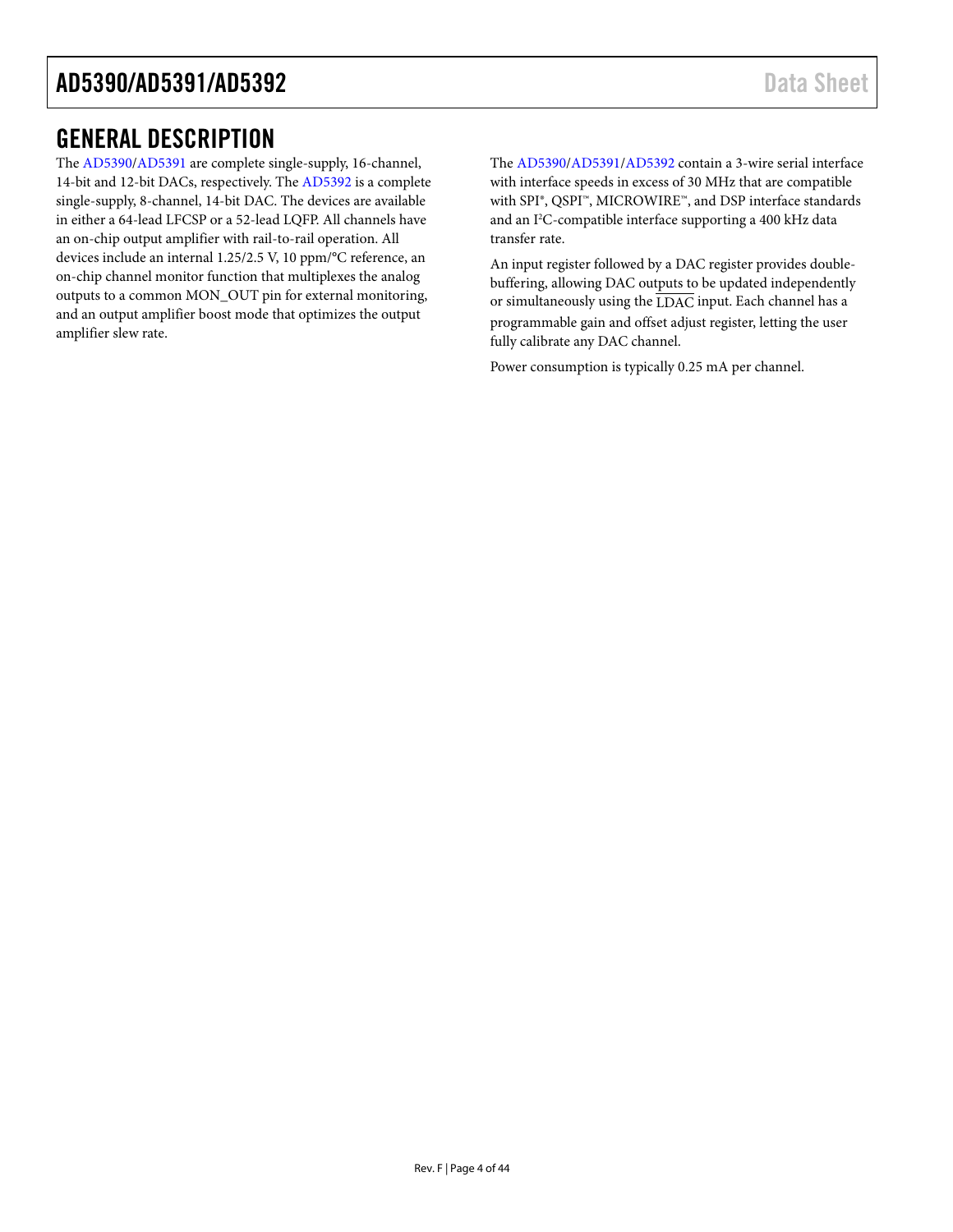### <span id="page-3-0"></span>GENERAL DESCRIPTION

The [AD5390](http://www.analog.com/AD5390?doc=AD5390_5391_5392.pdf)[/AD5391](http://www.analog.com/AD5391?doc=AD5390_5391_5392.pdf) are complete single-supply, 16-channel, 14-bit and 12-bit DACs, respectively. The [AD5392](http://www.analog.com/AD5392?doc=AD5390_5391_5392.pdf) is a complete single-supply, 8-channel, 14-bit DAC. The devices are available in either a 64-lead LFCSP or a 52-lead LQFP. All channels have an on-chip output amplifier with rail-to-rail operation. All devices include an internal 1.25/2.5 V, 10 ppm/°C reference, an on-chip channel monitor function that multiplexes the analog outputs to a common MON\_OUT pin for external monitoring, and an output amplifier boost mode that optimizes the output amplifier slew rate.

The [AD5390/](http://www.analog.com/AD5390?doc=AD5390_5391_5392.pdf)[AD5391/](http://www.analog.com/AD5391?doc=AD5390_5391_5392.pdf)[AD5392](http://www.analog.com/AD5392?doc=AD5390_5391_5392.pdf) contain a 3-wire serial interface with interface speeds in excess of 30 MHz that are compatible with SPI®, QSPI™, MICROWIRE™, and DSP interface standards and an I2 C-compatible interface supporting a 400 kHz data transfer rate.

An input register followed by a DAC register provides doublebuffering, allowing DAC outputs to be updated independently or simultaneously using the LDAC input. Each channel has a programmable gain and offset adjust register, letting the user fully calibrate any DAC channel.

Power consumption is typically 0.25 mA per channel.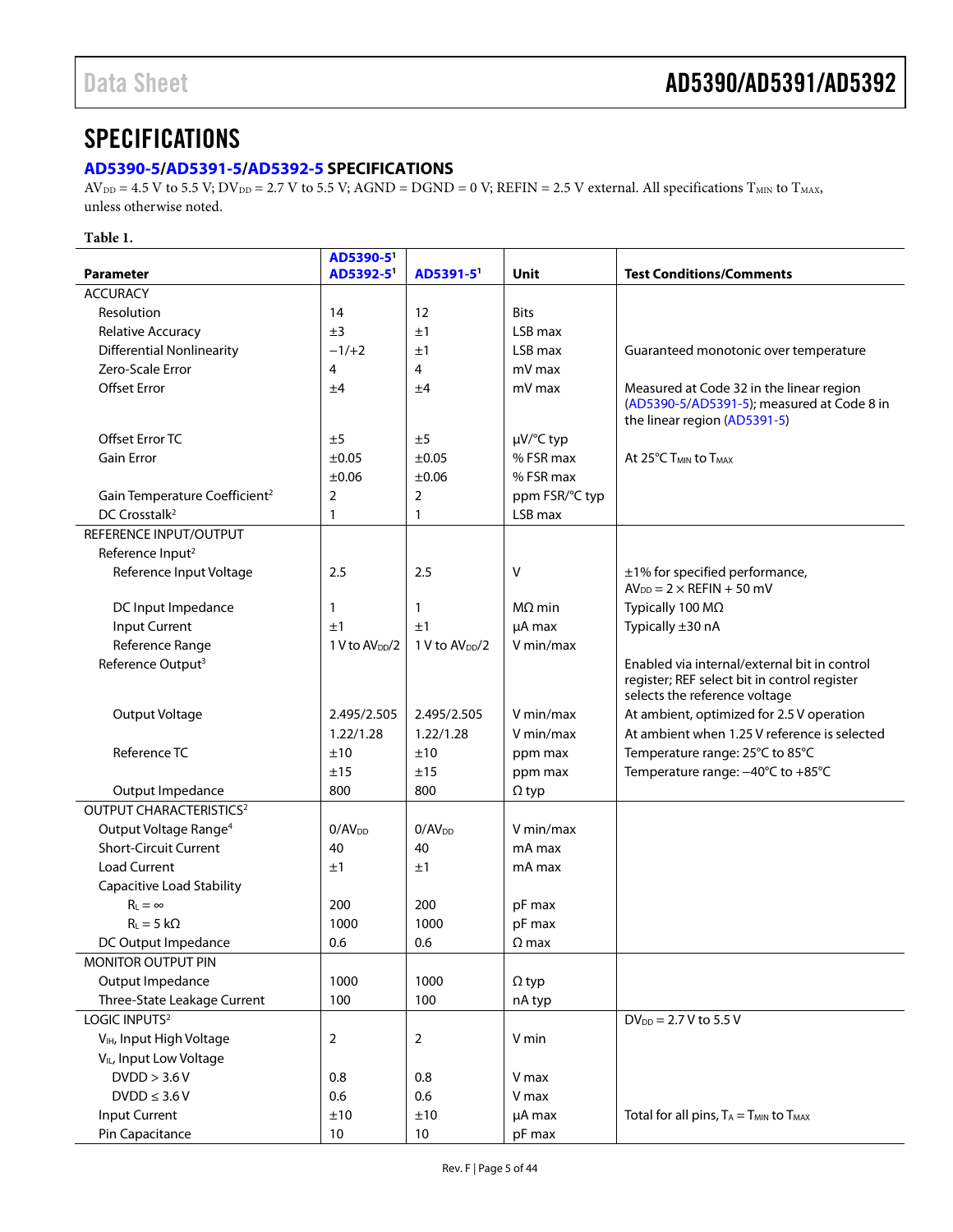### <span id="page-4-0"></span>**SPECIFICATIONS**

#### <span id="page-4-1"></span>**[AD5390-5](http://www.analog.com/AD5390?doc=AD5390_5391_5392.pdf)[/AD5391-5/](http://www.analog.com/AD5391?doc=AD5390_5391_5392.pdf)[AD5392-5](http://www.analog.com/AD5392?doc=AD5390_5391_5392.pdf) SPECIFICATIONS**

 $AV_{DD} = 4.5 V$  to 5.5 V;  $DV_{DD} = 2.7 V$  to 5.5 V;  $AGND = DGND = 0 V$ ;  $REFIN = 2.5 V$  external. All specifications  $T_{MIN}$  to  $T_{MAX}$ , unless otherwise noted.

#### **Table 1.**

|                                           | AD5390-5                   |                            |                |                                                                                                                               |
|-------------------------------------------|----------------------------|----------------------------|----------------|-------------------------------------------------------------------------------------------------------------------------------|
| <b>Parameter</b>                          | AD5392-5'                  | AD5391-5                   | Unit           | <b>Test Conditions/Comments</b>                                                                                               |
| <b>ACCURACY</b>                           |                            |                            |                |                                                                                                                               |
| Resolution                                | 14                         | 12                         | <b>Bits</b>    |                                                                                                                               |
| Relative Accuracy                         | ±3                         | ±1                         | LSB max        |                                                                                                                               |
| <b>Differential Nonlinearity</b>          | $-1/+2$                    | ±1                         | LSB max        | Guaranteed monotonic over temperature                                                                                         |
| Zero-Scale Error                          | 4                          | 4                          | mV max         |                                                                                                                               |
| <b>Offset Error</b>                       | ±4                         | ±4                         | mV max         | Measured at Code 32 in the linear region<br>(AD5390-5/AD5391-5); measured at Code 8 in<br>the linear region (AD5391-5)        |
| Offset Error TC                           | ±5                         | ±5                         | µV/°C typ      |                                                                                                                               |
| <b>Gain Error</b>                         | $\pm 0.05$                 | ±0.05                      | % FSR max      | At 25°C T <sub>MIN</sub> to T <sub>MAX</sub>                                                                                  |
|                                           | $\pm 0.06$                 | ±0.06                      | % FSR max      |                                                                                                                               |
| Gain Temperature Coefficient <sup>2</sup> | $\overline{2}$             | 2                          | ppm FSR/°C typ |                                                                                                                               |
| DC Crosstalk <sup>2</sup>                 | 1                          | $\mathbf{1}$               | LSB max        |                                                                                                                               |
| REFERENCE INPUT/OUTPUT                    |                            |                            |                |                                                                                                                               |
| Reference Input <sup>2</sup>              |                            |                            |                |                                                                                                                               |
| Reference Input Voltage                   | 2.5                        | 2.5                        | V              | ±1% for specified performance,<br>$AV_{DD} = 2 \times REFIN + 50$ mV                                                          |
| DC Input Impedance                        | 1                          | $\mathbf{1}$               | $M\Omega$ min  | Typically 100 MΩ                                                                                                              |
| Input Current                             | ±1                         | ±1                         | µA max         | Typically ±30 nA                                                                                                              |
| Reference Range                           | 1 V to AV <sub>DD</sub> /2 | 1 V to AV <sub>DD</sub> /2 | V min/max      |                                                                                                                               |
| Reference Output <sup>3</sup>             |                            |                            |                | Enabled via internal/external bit in control<br>register; REF select bit in control register<br>selects the reference voltage |
| Output Voltage                            | 2.495/2.505                | 2.495/2.505                | V min/max      | At ambient, optimized for 2.5 V operation                                                                                     |
|                                           | 1.22/1.28                  | 1.22/1.28                  | V min/max      | At ambient when 1.25 V reference is selected                                                                                  |
| Reference TC                              | ±10                        | ±10                        | ppm max        | Temperature range: 25°C to 85°C                                                                                               |
|                                           | ±15                        | ±15                        | ppm max        | Temperature range: -40°C to +85°C                                                                                             |
| Output Impedance                          | 800                        | 800                        | $\Omega$ typ   |                                                                                                                               |
| <b>OUTPUT CHARACTERISTICS<sup>2</sup></b> |                            |                            |                |                                                                                                                               |
| Output Voltage Range <sup>4</sup>         | 0/AV <sub>DD</sub>         | 0/AV <sub>DD</sub>         | V min/max      |                                                                                                                               |
| <b>Short-Circuit Current</b>              | 40                         | 40                         | mA max         |                                                                                                                               |
| <b>Load Current</b>                       | ±1                         | ±1                         | mA max         |                                                                                                                               |
| Capacitive Load Stability                 |                            |                            |                |                                                                                                                               |
| $R_L = \infty$                            | 200                        | 200                        | pF max         |                                                                                                                               |
| $R_{L} = 5 k\Omega$                       | 1000                       | 1000                       | pF max         |                                                                                                                               |
| DC Output Impedance                       | 0.6                        | 0.6                        | $\Omega$ max   |                                                                                                                               |
| MONITOR OUTPUT PIN                        |                            |                            |                |                                                                                                                               |
| Output Impedance                          | 1000                       | 1000                       | $\Omega$ typ   |                                                                                                                               |
| Three-State Leakage Current               | 100                        | 100                        | nA typ         |                                                                                                                               |
| LOGIC INPUTS <sup>2</sup>                 |                            |                            |                | $DV_{DD} = 2.7 V$ to 5.5 V                                                                                                    |
| V <sub>IH</sub> , Input High Voltage      | 2                          | $\overline{2}$             | V min          |                                                                                                                               |
| V <sub>IL</sub> , Input Low Voltage       |                            |                            |                |                                                                                                                               |
| DVDD > 3.6 V                              | 0.8                        | 0.8                        | V max          |                                                                                                                               |
| $DVDD \leq 3.6 V$                         | 0.6                        | 0.6                        | V max          |                                                                                                                               |
| <b>Input Current</b>                      | ±10                        | ±10                        | µA max         | Total for all pins, $T_A = T_{MIN}$ to $T_{MAX}$                                                                              |
| Pin Capacitance                           | $10\,$                     | $10$                       | pF max         |                                                                                                                               |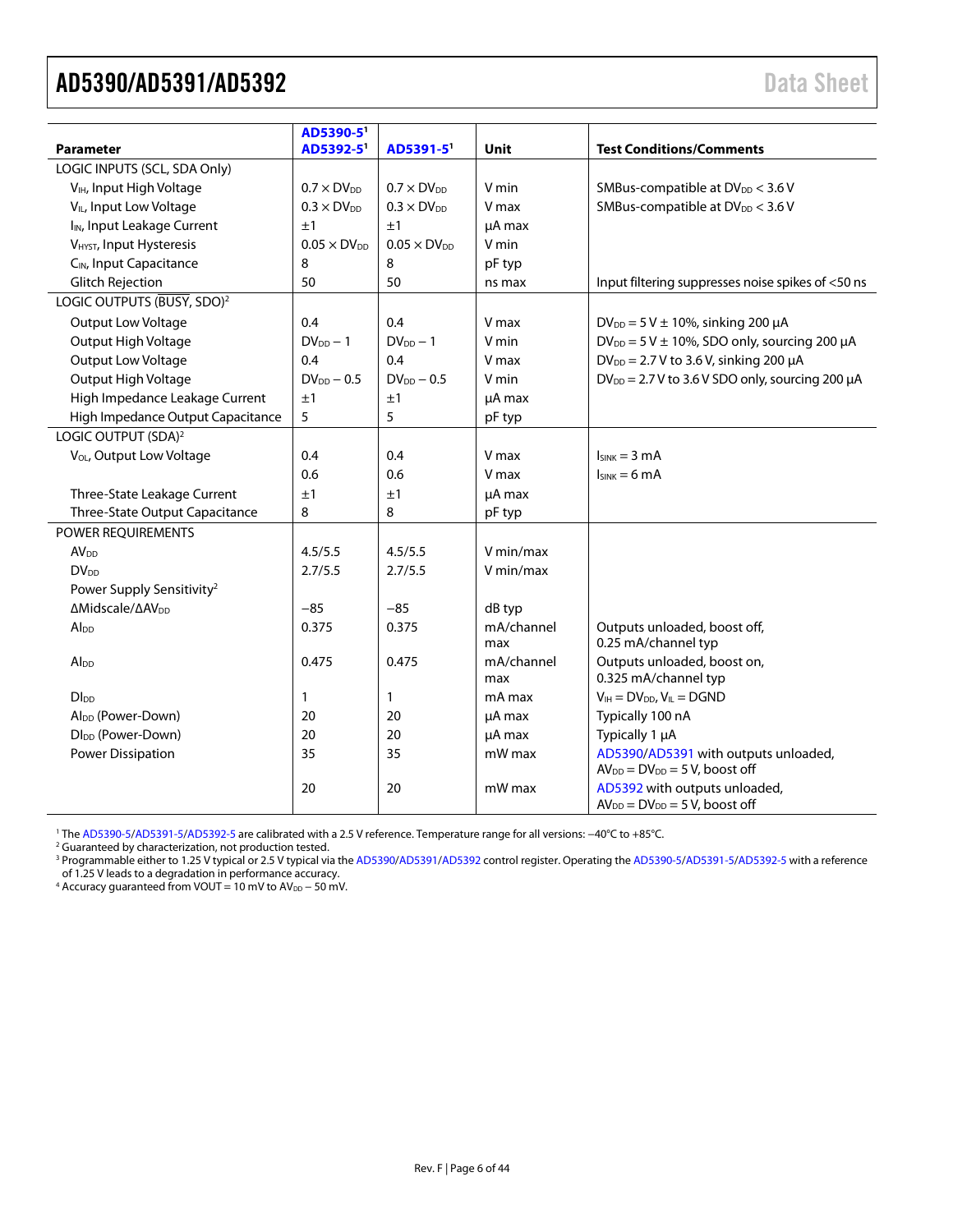<span id="page-5-0"></span>

| <b>Parameter</b>                        | AD5390-5<br>AD5392-5' | AD5391-5'             | Unit              | <b>Test Conditions/Comments</b>                                               |
|-----------------------------------------|-----------------------|-----------------------|-------------------|-------------------------------------------------------------------------------|
| LOGIC INPUTS (SCL, SDA Only)            |                       |                       |                   |                                                                               |
| V <sub>IH</sub> , Input High Voltage    | $0.7 \times DV_{DD}$  | $0.7 \times DV_{DD}$  | V min             | SMBus-compatible at DV <sub>DD</sub> < 3.6 V                                  |
| V <sub>IL</sub> , Input Low Voltage     | $0.3 \times DV_{DD}$  | $0.3 \times DV_{DD}$  | V max             | SMBus-compatible at DV <sub>DD</sub> < 3.6 V                                  |
| I <sub>IN</sub> , Input Leakage Current | ±1                    | ±1                    | µA max            |                                                                               |
| V <sub>HYST</sub> , Input Hysteresis    | $0.05 \times DV_{DD}$ | $0.05 \times DV_{DD}$ | V min             |                                                                               |
| C <sub>IN</sub> , Input Capacitance     | 8                     | 8                     | pF typ            |                                                                               |
| <b>Glitch Rejection</b>                 | 50                    | 50                    | ns max            | Input filtering suppresses noise spikes of <50 ns                             |
| LOGIC OUTPUTS (BUSY, SDO) <sup>2</sup>  |                       |                       |                   |                                                                               |
| Output Low Voltage                      | 0.4                   | 0.4                   | V max             | $DV_{DD} = 5 V \pm 10\%$ , sinking 200 µA                                     |
| Output High Voltage                     | $DV_{DD} - 1$         | $DV_{DD} - 1$         | V min             | $DV_{DD} = 5 V \pm 10\%$ , SDO only, sourcing 200 µA                          |
| Output Low Voltage                      | 0.4                   | 0.4                   | V max             | $DV_{DD} = 2.7 V$ to 3.6 V, sinking 200 µA                                    |
| Output High Voltage                     | $DV_{DD} - 0.5$       | $DV_{DD} - 0.5$       | V min             | $DV_{DD} = 2.7 V$ to 3.6 V SDO only, sourcing 200 µA                          |
| High Impedance Leakage Current          | ±1                    | ±1                    |                   |                                                                               |
|                                         | 5                     | 5                     | µA max            |                                                                               |
| High Impedance Output Capacitance       |                       |                       | pF typ            |                                                                               |
| LOGIC OUTPUT (SDA) <sup>2</sup>         |                       |                       |                   |                                                                               |
| V <sub>OL</sub> , Output Low Voltage    | 0.4                   | 0.4                   | V max             | $Isink = 3 mA$                                                                |
|                                         | 0.6                   | 0.6                   | V max             | $I_{SINK} = 6 mA$                                                             |
| Three-State Leakage Current             | ±1                    | ±1                    | µA max            |                                                                               |
| Three-State Output Capacitance          | 8                     | 8                     | pF typ            |                                                                               |
| POWER REQUIREMENTS                      |                       |                       |                   |                                                                               |
| <b>AV</b> <sub>DD</sub>                 | 4.5/5.5               | 4.5/5.5               | V min/max         |                                                                               |
| <b>DV<sub>DD</sub></b>                  | 2.7/5.5               | 2.7/5.5               | V min/max         |                                                                               |
| Power Supply Sensitivity <sup>2</sup>   |                       |                       |                   |                                                                               |
| ΔMidscale/ΔAV <sub>DD</sub>             | $-85$                 | $-85$                 | dB typ            |                                                                               |
| Alpp                                    | 0.375                 | 0.375                 | mA/channel<br>max | Outputs unloaded, boost off,<br>0.25 mA/channel typ                           |
| Alpp                                    | 0.475                 | 0.475                 | mA/channel<br>max | Outputs unloaded, boost on,<br>0.325 mA/channel typ                           |
| <b>Dlpp</b>                             | 1                     | $\mathbf{1}$          | mA max            | $V_{IH} = DV_{DD}$ , $V_{IL} = DGND$                                          |
| Al <sub>DD</sub> (Power-Down)           | 20                    | 20                    | µA max            | Typically 100 nA                                                              |
| Dl <sub>DD</sub> (Power-Down)           | 20                    | 20                    | µA max            | Typically 1 µA                                                                |
| <b>Power Dissipation</b>                | 35                    | 35                    | mW max            | AD5390/AD5391 with outputs unloaded,<br>$AV_{DD} = DV_{DD} = 5 V$ , boost off |
|                                         | 20                    | 20                    | mW max            | AD5392 with outputs unloaded,<br>$AV_{DD} = DV_{DD} = 5 V$ , boost off        |

<sup>1</sup> The [AD5390-5/](http://www.analog.com/AD5390?doc=AD5390_5391_5392.pdf)[AD5391-5](http://www.analog.com/AD5391?doc=AD5390_5391_5392.pdf)[/AD5392-5](http://www.analog.com/AD5392?doc=AD5390_5391_5392.pdf) are calibrated with a 2.5 V reference. Temperature range for all versions: −40°C to +85°C.

<sup>2</sup> Guaranteed by characterization, not production tested.

<sup>3</sup> Programmable either to 1.25 V typical or 2.5 V typical via th[e AD5390](http://www.analog.com/AD5390?doc=AD5390_5391_5392.pdf)[/AD5391/](http://www.analog.com/AD5391?doc=AD5390_5391_5392.pdf)[AD5392](http://www.analog.com/AD5392?doc=AD5390_5391_5392.pdf) control register. Operating th[e AD5390-5](http://www.analog.com/AD5390?doc=AD5390_5391_5392.pdf)[/AD5391-5](http://www.analog.com/AD5391?doc=AD5390_5391_5392.pdf)[/AD5392-5](http://www.analog.com/AD5392?doc=AD5390_5391_5392.pdf) with a reference of 1.25 V leads to a degradation in performance accuracy.

4 Accuracy guaranteed from VOUT = 10 mV to  $AV_{DD}$  – 50 mV.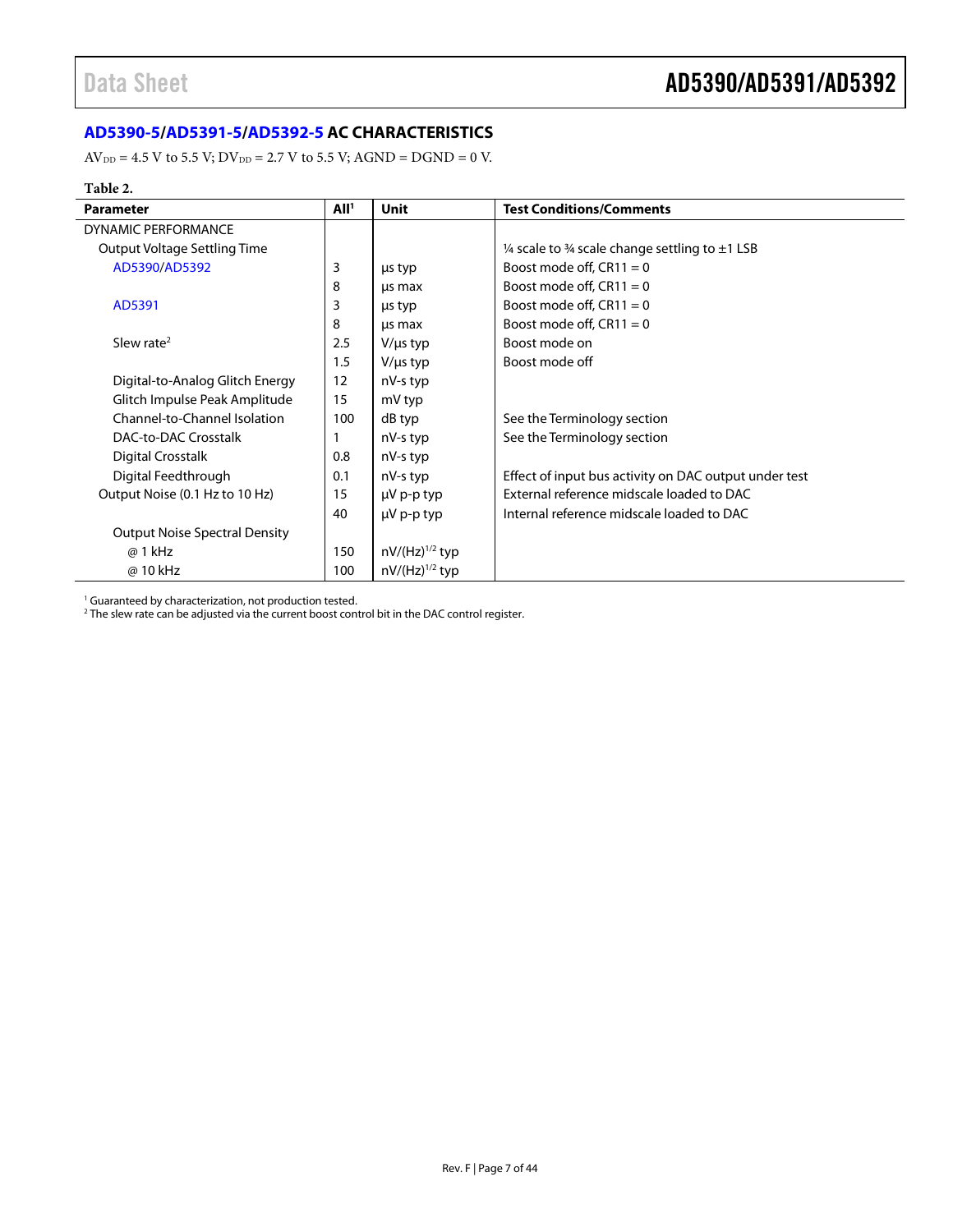### <span id="page-6-0"></span>**[AD5390-5](http://www.analog.com/AD5390?doc=AD5390_5391_5392.pdf)[/AD5391-5/](http://www.analog.com/AD5391?doc=AD5390_5391_5392.pdf)[AD5392-5](http://www.analog.com/AD5392?doc=AD5390_5391_5392.pdf) AC CHARACTERISTICS**

 $AV_{DD} = 4.5 V$  to 5.5 V;  $DV_{DD} = 2.7 V$  to 5.5 V;  $AGND = DGND = 0 V$ .

#### **Table 2.**

| <b>Parameter</b>                     | All <sup>1</sup> | Unit                | <b>Test Conditions/Comments</b>                       |
|--------------------------------------|------------------|---------------------|-------------------------------------------------------|
| <b>DYNAMIC PERFORMANCE</b>           |                  |                     |                                                       |
| Output Voltage Settling Time         |                  |                     | 1/4 scale to 3/4 scale change settling to $\pm$ 1 LSB |
| AD5390/AD5392                        | 3                | us typ              | Boost mode off, $CR11 = 0$                            |
|                                      | 8                | us max              | Boost mode off, $CR11 = 0$                            |
| AD5391                               | 3                | us typ              | Boost mode off, $CR11 = 0$                            |
|                                      | 8                | us max              | Boost mode off, $CR11 = 0$                            |
| Slew rate <sup>2</sup>               | 2.5              | $V/\mu s$ typ       | Boost mode on                                         |
|                                      | 1.5              | $V/\mu s$ typ       | Boost mode off                                        |
| Digital-to-Analog Glitch Energy      | 12               | nV-s typ            |                                                       |
| Glitch Impulse Peak Amplitude        | 15               | mV typ              |                                                       |
| Channel-to-Channel Isolation         | 100              | dB typ              | See the Terminology section                           |
| DAC-to-DAC Crosstalk                 |                  | nV-s typ            | See the Terminology section                           |
| <b>Digital Crosstalk</b>             | 0.8              | nV-s typ            |                                                       |
| Digital Feedthrough                  | 0.1              | nV-s typ            | Effect of input bus activity on DAC output under test |
| Output Noise (0.1 Hz to 10 Hz)       | 15               | $\mu$ V p-p typ     | External reference midscale loaded to DAC             |
|                                      | 40               | $\mu$ V p-p typ     | Internal reference midscale loaded to DAC             |
| <b>Output Noise Spectral Density</b> |                  |                     |                                                       |
| @ 1 kHz                              | 150              | $nV/(Hz)^{1/2}$ typ |                                                       |
| @ 10 kHz                             | 100              | $nV/(Hz)^{1/2}$ typ |                                                       |

<sup>1</sup> Guaranteed by characterization, not production tested.

 $^2$  The slew rate can be adjusted via the current boost control bit in the DAC control register.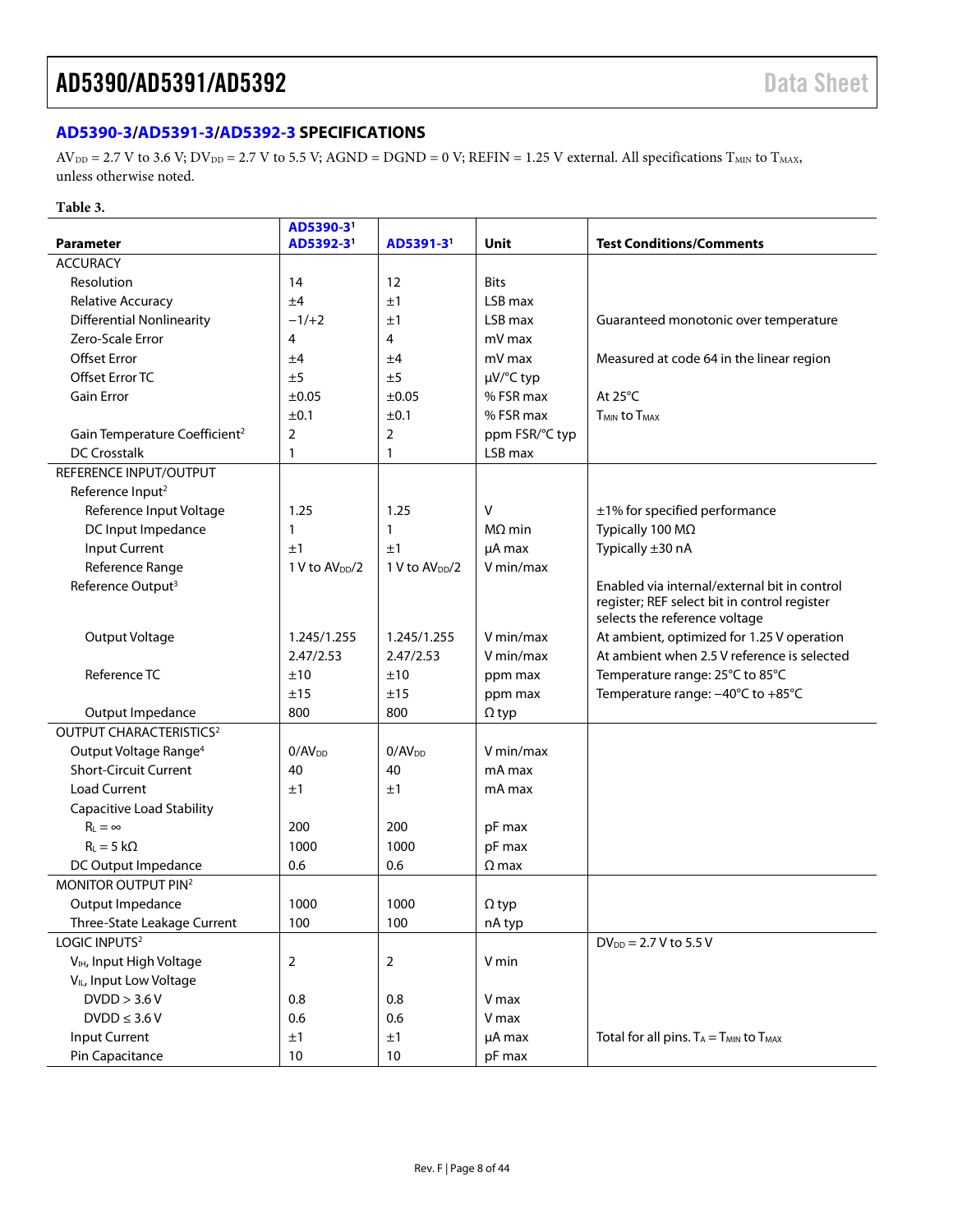#### <span id="page-7-0"></span>**[AD5390-3](http://www.analog.com/AD5390?doc=AD5390_5391_5392.pdf)[/AD5391-3/](http://www.analog.com/AD5391?doc=AD5390_5391_5392.pdf)[AD5392-3](http://www.analog.com/AD5392?doc=AD5390_5391_5392.pdf) SPECIFICATIONS**

 $AV_{DD} = 2.7 V$  to 3.6 V;  $DV_{DD} = 2.7 V$  to 5.5 V;  $AGND = DGND = 0 V$ ;  $REFIN = 1.25 V$  external. All specifications  $T_{MIN}$  to  $T_{MAX}$ , unless otherwise noted.

#### **Table 3.**

| <b>Parameter</b>                          | AD5390-3 <sup>1</sup><br>AD5392-3 <sup>1</sup> | AD5391-3 <sup>1</sup>      | Unit           | <b>Test Conditions/Comments</b>                                                              |
|-------------------------------------------|------------------------------------------------|----------------------------|----------------|----------------------------------------------------------------------------------------------|
| <b>ACCURACY</b>                           |                                                |                            |                |                                                                                              |
| Resolution                                | 14                                             | 12                         | <b>Bits</b>    |                                                                                              |
| <b>Relative Accuracy</b>                  | ±4                                             | ±1                         | LSB max        |                                                                                              |
| <b>Differential Nonlinearity</b>          | $-1/+2$                                        | ±1                         | LSB max        | Guaranteed monotonic over temperature                                                        |
| Zero-Scale Error                          | 4                                              | 4                          | mV max         |                                                                                              |
| <b>Offset Error</b>                       | ±4                                             | ±4                         | mV max         | Measured at code 64 in the linear region                                                     |
| Offset Error TC                           | ±5                                             | ±5                         | µV/°C typ      |                                                                                              |
| <b>Gain Error</b>                         | $\pm 0.05$                                     | $\pm 0.05$                 | % FSR max      | At $25^{\circ}$ C                                                                            |
|                                           | ±0.1                                           | ±0.1                       | % FSR max      | <b>TMIN to TMAX</b>                                                                          |
| Gain Temperature Coefficient <sup>2</sup> | 2                                              | $\overline{2}$             | ppm FSR/°C typ |                                                                                              |
| <b>DC Crosstalk</b>                       | $\mathbf{1}$                                   | 1                          | LSB max        |                                                                                              |
| REFERENCE INPUT/OUTPUT                    |                                                |                            |                |                                                                                              |
|                                           |                                                |                            |                |                                                                                              |
| Reference Input <sup>2</sup>              |                                                |                            |                |                                                                                              |
| Reference Input Voltage                   | 1.25                                           | 1.25                       | v              | ±1% for specified performance                                                                |
| DC Input Impedance                        | $\mathbf{1}$                                   | 1                          | $M\Omega$ min  | Typically 100 MΩ                                                                             |
| <b>Input Current</b>                      | ±1                                             | ±1                         | µA max         | Typically ±30 nA                                                                             |
| Reference Range                           | 1 V to AV <sub>DD</sub> /2                     | 1 V to AV <sub>DD</sub> /2 | V min/max      |                                                                                              |
| Reference Output <sup>3</sup>             |                                                |                            |                | Enabled via internal/external bit in control<br>register; REF select bit in control register |
|                                           |                                                |                            |                | selects the reference voltage                                                                |
| Output Voltage                            | 1.245/1.255                                    | 1.245/1.255                | V min/max      | At ambient, optimized for 1.25 V operation                                                   |
|                                           | 2.47/2.53                                      | 2.47/2.53                  | V min/max      | At ambient when 2.5 V reference is selected                                                  |
| Reference TC                              | ±10                                            | ±10                        | ppm max        | Temperature range: 25°C to 85°C                                                              |
|                                           | ±15                                            | ±15                        | ppm max        | Temperature range: -40°C to +85°C                                                            |
| Output Impedance                          | 800                                            | 800                        | $\Omega$ typ   |                                                                                              |
| <b>OUTPUT CHARACTERISTICS<sup>2</sup></b> |                                                |                            |                |                                                                                              |
| Output Voltage Range <sup>4</sup>         | 0/AV <sub>DD</sub>                             | $0/AV_{DD}$                | V min/max      |                                                                                              |
| <b>Short-Circuit Current</b>              | 40                                             | 40                         | mA max         |                                                                                              |
| <b>Load Current</b>                       | ±1                                             | ±1                         | mA max         |                                                                                              |
| <b>Capacitive Load Stability</b>          |                                                |                            |                |                                                                                              |
| $R_L = \infty$                            | 200                                            | 200                        | pF max         |                                                                                              |
| $R_{L} = 5 k\Omega$                       | 1000                                           | 1000                       | pF max         |                                                                                              |
| DC Output Impedance                       | 0.6                                            | 0.6                        | $\Omega$ max   |                                                                                              |
| MONITOR OUTPUT PIN <sup>2</sup>           |                                                |                            |                |                                                                                              |
| Output Impedance                          | 1000                                           | 1000                       | $\Omega$ typ   |                                                                                              |
| Three-State Leakage Current               | 100                                            | 100                        | nA typ         |                                                                                              |
| LOGIC INPUTS <sup>2</sup>                 |                                                |                            |                | $DV_{DD} = 2.7 V$ to 5.5 V                                                                   |
| V <sub>IH</sub> , Input High Voltage      | $\overline{2}$                                 | 2                          | V min          |                                                                                              |
| V <sub>IL</sub> , Input Low Voltage       |                                                |                            |                |                                                                                              |
| DVDD > 3.6 V                              | 0.8                                            | 0.8                        | V max          |                                                                                              |
| $DVDD \leq 3.6 V$                         | 0.6                                            | 0.6                        | V max          |                                                                                              |
| <b>Input Current</b>                      | ±1                                             | ±1                         |                | Total for all pins. $T_A = T_{MIN}$ to $T_{MAX}$                                             |
|                                           | $10$                                           | $10\,$                     | µA max         |                                                                                              |
| Pin Capacitance                           |                                                |                            | pF max         |                                                                                              |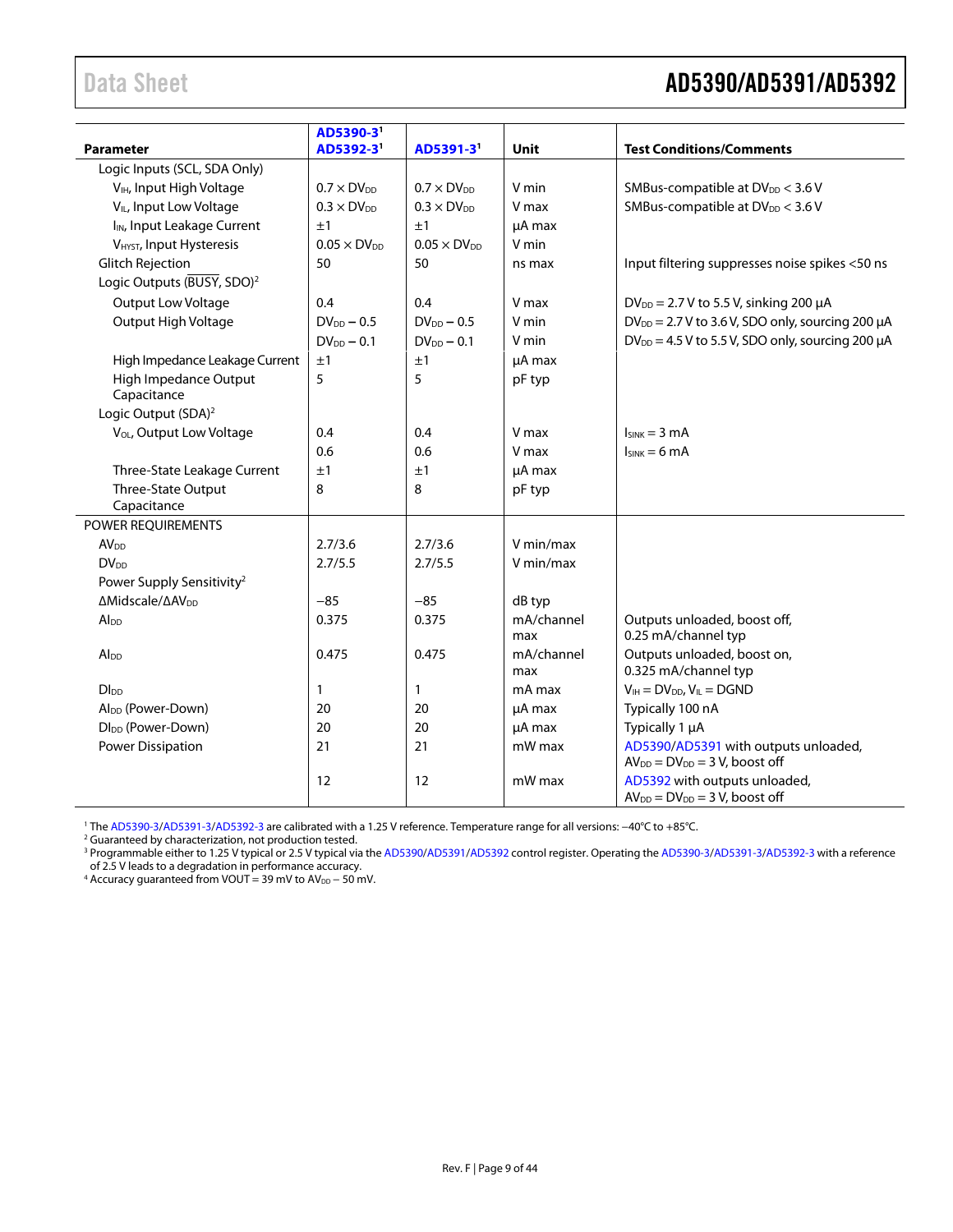### <span id="page-8-0"></span>Data Sheet **AD5390/AD5391/AD5392**

| <b>Parameter</b>                        | AD5390-3 <sup>1</sup><br>AD5392-3' | AD5391-3'             | <b>Unit</b>       | <b>Test Conditions/Comments</b>                                               |
|-----------------------------------------|------------------------------------|-----------------------|-------------------|-------------------------------------------------------------------------------|
| Logic Inputs (SCL, SDA Only)            |                                    |                       |                   |                                                                               |
| V <sub>IH</sub> , Input High Voltage    | $0.7 \times DV_{DD}$               | $0.7 \times DV_{DD}$  | V min             | SMBus-compatible at DV <sub>DD</sub> < 3.6 V                                  |
| V <sub>IL</sub> , Input Low Voltage     | $0.3 \times DV_{DD}$               | $0.3 \times DV_{DD}$  | V max             | SMBus-compatible at DV <sub>DD</sub> < 3.6 V                                  |
| I <sub>IN</sub> , Input Leakage Current | ±1                                 | ±1                    | uA max            |                                                                               |
| V <sub>HYST</sub> , Input Hysteresis    | $0.05 \times DV_{DD}$              | $0.05 \times DV_{DD}$ | V min             |                                                                               |
| <b>Glitch Rejection</b>                 | 50                                 | 50                    | ns max            | Input filtering suppresses noise spikes <50 ns                                |
| Logic Outputs (BUSY, SDO) <sup>2</sup>  |                                    |                       |                   |                                                                               |
| <b>Output Low Voltage</b>               | 0.4                                | 0.4                   | V max             | $DV_{DD} = 2.7 V$ to 5.5 V, sinking 200 µA                                    |
| Output High Voltage                     | $DV_{DD} - 0.5$                    | $DV_{DD} - 0.5$       | V min             | $DV_{DD} = 2.7 V$ to 3.6 V, SDO only, sourcing 200 µA                         |
|                                         | $DV_{DD} - 0.1$                    | $DV_{DD} - 0.1$       | V min             | $DV_{DD} = 4.5 V$ to 5.5 V, SDO only, sourcing 200 µA                         |
| High Impedance Leakage Current          | ±1                                 | ±1                    | µA max            |                                                                               |
| High Impedance Output<br>Capacitance    | 5                                  | 5                     | pF typ            |                                                                               |
| Logic Output (SDA) <sup>2</sup>         |                                    |                       |                   |                                                                               |
| V <sub>OL</sub> , Output Low Voltage    | 0.4                                | 0.4                   | V max             | $I_{SINK} = 3 mA$                                                             |
|                                         | 0.6                                | 0.6                   | V max             | $I_{SINK} = 6 mA$                                                             |
| Three-State Leakage Current             | ±1                                 | ±1                    | µA max            |                                                                               |
| Three-State Output                      | 8                                  | 8                     | pF typ            |                                                                               |
| Capacitance                             |                                    |                       |                   |                                                                               |
| POWER REQUIREMENTS                      |                                    |                       |                   |                                                                               |
| <b>AV</b> <sub>DD</sub>                 | 2.7/3.6                            | 2.7/3.6               | V min/max         |                                                                               |
| $DV_{DD}$                               | 2.7/5.5                            | 2.7/5.5               | V min/max         |                                                                               |
| Power Supply Sensitivity <sup>2</sup>   |                                    |                       |                   |                                                                               |
| ΔMidscale/ΔAV <sub>DD</sub>             | $-85$                              | $-85$                 | dB typ            |                                                                               |
| Alpp                                    | 0.375                              | 0.375                 | mA/channel<br>max | Outputs unloaded, boost off,<br>0.25 mA/channel typ                           |
| Al <sub>DD</sub>                        | 0.475                              | 0.475                 | mA/channel<br>max | Outputs unloaded, boost on,<br>0.325 mA/channel typ                           |
| D <sub>1</sub>                          | 1                                  | 1                     | mA max            | $V_{IH} = DV_{DD}$ , $V_{IL} = DGND$                                          |
| Al <sub>DD</sub> (Power-Down)           | 20                                 | 20                    | µA max            | Typically 100 nA                                                              |
| Dl <sub>DD</sub> (Power-Down)           | 20                                 | 20                    | µA max            | Typically 1 µA                                                                |
| Power Dissipation                       | 21                                 | 21                    | mW max            | AD5390/AD5391 with outputs unloaded,<br>$AV_{DD} = DV_{DD} = 3 V$ , boost off |
|                                         | 12                                 | 12                    | mW max            | AD5392 with outputs unloaded,<br>$AV_{DD} = DV_{DD} = 3 V$ , boost off        |

1 The AD5390-3/AD5391-3/AD5392-3 are calibrated with a 1.25 V reference. Temperature range for all versions: −40°C to +85°C. 2 Guaranteed by characterization, not production tested.

<sup>3</sup> Programmable either to 1.25 V typical or 2.5 V typical via th[e AD5390](http://www.analog.com/AD5390?doc=AD5390_5391_5392.pdf)[/AD5391/](http://www.analog.com/AD5391?doc=AD5390_5391_5392.pdf)[AD5392](http://www.analog.com/AD5392?doc=AD5390_5391_5392.pdf) control register. Operating th[e AD5390-3](http://www.analog.com/AD5390?doc=AD5390_5391_5392.pdf)[/AD5391-3](http://www.analog.com/AD5391?doc=AD5390_5391_5392.pdf)[/AD5392-3](http://www.analog.com/AD5392?doc=AD5390_5391_5392.pdf) with a reference of 2.5 V leads to a degradation in performance accuracy. 4 Accuracy guaranteed from VOUT = 39 mV to AV<sub>DD</sub> − 50 mV.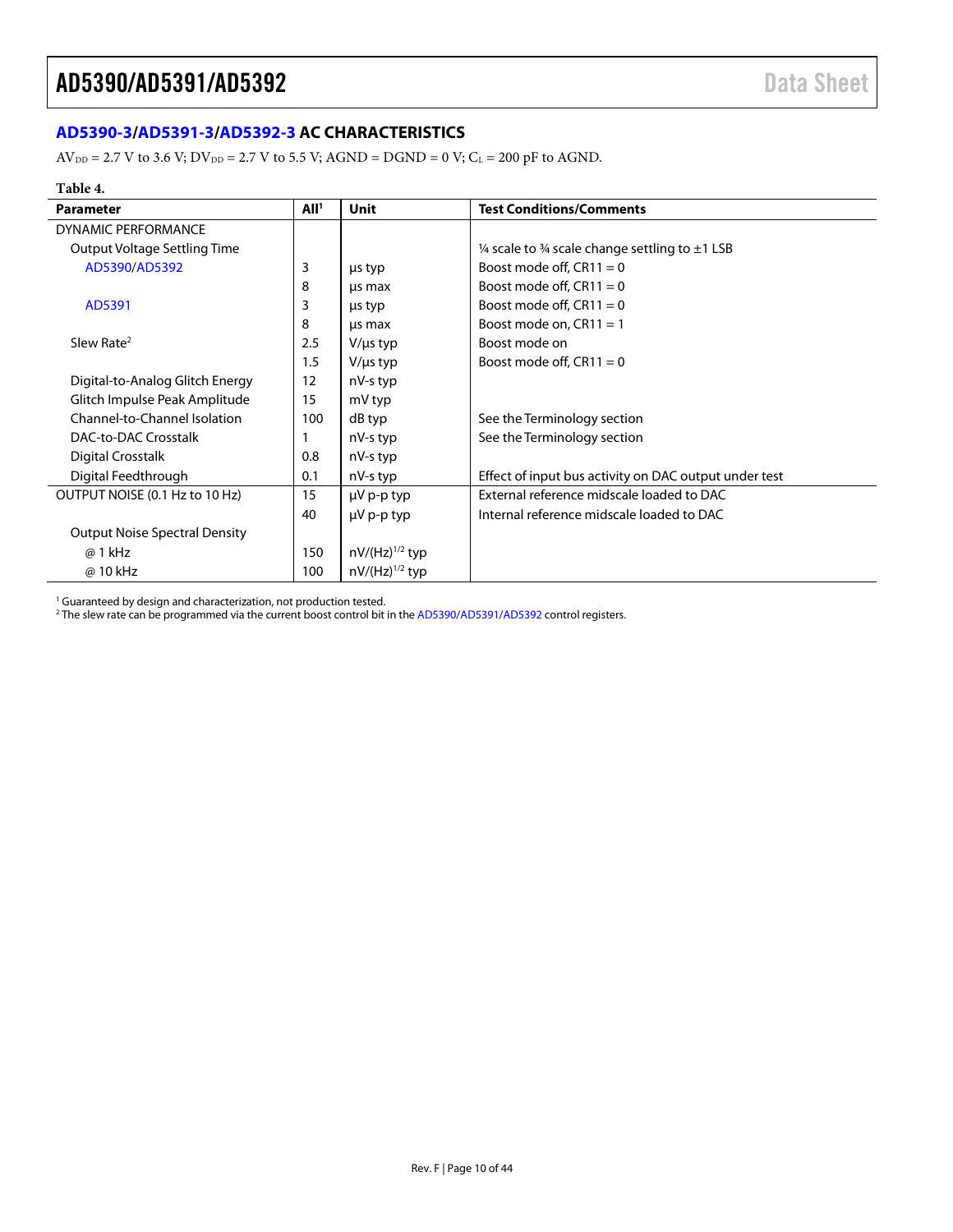### <span id="page-9-0"></span>**[AD5390-3](http://www.analog.com/AD5390?doc=AD5390_5391_5392.pdf)[/AD5391-3/](http://www.analog.com/AD5391?doc=AD5390_5391_5392.pdf)[AD5392-3](http://www.analog.com/AD5392?doc=AD5390_5391_5392.pdf) AC CHARACTERISTICS**

 $AV_{DD} = 2.7 V$  to 3.6 V;  $DV_{DD} = 2.7 V$  to 5.5 V;  $AGND = DGND = 0 V$ ;  $C_L = 200 pF$  to AGND.

#### **Table 4.**

| <b>Parameter</b>                     | All <sup>1</sup> | <b>Unit</b>         | <b>Test Conditions/Comments</b>                       |
|--------------------------------------|------------------|---------------------|-------------------------------------------------------|
| <b>DYNAMIC PERFORMANCE</b>           |                  |                     |                                                       |
| Output Voltage Settling Time         |                  |                     | 1/4 scale to 3/4 scale change settling to $\pm$ 1 LSB |
| AD5390/AD5392                        | 3                | us typ              | Boost mode off, $CR11 = 0$                            |
|                                      | 8                | us max              | Boost mode off, $CR11 = 0$                            |
| AD5391                               | 3                | us typ              | Boost mode off, $CR11 = 0$                            |
|                                      | 8                | us max              | Boost mode on, $CR11 = 1$                             |
| Slew Rate <sup>2</sup>               | 2.5              | $V/\mu s$ typ       | Boost mode on                                         |
|                                      | 1.5              | $V/\mu s$ typ       | Boost mode off, $CR11 = 0$                            |
| Digital-to-Analog Glitch Energy      | 12               | nV-s typ            |                                                       |
| Glitch Impulse Peak Amplitude        | 15               | mV typ              |                                                       |
| Channel-to-Channel Isolation         | 100              | dB typ              | See the Terminology section                           |
| DAC-to-DAC Crosstalk                 |                  | nV-s typ            | See the Terminology section                           |
| Digital Crosstalk                    | 0.8              | nV-s typ            |                                                       |
| Digital Feedthrough                  | 0.1              | nV-s typ            | Effect of input bus activity on DAC output under test |
| OUTPUT NOISE (0.1 Hz to 10 Hz)       | 15               | $\mu$ V p-p typ     | External reference midscale loaded to DAC             |
|                                      | 40               | $\mu$ V p-p typ     | Internal reference midscale loaded to DAC             |
| <b>Output Noise Spectral Density</b> |                  |                     |                                                       |
| @ 1 kHz                              | 150              | $nV/(Hz)^{1/2}$ typ |                                                       |
| @ 10 kHz                             | 100              | $nV/(Hz)^{1/2}$ typ |                                                       |

<sup>1</sup> Guaranteed by design and characterization, not production tested.

 $^2$  The slew rate can be programmed via the current boost control bit in th[e AD5390/](http://www.analog.com/AD5390?doc=AD5390_5391_5392.pdf)[AD5391](http://www.analog.com/AD5391?doc=AD5390_5391_5392.pdf)[/AD5392](http://www.analog.com/AD5392?doc=AD5390_5391_5392.pdf) control registers.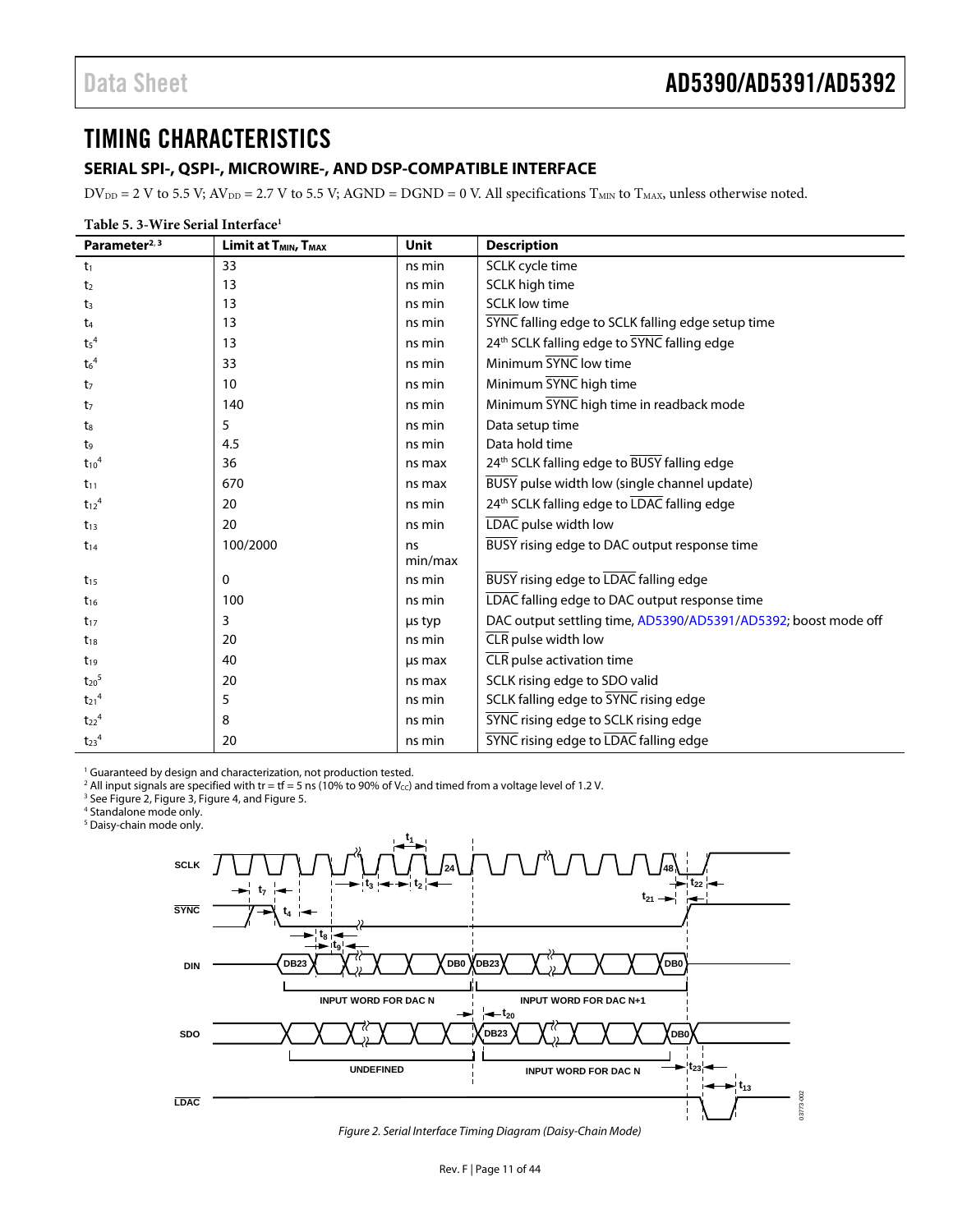### <span id="page-10-0"></span>TIMING CHARACTERISTICS

#### <span id="page-10-1"></span>**SERIAL SPI-, QSPI-, MICROWIRE-, AND DSP-COMPATIBLE INTERFACE**

 $DV_{DD} = 2$  V to 5.5 V;  $AV_{DD} = 2.7$  V to 5.5 V;  $AGND = DGND = 0$  V. All specifications  $T_{MIN}$  to  $T_{MAX}$ , unless otherwise noted.

| Table 5. 3-Wire Serial Interface <sup>1</sup> |                                              |             |                                                                |  |
|-----------------------------------------------|----------------------------------------------|-------------|----------------------------------------------------------------|--|
| Parameter <sup>2, 3</sup>                     | Limit at T <sub>MIN</sub> , T <sub>MAX</sub> | <b>Unit</b> | <b>Description</b>                                             |  |
| t <sub>1</sub>                                | 33                                           | ns min      | SCLK cycle time                                                |  |
| t <sub>2</sub>                                | 13                                           | ns min      | SCLK high time                                                 |  |
| t <sub>3</sub>                                | 13                                           | ns min      | <b>SCLK low time</b>                                           |  |
| t <sub>4</sub>                                | 13                                           | ns min      | SYNC falling edge to SCLK falling edge setup time              |  |
| t <sub>5</sub> <sup>4</sup>                   | 13                                           | ns min      | 24 <sup>th</sup> SCLK falling edge to SYNC falling edge        |  |
| $t_6^4$                                       | 33                                           | ns min      | Minimum SYNC low time                                          |  |
| t <sub>7</sub>                                | 10                                           | ns min      | Minimum SYNC high time                                         |  |
| t <sub>7</sub>                                | 140                                          | ns min      | Minimum SYNC high time in readback mode                        |  |
| t <sub>8</sub>                                | 5                                            | ns min      | Data setup time                                                |  |
| t9                                            | 4.5                                          | ns min      | Data hold time                                                 |  |
| $t_{10}$ <sup>4</sup>                         | 36                                           | ns max      | 24th SCLK falling edge to BUSY falling edge                    |  |
| $t_{11}$                                      | 670                                          | ns max      | BUSY pulse width low (single channel update)                   |  |
| $t_{12}^4$                                    | 20                                           | ns min      | 24th SCLK falling edge to LDAC falling edge                    |  |
| $t_{13}$                                      | 20                                           | ns min      | LDAC pulse width low                                           |  |
| $t_{14}$                                      | 100/2000                                     | ns          | BUSY rising edge to DAC output response time                   |  |
|                                               |                                              | min/max     |                                                                |  |
| $t_{15}$                                      | 0                                            | ns min      | BUSY rising edge to LDAC falling edge                          |  |
| $t_{16}$                                      | 100                                          | ns min      | LDAC falling edge to DAC output response time                  |  |
| $t_{17}$                                      | 3                                            | us typ      | DAC output settling time, AD5390/AD5391/AD5392; boost mode off |  |
| $t_{18}$                                      | 20                                           | ns min      | CLR pulse width low                                            |  |
| $t_{19}$                                      | 40                                           | us max      | CLR pulse activation time                                      |  |
| $t_{20}$ <sup>5</sup>                         | 20                                           | ns max      | SCLK rising edge to SDO valid                                  |  |
| $t_{21}$ <sup>4</sup>                         | 5                                            | ns min      | SCLK falling edge to SYNC rising edge                          |  |
| $t_{22}^4$                                    | 8                                            | ns min      | SYNC rising edge to SCLK rising edge                           |  |
| $t_{23}$ <sup>4</sup>                         | 20                                           | ns min      | SYNC rising edge to LDAC falling edge                          |  |

<sup>1</sup> Guaranteed by design and characterization, not production tested.

<sup>2</sup> All input signals are specified with tr = tf = 5 ns (10% to 90% of V<sub>cc</sub>) and timed from a voltage level of 1.2 V.<br><sup>3</sup> Se[e Figure 2,](#page-10-2) [Figure 3,](#page-11-0) [Figure 4,](#page-11-1) and Figure 5.

4 Standalone mode only.

5 Daisy-chain mode only.



<span id="page-10-2"></span>Figure 2. Serial Interface Timing Diagram (Daisy-Chain Mode)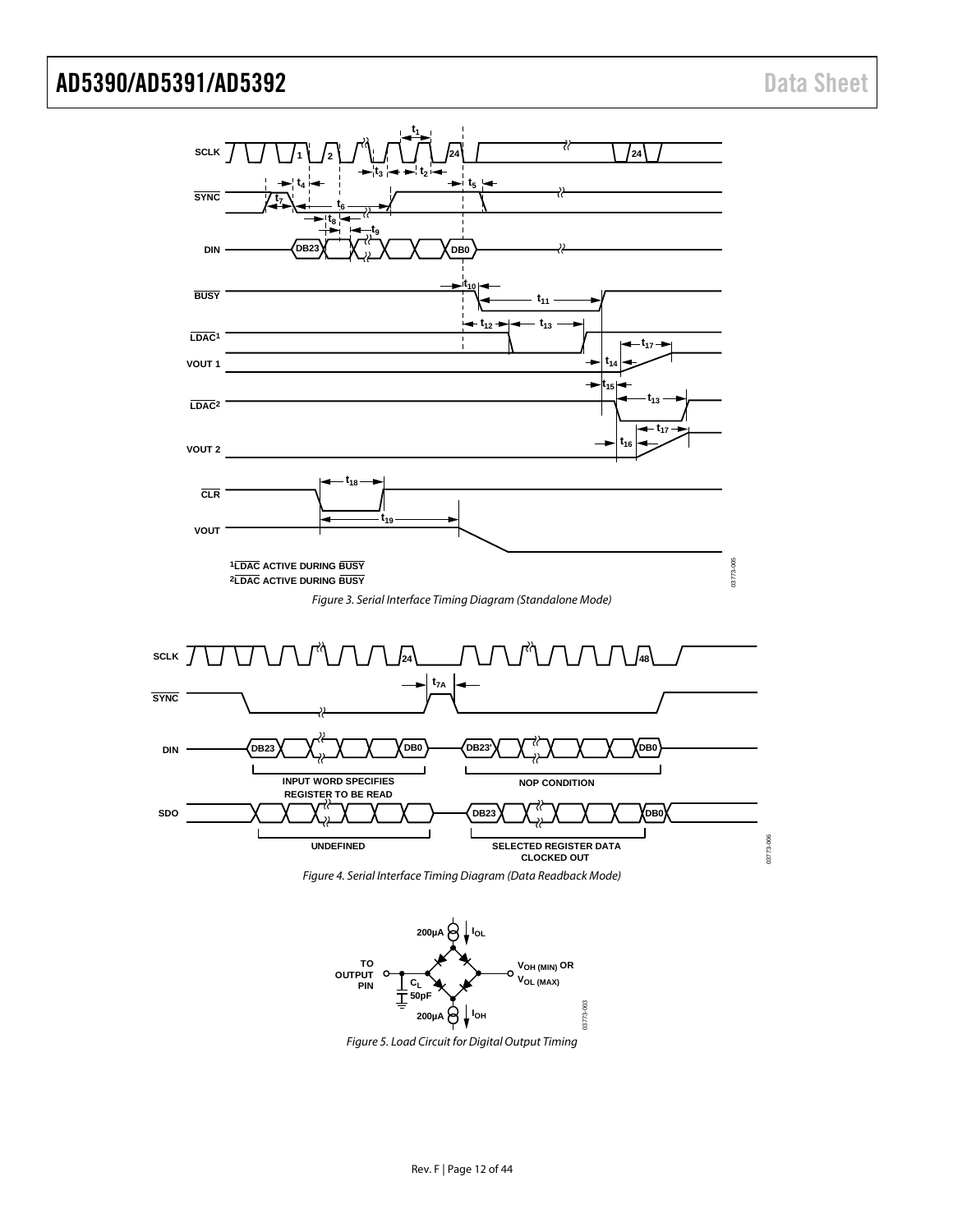

<span id="page-11-1"></span><span id="page-11-0"></span>

<span id="page-11-2"></span>Figure 5. Load Circuit for Digital Output Timing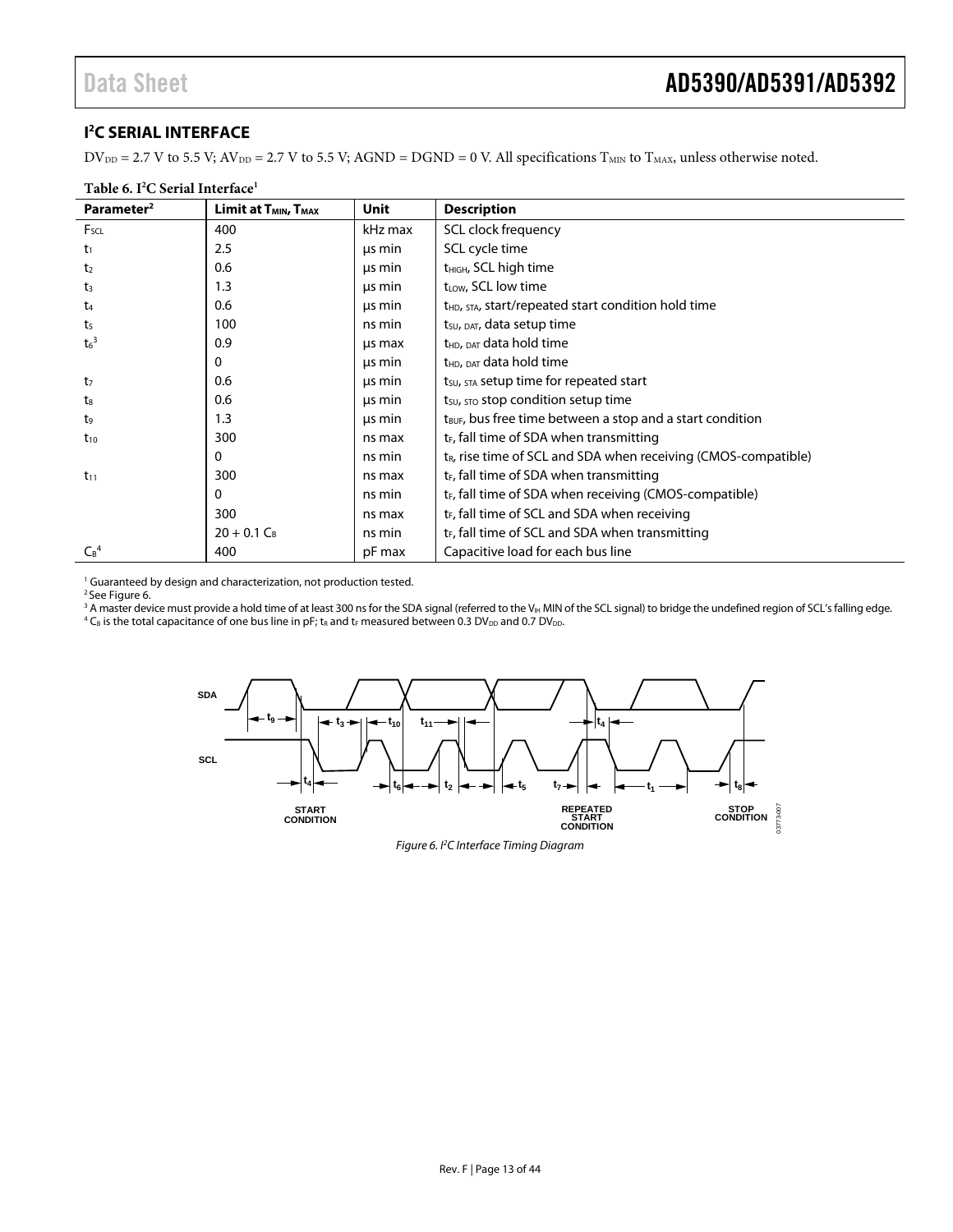#### <span id="page-12-0"></span>**I 2 C SERIAL INTERFACE**

 $DV_{DD} = 2.7 V$  to 5.5 V;  $AV_{DD} = 2.7 V$  to 5.5 V;  $AGND = DGND = 0 V$ . All specifications  $T_{MIN}$  to  $T_{MAX}$ , unless otherwise noted.

| Table 6. I <sup>2</sup> C Serial Interface <sup>1</sup> |                                              |         |                                                                            |  |
|---------------------------------------------------------|----------------------------------------------|---------|----------------------------------------------------------------------------|--|
| Parameter <sup>2</sup>                                  | Limit at T <sub>MIN</sub> , T <sub>MAX</sub> | Unit    | <b>Description</b>                                                         |  |
| $F_{SCL}$                                               | 400                                          | kHz max | SCL clock frequency                                                        |  |
| t1                                                      | 2.5                                          | us min  | SCL cycle time                                                             |  |
| t <sub>2</sub>                                          | 0.6                                          | us min  | t <sub>HIGH</sub> , SCL high time                                          |  |
| $t_3$                                                   | 1.3                                          | us min  | t <sub>LOW</sub> , SCL low time                                            |  |
| t <sub>4</sub>                                          | 0.6                                          | us min  | t <sub>HD</sub> , STA, start/repeated start condition hold time            |  |
| t5                                                      | 100                                          | ns min  | t <sub>su</sub> , <sub>DAT</sub> , data setup time                         |  |
| $t_6^3$                                                 | 0.9                                          | us max  | t <sub>HD</sub> , <sub>DAT</sub> data hold time                            |  |
|                                                         | 0                                            | us min  | t <sub>HD</sub> , DAT data hold time                                       |  |
| t <sub>7</sub>                                          | 0.6                                          | us min  | t <sub>su</sub> , <sub>STA</sub> setup time for repeated start             |  |
| t <sub>8</sub>                                          | 0.6                                          | μs min  | $t_{\text{SU}}$ , $\text{STO}$ stop condition setup time                   |  |
| t9                                                      | 1.3                                          | us min  | t <sub>BUF</sub> , bus free time between a stop and a start condition      |  |
| $t_{10}$                                                | 300                                          | ns max  | t <sub>F</sub> , fall time of SDA when transmitting                        |  |
|                                                         | 0                                            | ns min  | t <sub>R</sub> , rise time of SCL and SDA when receiving (CMOS-compatible) |  |
| $t_{11}$                                                | 300                                          | ns max  | t <sub>F</sub> , fall time of SDA when transmitting                        |  |
|                                                         | 0                                            | ns min  | t <sub>F</sub> , fall time of SDA when receiving (CMOS-compatible)         |  |
|                                                         | 300                                          | ns max  | $t_F$ , fall time of SCL and SDA when receiving                            |  |
|                                                         | $20 + 0.1 C_B$                               | ns min  | $t_F$ , fall time of SCL and SDA when transmitting                         |  |
| $C_B^4$                                                 | 400                                          | pF max  | Capacitive load for each bus line                                          |  |

<sup>1</sup> Guaranteed by design and characterization, not production tested.

2 Se[e Figure 6.](#page-12-1) 

<sup>3</sup> A master device must provide a hold time of at least 300 ns for the SDA signal (referred to the V<sub>IH</sub> MIN of the SCL signal) to bridge the undefined region of SCL's falling edge.<br><sup>4</sup> C<sub>e</sub> is the total canacitance of o

<sup>2</sup> C<sub>B</sub> is the total capacitance of one bus line in pF; t<sub>R</sub> and t<sub>F</sub> measured between 0.3 DV<sub>DD</sub> and 0.7 DV<sub>DD</sub>.

<span id="page-12-1"></span>

Figure 6. I2 C Interface Timing Diagram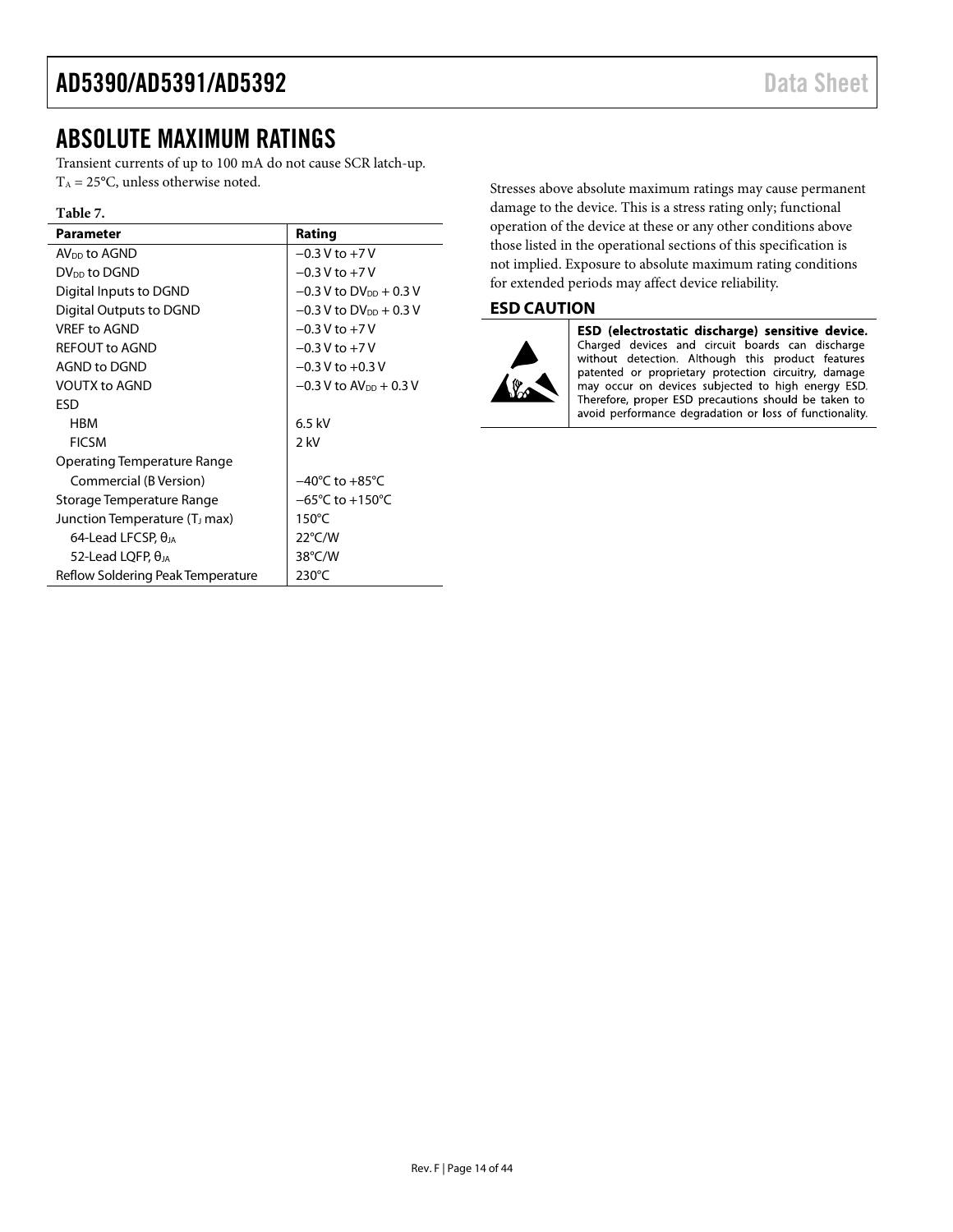### <span id="page-13-0"></span>ABSOLUTE MAXIMUM RATINGS

Transient currents of up to 100 mA do not cause SCR latch-up.  $T_A = 25$ °C, unless otherwise noted.

#### **Table 7.**

| Parameter                                 | Rating                                |
|-------------------------------------------|---------------------------------------|
| AV <sub>DD</sub> to AGND                  | $-0.3$ V to $+7$ V                    |
| DV <sub>DD</sub> to DGND                  | $-0.3$ V to $+7$ V                    |
| Digital Inputs to DGND                    | $-0.3$ V to DV <sub>DD</sub> + 0.3 V  |
| Digital Outputs to DGND                   | $-0.3$ V to DV <sub>DD</sub> $+0.3$ V |
| VRFF to AGND                              | $-0.3$ V to $+7$ V                    |
| <b>REFOUT to AGND</b>                     | $-0.3 V$ to $+7V$                     |
| AGND to DGND                              | $-0.3$ V to $+0.3$ V                  |
| <b>VOUTX to AGND</b>                      | $-0.3$ V to AV <sub>pp</sub> + 0.3 V  |
| ESD                                       |                                       |
| <b>HBM</b>                                | $6.5$ kV                              |
| <b>FICSM</b>                              | 2 kV                                  |
| Operating Temperature Range               |                                       |
| Commercial (B Version)                    | $-40^{\circ}$ C to $+85^{\circ}$ C    |
| Storage Temperature Range                 | $-65^{\circ}$ C to $+150^{\circ}$ C   |
| Junction Temperature (T <sub>J</sub> max) | $150^{\circ}$ C                       |
| 64-Lead LFCSP, $\theta_{JA}$              | $22^{\circ}$ C/W                      |
| 52-Lead LQFP, $\theta_{IA}$               | $38^{\circ}$ C/W                      |
| Reflow Soldering Peak Temperature         | $230^{\circ}$ C                       |

Stresses above absolute maximum ratings may cause permanent damage to the device. This is a stress rating only; functional operation of the device at these or any other conditions above those listed in the operational sections of this specification is not implied. Exposure to absolute maximum rating conditions for extended periods may affect device reliability.

#### <span id="page-13-1"></span>**ESD CAUTION**



ESD (electrostatic discharge) sensitive device. Charged devices and circuit boards can discharge without detection. Although this product features patented or proprietary protection circuitry, damage may occur on devices subjected to high energy ESD. Therefore, proper ESD precautions should be taken to avoid performance degradation or loss of functionality.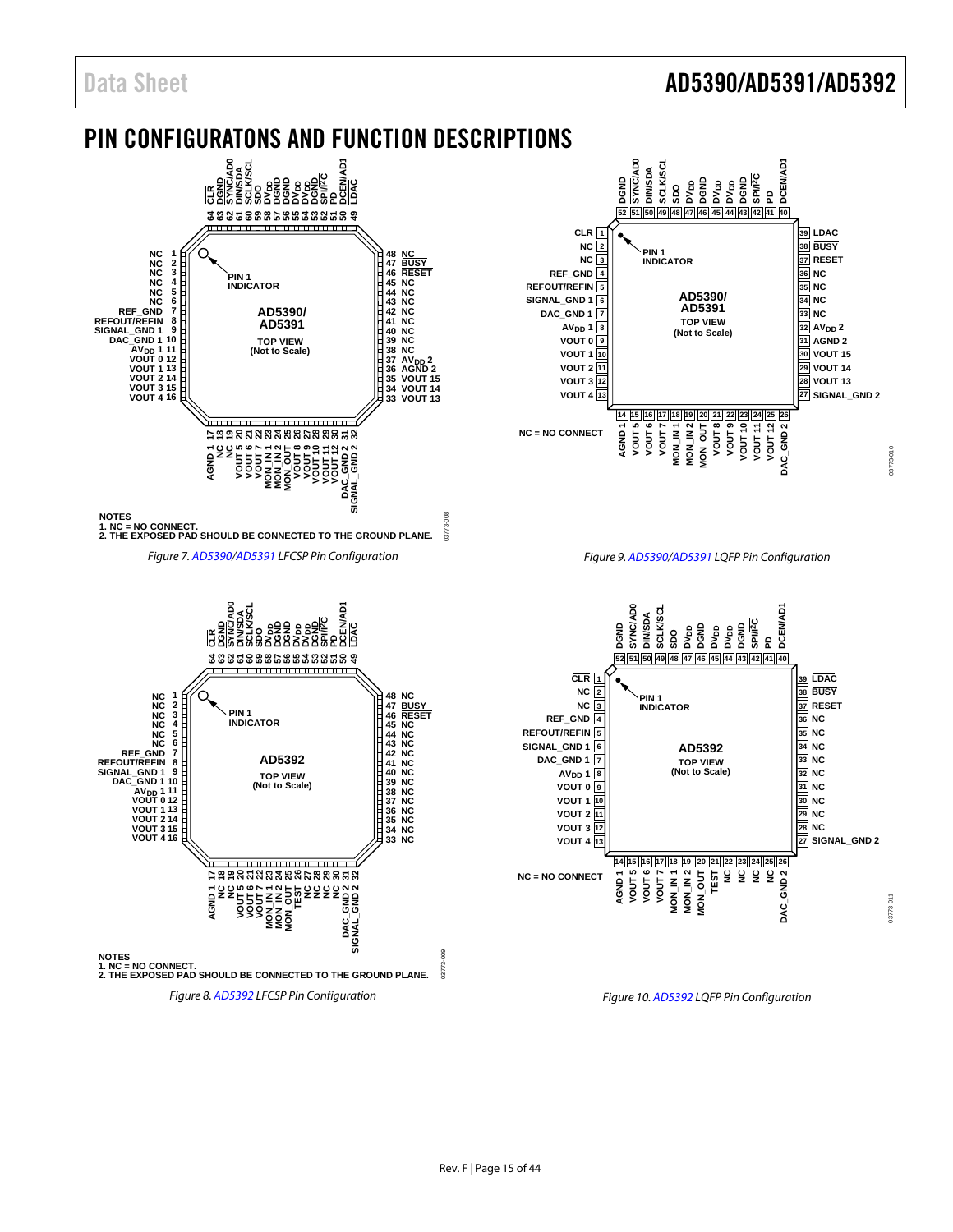### Data Sheet **AD5390/AD5391/AD5392**

### <span id="page-14-0"></span>PIN CONFIGURATONS AND FUNCTION DESCRIPTIONS





*Figure 9[. AD5390/](http://www.analog.com/AD5390?doc=AD5390_5391_5392.pdf)[AD5391](http://www.analog.com/AD5391?doc=AD5390_5391_5392.pdf) LQFP Pin Configuration*





*Figure 10[. AD5392](http://www.analog.com/AD5392?doc=AD5390_5391_5392.pdf) LQFP Pin Configuration*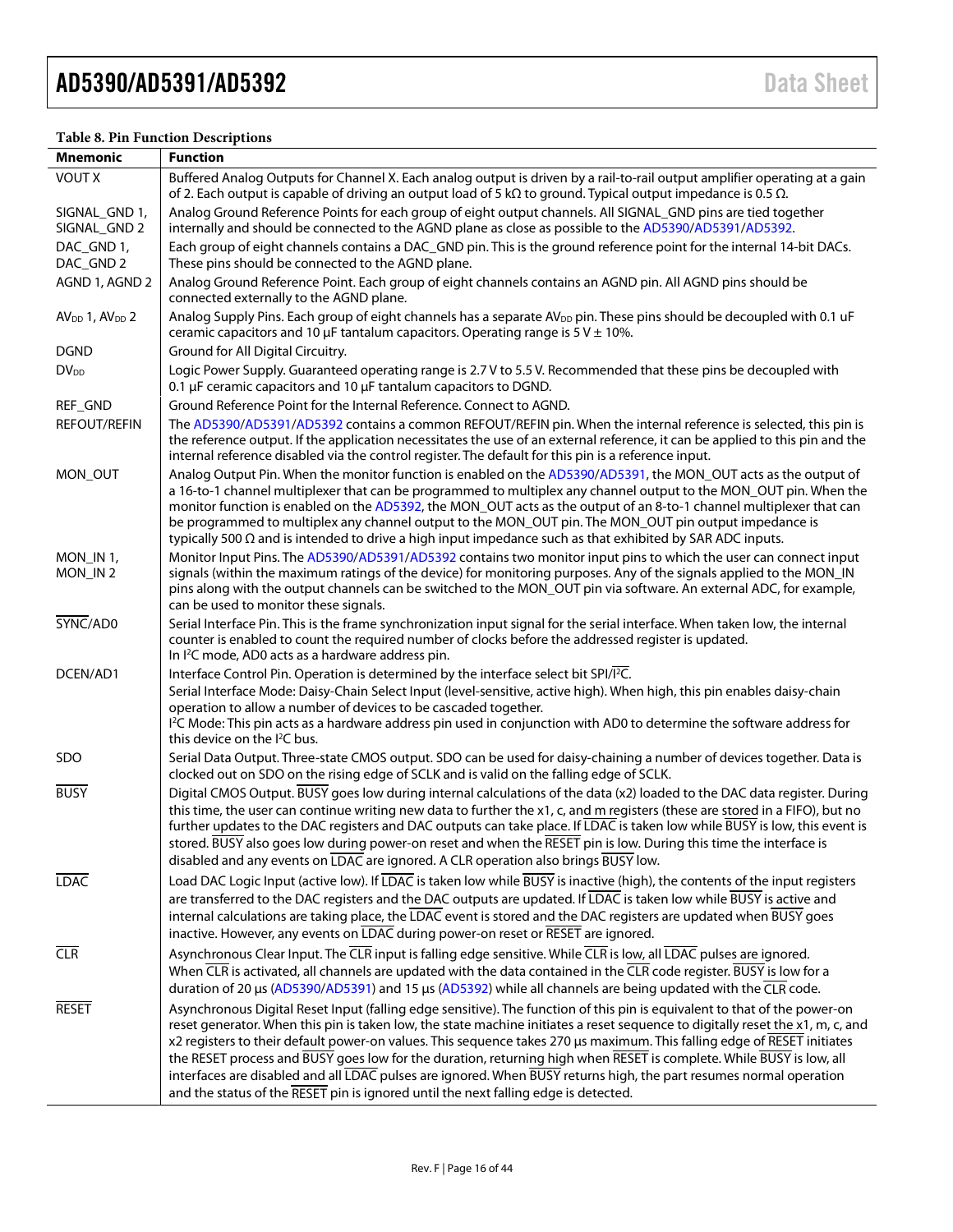| Mnemonic                      | <b>Function</b>                                                                                                                                                                                                                                                                                                                                                                                                                                                                                                                                                                                                                                                                                                            |
|-------------------------------|----------------------------------------------------------------------------------------------------------------------------------------------------------------------------------------------------------------------------------------------------------------------------------------------------------------------------------------------------------------------------------------------------------------------------------------------------------------------------------------------------------------------------------------------------------------------------------------------------------------------------------------------------------------------------------------------------------------------------|
| <b>VOUT X</b>                 | Buffered Analog Outputs for Channel X. Each analog output is driven by a rail-to-rail output amplifier operating at a gain<br>of 2. Each output is capable of driving an output load of 5 k $\Omega$ to ground. Typical output impedance is 0.5 $\Omega$ .                                                                                                                                                                                                                                                                                                                                                                                                                                                                 |
| SIGNAL GND 1,<br>SIGNAL_GND 2 | Analog Ground Reference Points for each group of eight output channels. All SIGNAL_GND pins are tied together<br>internally and should be connected to the AGND plane as close as possible to the AD5390/AD5391/AD5392.                                                                                                                                                                                                                                                                                                                                                                                                                                                                                                    |
| DAC_GND 1,<br>DAC_GND 2       | Each group of eight channels contains a DAC_GND pin. This is the ground reference point for the internal 14-bit DACs.<br>These pins should be connected to the AGND plane.                                                                                                                                                                                                                                                                                                                                                                                                                                                                                                                                                 |
| AGND 1, AGND 2                | Analog Ground Reference Point. Each group of eight channels contains an AGND pin. All AGND pins should be<br>connected externally to the AGND plane.                                                                                                                                                                                                                                                                                                                                                                                                                                                                                                                                                                       |
| $AVDD$ 1, $AVDD$ 2            | Analog Supply Pins. Each group of eight channels has a separate AV <sub>DD</sub> pin. These pins should be decoupled with 0.1 uF<br>ceramic capacitors and 10 $\mu$ F tantalum capacitors. Operating range is 5 V $\pm$ 10%.                                                                                                                                                                                                                                                                                                                                                                                                                                                                                               |
| <b>DGND</b>                   | Ground for All Digital Circuitry.                                                                                                                                                                                                                                                                                                                                                                                                                                                                                                                                                                                                                                                                                          |
| <b>DV</b> <sub>DD</sub>       | Logic Power Supply. Guaranteed operating range is 2.7 V to 5.5 V. Recommended that these pins be decoupled with<br>0.1 µF ceramic capacitors and 10 µF tantalum capacitors to DGND.                                                                                                                                                                                                                                                                                                                                                                                                                                                                                                                                        |
| REF_GND                       | Ground Reference Point for the Internal Reference. Connect to AGND.                                                                                                                                                                                                                                                                                                                                                                                                                                                                                                                                                                                                                                                        |
| <b>REFOUT/REFIN</b>           | The AD5390/AD5391/AD5392 contains a common REFOUT/REFIN pin. When the internal reference is selected, this pin is<br>the reference output. If the application necessitates the use of an external reference, it can be applied to this pin and the<br>internal reference disabled via the control register. The default for this pin is a reference input.                                                                                                                                                                                                                                                                                                                                                                 |
| MON_OUT                       | Analog Output Pin. When the monitor function is enabled on the AD5390/AD5391, the MON_OUT acts as the output of<br>a 16-to-1 channel multiplexer that can be programmed to multiplex any channel output to the MON_OUT pin. When the<br>monitor function is enabled on the AD5392, the MON_OUT acts as the output of an 8-to-1 channel multiplexer that can<br>be programmed to multiplex any channel output to the MON_OUT pin. The MON_OUT pin output impedance is<br>typically 500 $\Omega$ and is intended to drive a high input impedance such as that exhibited by SAR ADC inputs.                                                                                                                                   |
| MON_IN 1,<br>MON_IN2          | Monitor Input Pins. The AD5390/AD5391/AD5392 contains two monitor input pins to which the user can connect input<br>signals (within the maximum ratings of the device) for monitoring purposes. Any of the signals applied to the MON_IN<br>pins along with the output channels can be switched to the MON_OUT pin via software. An external ADC, for example,<br>can be used to monitor these signals.                                                                                                                                                                                                                                                                                                                    |
| SYNC/AD0                      | Serial Interface Pin. This is the frame synchronization input signal for the serial interface. When taken low, the internal<br>counter is enabled to count the required number of clocks before the addressed register is updated.<br>In I <sup>2</sup> C mode, AD0 acts as a hardware address pin.                                                                                                                                                                                                                                                                                                                                                                                                                        |
| DCEN/AD1                      | Interface Control Pin. Operation is determined by the interface select bit SPI/ <sup>12</sup> C.                                                                                                                                                                                                                                                                                                                                                                                                                                                                                                                                                                                                                           |
|                               | Serial Interface Mode: Daisy-Chain Select Input (level-sensitive, active high). When high, this pin enables daisy-chain<br>operation to allow a number of devices to be cascaded together.<br><sup>12</sup> C Mode: This pin acts as a hardware address pin used in conjunction with AD0 to determine the software address for<br>this device on the PC bus.                                                                                                                                                                                                                                                                                                                                                               |
| SDO                           | Serial Data Output. Three-state CMOS output. SDO can be used for daisy-chaining a number of devices together. Data is<br>clocked out on SDO on the rising edge of SCLK and is valid on the falling edge of SCLK.                                                                                                                                                                                                                                                                                                                                                                                                                                                                                                           |
| <b>BUSY</b>                   | Digital CMOS Output. BUSY goes low during internal calculations of the data (x2) loaded to the DAC data register. During<br>this time, the user can continue writing new data to further the x1, c, and m registers (these are stored in a FIFO), but no<br>further updates to the DAC registers and DAC outputs can take place. If LDAC is taken low while BUSY is low, this event is<br>stored. BUSY also goes low during power-on reset and when the RESET pin is low. During this time the interface is<br>disabled and any events on LDAC are ignored. A CLR operation also brings BUSY low.                                                                                                                          |
| <b>LDAC</b>                   | Load DAC Logic Input (active low). If LDAC is taken low while BUSY is inactive (high), the contents of the input registers<br>are transferred to the DAC registers and the DAC outputs are updated. If LDAC is taken low while BUSY is active and<br>internal calculations are taking place, the LDAC event is stored and the DAC registers are updated when BUSY goes<br>inactive. However, any events on LDAC during power-on reset or RESET are ignored.                                                                                                                                                                                                                                                                |
| CLR                           | Asynchronous Clear Input. The CLR input is falling edge sensitive. While CLR is low, all LDAC pulses are ignored.<br>When $\overline{\text{CLR}}$ is activated, all channels are updated with the data contained in the $\overline{\text{CLR}}$ code register. BUSY is low for a<br>duration of 20 µs (AD5390/AD5391) and 15 µs (AD5392) while all channels are being updated with the CLR code.                                                                                                                                                                                                                                                                                                                           |
| <b>RESET</b>                  | Asynchronous Digital Reset Input (falling edge sensitive). The function of this pin is equivalent to that of the power-on<br>reset generator. When this pin is taken low, the state machine initiates a reset sequence to digitally reset the x1, m, c, and<br>x2 registers to their default power-on values. This sequence takes 270 µs maximum. This falling edge of RESET initiates<br>the RESET process and BUSY goes low for the duration, returning high when RESET is complete. While BUSY is low, all<br>interfaces are disabled and all LDAC pulses are ignored. When BUSY returns high, the part resumes normal operation<br>and the status of the RESET pin is ignored until the next falling edge is detected. |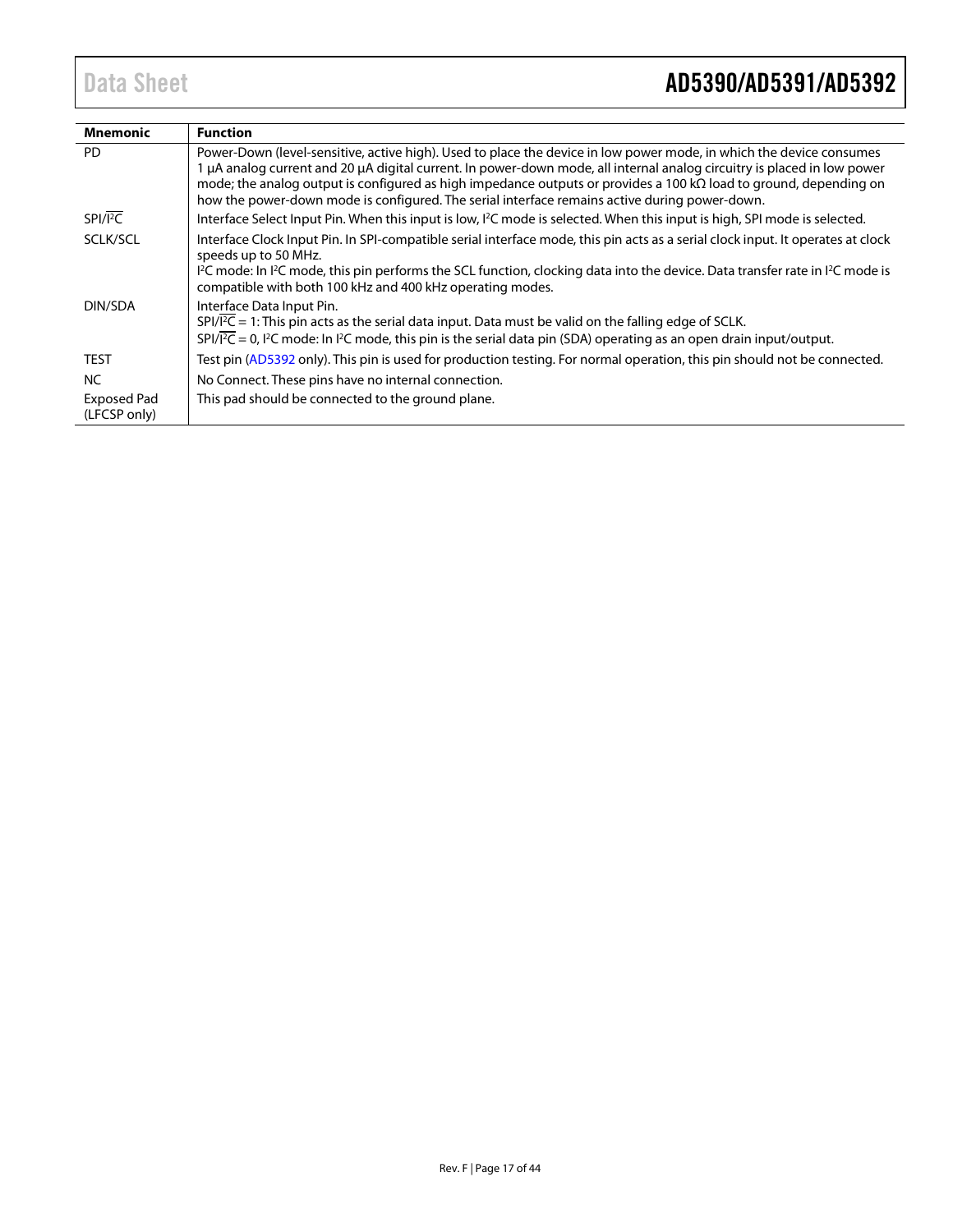| Mnemonic                           | <b>Function</b>                                                                                                                                                                                                                                                                                                                                                                                                                                                              |
|------------------------------------|------------------------------------------------------------------------------------------------------------------------------------------------------------------------------------------------------------------------------------------------------------------------------------------------------------------------------------------------------------------------------------------------------------------------------------------------------------------------------|
| <b>PD</b>                          | Power-Down (level-sensitive, active high). Used to place the device in low power mode, in which the device consumes<br>1 µA analog current and 20 µA digital current. In power-down mode, all internal analog circuitry is placed in low power<br>mode; the analog output is configured as high impedance outputs or provides a 100 k $\Omega$ load to ground, depending on<br>how the power-down mode is configured. The serial interface remains active during power-down. |
| $SPI/\overline{I^2C}$              | Interface Select Input Pin. When this input is low, I <sup>2</sup> C mode is selected. When this input is high, SPI mode is selected.                                                                                                                                                                                                                                                                                                                                        |
| SCLK/SCL                           | Interface Clock Input Pin. In SPI-compatible serial interface mode, this pin acts as a serial clock input. It operates at clock<br>speeds up to 50 MHz.                                                                                                                                                                                                                                                                                                                      |
|                                    | 1 <sup>2</sup> C mode: In 1 <sup>2</sup> C mode, this pin performs the SCL function, clocking data into the device. Data transfer rate in 1 <sup>2</sup> C mode is<br>compatible with both 100 kHz and 400 kHz operating modes.                                                                                                                                                                                                                                              |
| DIN/SDA                            | Interface Data Input Pin.                                                                                                                                                                                                                                                                                                                                                                                                                                                    |
|                                    | $SPI/\overline{IC}$ = 1: This pin acts as the serial data input. Data must be valid on the falling edge of SCLK.<br>$SPI/\overline{P}C = 0$ , $P^2C$ mode: In $P^2C$ mode, this pin is the serial data pin (SDA) operating as an open drain input/output.                                                                                                                                                                                                                    |
| <b>TEST</b>                        | Test pin (AD5392 only). This pin is used for production testing. For normal operation, this pin should not be connected.                                                                                                                                                                                                                                                                                                                                                     |
| <b>NC</b>                          | No Connect. These pins have no internal connection.                                                                                                                                                                                                                                                                                                                                                                                                                          |
| <b>Exposed Pad</b><br>(LFCSP only) | This pad should be connected to the ground plane.                                                                                                                                                                                                                                                                                                                                                                                                                            |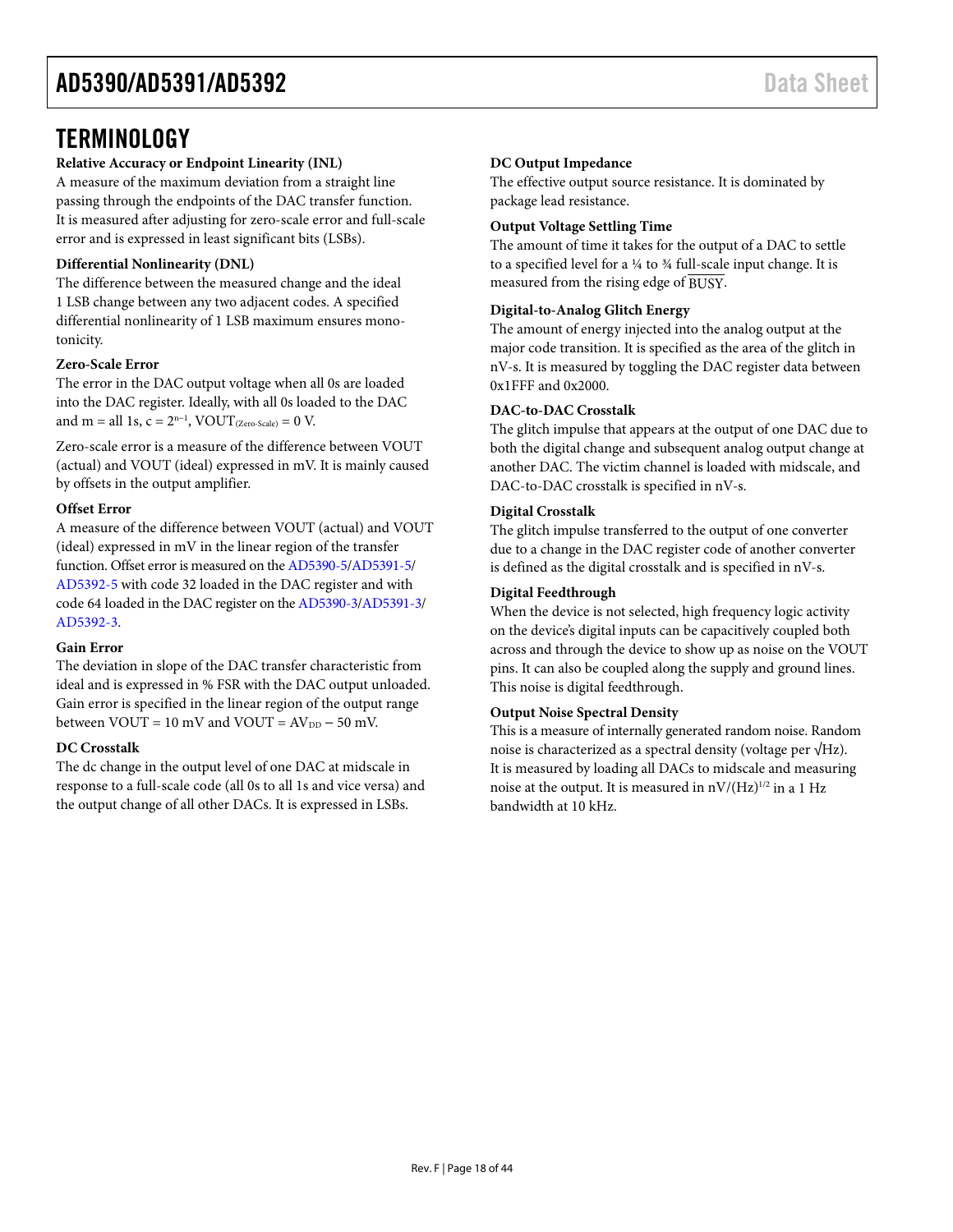### <span id="page-17-0"></span>**TERMINOLOGY**

#### **Relative Accuracy or Endpoint Linearity (INL)**

A measure of the maximum deviation from a straight line passing through the endpoints of the DAC transfer function. It is measured after adjusting for zero-scale error and full-scale error and is expressed in least significant bits (LSBs).

#### **Differential Nonlinearity (DNL)**

The difference between the measured change and the ideal 1 LSB change between any two adjacent codes. A specified differential nonlinearity of 1 LSB maximum ensures monotonicity.

#### **Zero-Scale Error**

The error in the DAC output voltage when all 0s are loaded into the DAC register. Ideally, with all 0s loaded to the DAC and m = all 1s,  $c = 2<sup>n-1</sup>$ , VOUT<sub>(Zero-Scale)</sub> = 0 V.

Zero-scale error is a measure of the difference between VOUT (actual) and VOUT (ideal) expressed in mV. It is mainly caused by offsets in the output amplifier.

#### **Offset Error**

A measure of the difference between VOUT (actual) and VOUT (ideal) expressed in mV in the linear region of the transfer function. Offset error is measured on th[e AD5390-5](http://www.analog.com/AD5390?doc=AD5390_5391_5392.pdf)[/AD5391-5/](http://www.analog.com/AD5391?doc=AD5390_5391_5392.pdf) [AD5392-5](http://www.analog.com/AD5392?doc=AD5390_5391_5392.pdf) with code 32 loaded in the DAC register and with code 64 loaded in the DAC register on th[e AD5390-3/](http://www.analog.com/AD5390?doc=AD5390_5391_5392.pdf)[AD5391-3/](http://www.analog.com/AD5391?doc=AD5390_5391_5392.pdf) [AD5392-3.](http://www.analog.com/AD5392?doc=AD5390_5391_5392.pdf) 

#### **Gain Error**

The deviation in slope of the DAC transfer characteristic from ideal and is expressed in % FSR with the DAC output unloaded. Gain error is specified in the linear region of the output range between  $VOUT = 10$  mV and  $VOUT = AV<sub>DD</sub> - 50$  mV.

#### **DC Crosstalk**

The dc change in the output level of one DAC at midscale in response to a full-scale code (all 0s to all 1s and vice versa) and the output change of all other DACs. It is expressed in LSBs.

#### **DC Output Impedance**

The effective output source resistance. It is dominated by package lead resistance.

#### **Output Voltage Settling Time**

The amount of time it takes for the output of a DAC to settle to a specified level for a ¼ to ¾ full-scale input change. It is measured from the rising edge of BUSY.

#### **Digital-to-Analog Glitch Energy**

The amount of energy injected into the analog output at the major code transition. It is specified as the area of the glitch in nV-s. It is measured by toggling the DAC register data between 0x1FFF and 0x2000.

#### **DAC-to-DAC Crosstalk**

The glitch impulse that appears at the output of one DAC due to both the digital change and subsequent analog output change at another DAC. The victim channel is loaded with midscale, and DAC-to-DAC crosstalk is specified in nV-s.

#### **Digital Crosstalk**

The glitch impulse transferred to the output of one converter due to a change in the DAC register code of another converter is defined as the digital crosstalk and is specified in nV-s.

#### **Digital Feedthrough**

When the device is not selected, high frequency logic activity on the device's digital inputs can be capacitively coupled both across and through the device to show up as noise on the VOUT pins. It can also be coupled along the supply and ground lines. This noise is digital feedthrough.

#### **Output Noise Spectral Density**

This is a measure of internally generated random noise. Random noise is characterized as a spectral density (voltage per √Hz). It is measured by loading all DACs to midscale and measuring noise at the output. It is measured in  $nV/(Hz)^{1/2}$  in a 1 Hz bandwidth at 10 kHz.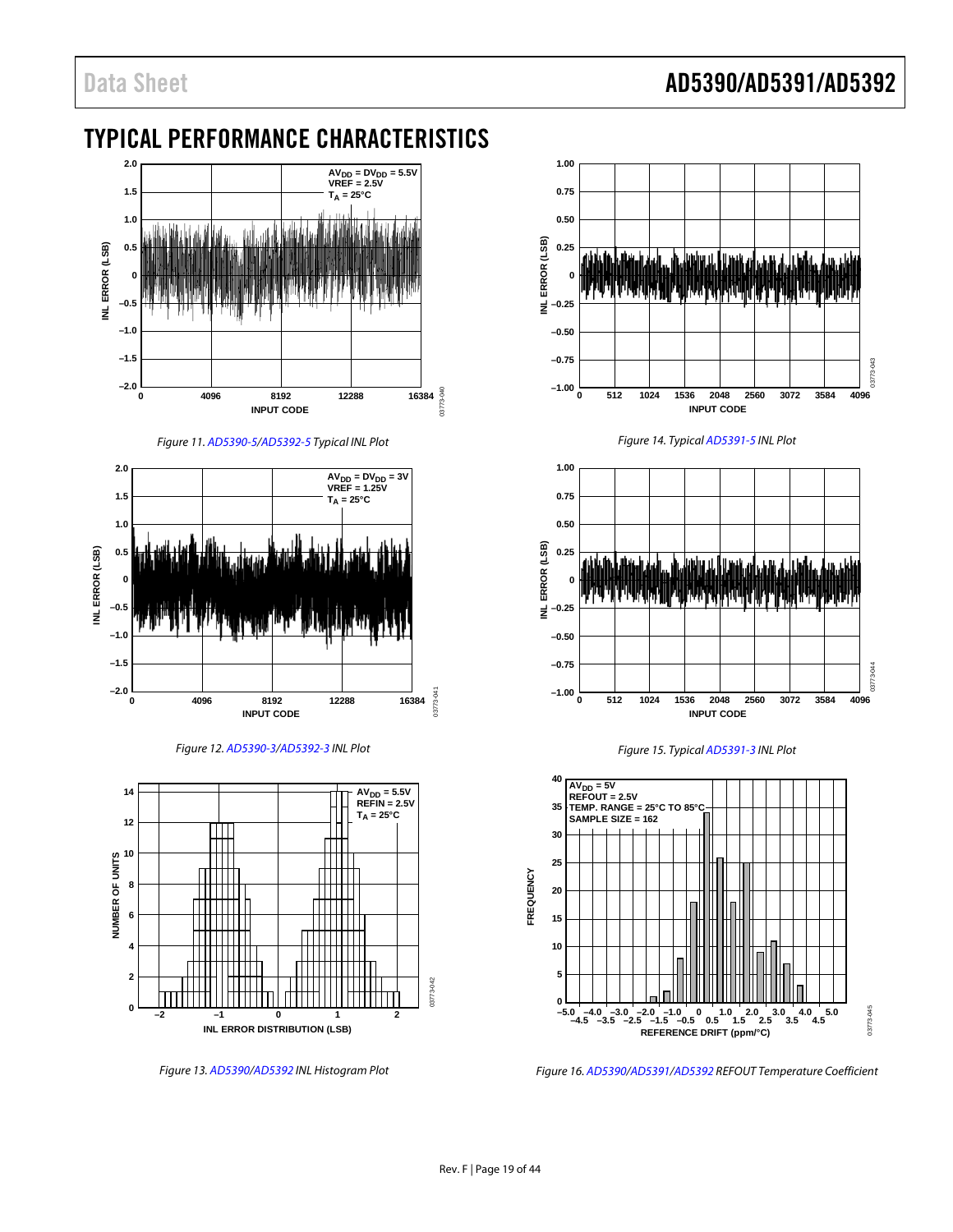### <span id="page-18-0"></span>TYPICAL PERFORMANCE CHARACTERISTICS



Figure 11[. AD5390-5/](http://www.analog.com/AD5390?doc=AD5390_5391_5392.pdf)[AD5392-5 T](http://www.analog.com/AD5392?doc=AD5390_5391_5392.pdf)ypical INL Plot







Figure 13[. AD5390/](http://www.analog.com/AD5390?doc=AD5390_5391_5392.pdf)[AD5392 I](http://www.analog.com/AD5392?doc=AD5390_5391_5392.pdf)NL Histogram Plot



Figure 14. Typica[l AD5391-5 I](http://www.analog.com/AD5391?doc=AD5390_5391_5392.pdf)NL Plot







Figure 16[. AD5390/](http://www.analog.com/AD5390?doc=AD5390_5391_5392.pdf)[AD5391/](http://www.analog.com/AD5391?doc=AD5390_5391_5392.pdf)[AD5392 R](http://www.analog.com/AD5392?doc=AD5390_5391_5392.pdf)EFOUT Temperature Coefficient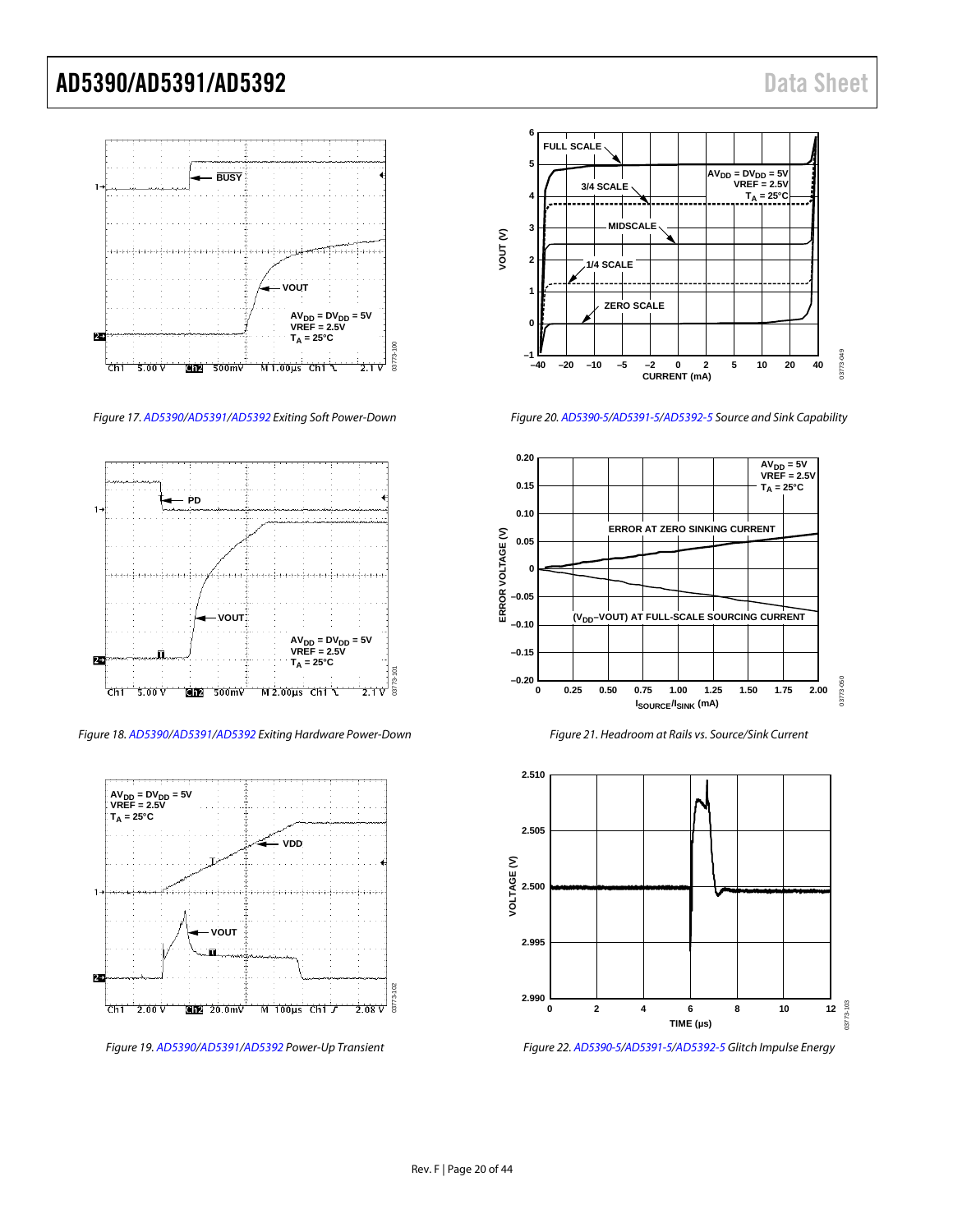

Figure 17[. AD5390](http://www.analog.com/AD5390?doc=AD5390_5391_5392.pdf)[/AD5391/](http://www.analog.com/AD5391?doc=AD5390_5391_5392.pdf)[AD5392 E](http://www.analog.com/AD5392?doc=AD5390_5391_5392.pdf)xiting Soft Power-Down



Figure 18[. AD5390/](http://www.analog.com/AD5390?doc=AD5390_5391_5392.pdf)[AD5391/](http://www.analog.com/AD5391?doc=AD5390_5391_5392.pdf)[AD5392 E](http://www.analog.com/AD5392?doc=AD5390_5391_5392.pdf)xiting Hardware Power-Down



Figure 19[. AD5390/](http://www.analog.com/AD5390?doc=AD5390_5391_5392.pdf)[AD5391](http://www.analog.com/AD5391?doc=AD5390_5391_5392.pdf)[/AD5392 P](http://www.analog.com/AD5392?doc=AD5390_5391_5392.pdf)ower-Up Transient



Figure 20[. AD5390-5](http://www.analog.com/AD5390?doc=AD5390_5391_5392.pdf)[/AD5391-5](http://www.analog.com/AD5391?doc=AD5390_5391_5392.pdf)[/AD5392-5 S](http://www.analog.com/AD5392?doc=AD5390_5391_5392.pdf)ource and Sink Capability



Figure 21. Headroom at Rails vs. Source/Sink Current



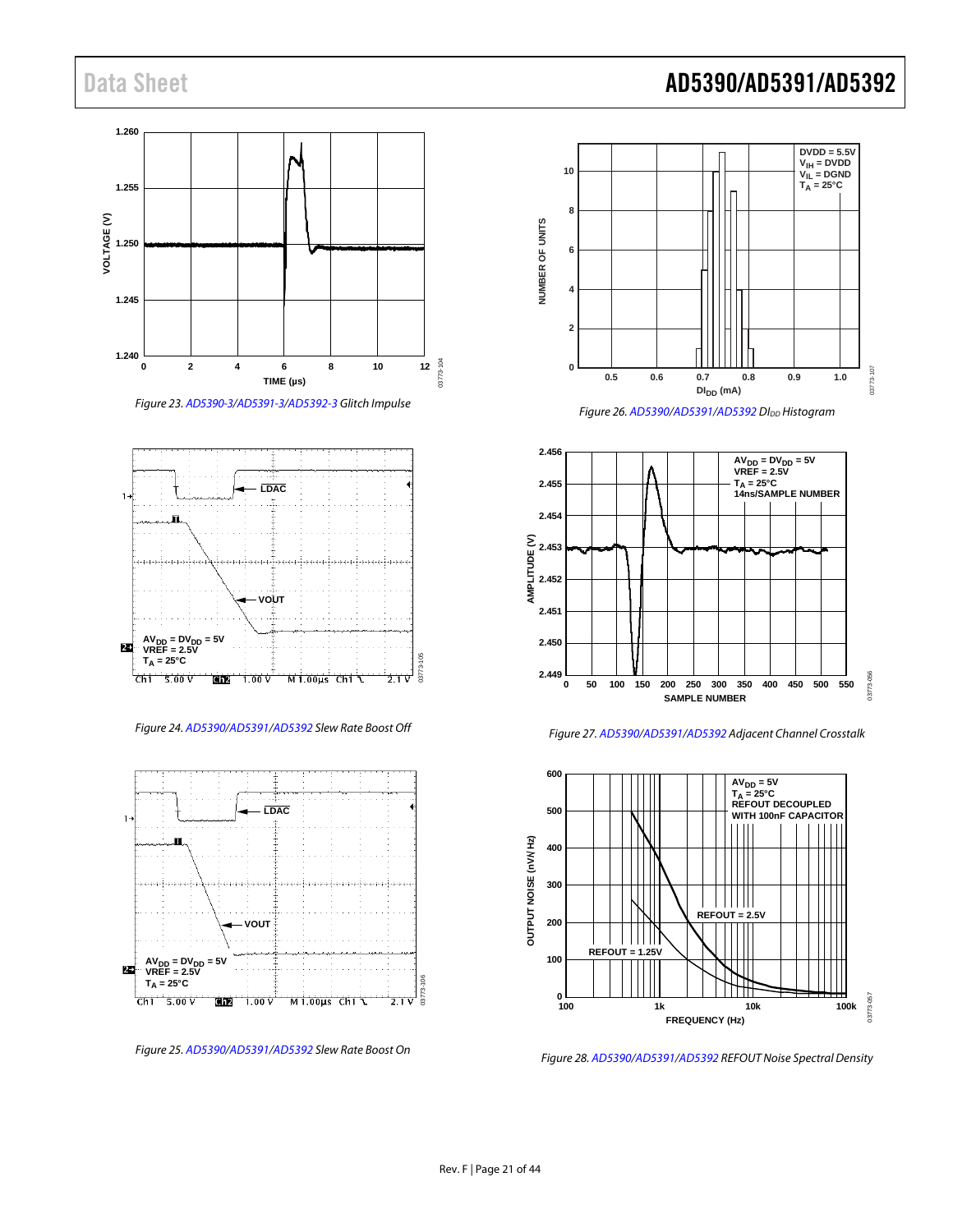



Figure 24[. AD5390](http://www.analog.com/AD5390?doc=AD5390_5391_5392.pdf)[/AD5391](http://www.analog.com/AD5391?doc=AD5390_5391_5392.pdf)[/AD5392 S](http://www.analog.com/AD5392?doc=AD5390_5391_5392.pdf)lew Rate Boost Off



Figure 25[. AD5390](http://www.analog.com/AD5390?doc=AD5390_5391_5392.pdf)[/AD5391/](http://www.analog.com/AD5391?doc=AD5390_5391_5392.pdf)[AD5392 S](http://www.analog.com/AD5392?doc=AD5390_5391_5392.pdf)lew Rate Boost On

### Data Sheet **AD5390/AD5391/AD5392**



Figure 26[. AD5390/](http://www.analog.com/AD5390?doc=AD5390_5391_5392.pdf)[AD5391/](http://www.analog.com/AD5391?doc=AD5390_5391_5392.pdf)[AD5392 D](http://www.analog.com/AD5392?doc=AD5390_5391_5392.pdf)I<sub>DD</sub> Histogram



Figure 27[. AD5390](http://www.analog.com/AD5390?doc=AD5390_5391_5392.pdf)[/AD5391](http://www.analog.com/AD5391?doc=AD5390_5391_5392.pdf)[/AD5392 A](http://www.analog.com/AD5392?doc=AD5390_5391_5392.pdf)djacent Channel Crosstalk



Figure 28[. AD5390](http://www.analog.com/AD5390?doc=AD5390_5391_5392.pdf)[/AD5391](http://www.analog.com/AD5391?doc=AD5390_5391_5392.pdf)[/AD5392 R](http://www.analog.com/AD5392?doc=AD5390_5391_5392.pdf)EFOUT Noise Spectral Density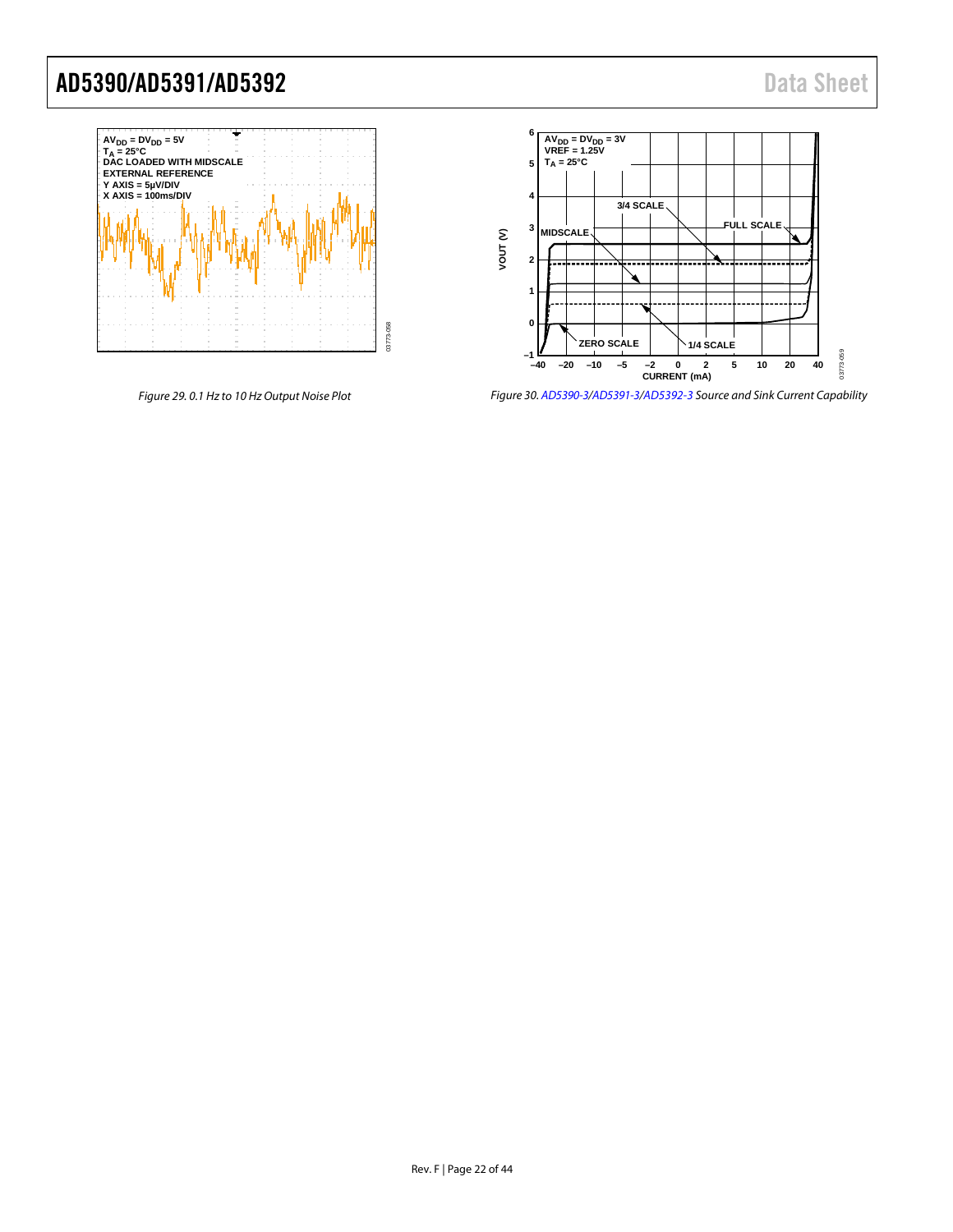

Figure 29. 0.1 Hz to 10 Hz Output Noise Plot



Figure 30[. AD5390-3](http://www.analog.com/AD5390?doc=AD5390_5391_5392.pdf)[/AD5391-3/](http://www.analog.com/AD5391?doc=AD5390_5391_5392.pdf)[AD5392-3 S](http://www.analog.com/AD5392?doc=AD5390_5391_5392.pdf)ource and Sink Current Capability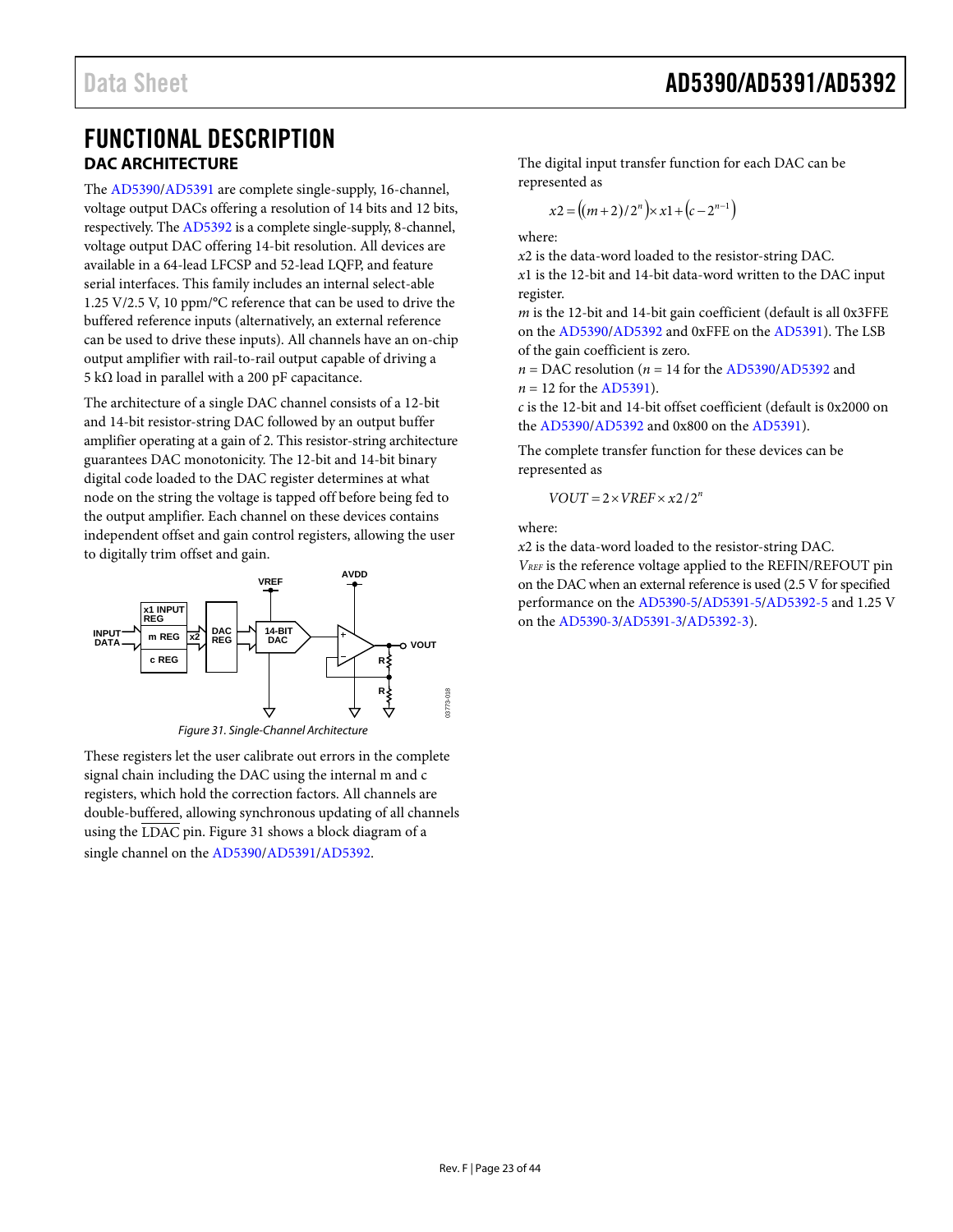### <span id="page-22-1"></span><span id="page-22-0"></span>FUNCTIONAL DESCRIPTION **DAC ARCHITECTURE**

The [AD5390](http://www.analog.com/AD5390?doc=AD5390_5391_5392.pdf)[/AD5391](http://www.analog.com/AD5391?doc=AD5390_5391_5392.pdf) are complete single-supply, 16-channel, voltage output DACs offering a resolution of 14 bits and 12 bits, respectively. Th[e AD5392](http://www.analog.com/AD5392?doc=AD5390_5391_5392.pdf) is a complete single-supply, 8-channel, voltage output DAC offering 14-bit resolution. All devices are available in a 64-lead LFCSP and 52-lead LQFP, and feature serial interfaces. This family includes an internal select-able 1.25 V/2.5 V, 10 ppm/°C reference that can be used to drive the buffered reference inputs (alternatively, an external reference can be used to drive these inputs). All channels have an on-chip output amplifier with rail-to-rail output capable of driving a 5 kΩ load in parallel with a 200 pF capacitance.

The architecture of a single DAC channel consists of a 12-bit and 14-bit resistor-string DAC followed by an output buffer amplifier operating at a gain of 2. This resistor-string architecture guarantees DAC monotonicity. The 12-bit and 14-bit binary digital code loaded to the DAC register determines at what node on the string the voltage is tapped off before being fed to the output amplifier. Each channel on these devices contains independent offset and gain control registers, allowing the user to digitally trim offset and gain.



*Figure 31. Single-Channel Architecture*

<span id="page-22-2"></span>These registers let the user calibrate out errors in the complete signal chain including the DAC using the internal m and c registers, which hold the correction factors. All channels are double-buffered, allowing synchronous updating of all channels using the LDAC pin[. Figure 31](#page-22-2) shows a block diagram of a single channel on th[e AD5390/](http://www.analog.com/AD5390?doc=AD5390_5391_5392.pdf)[AD5391](http://www.analog.com/AD5391?doc=AD5390_5391_5392.pdf)[/AD5392.](http://www.analog.com/AD5392?doc=AD5390_5391_5392.pdf)

The digital input transfer function for each DAC can be represented as

$$
x2 = ((m+2)/2n) \times x1 + (c-2n-1)
$$

where:

*x*2 is the data-word loaded to the resistor-string DAC.

*x*1 is the 12-bit and 14-bit data-word written to the DAC input register.

*m* is the 12-bit and 14-bit gain coefficient (default is all 0x3FFE on the [AD5390](http://www.analog.com/AD5390?doc=AD5390_5391_5392.pdf)[/AD5392](http://www.analog.com/AD5392?doc=AD5390_5391_5392.pdf) and 0xFFE on th[e AD5391\)](http://www.analog.com/AD5391?doc=AD5390_5391_5392.pdf). The LSB of the gain coefficient is zero.

 $n =$  DAC resolution ( $n = 14$  for th[e AD5390](http://www.analog.com/AD5390?doc=AD5390_5391_5392.pdf)[/AD5392](http://www.analog.com/AD5392?doc=AD5390_5391_5392.pdf) and  $n = 12$  for th[e AD5391\)](http://www.analog.com/AD5391?doc=AD5390_5391_5392.pdf).

*c* is the 12-bit and 14-bit offset coefficient (default is 0x2000 on the [AD5390/](http://www.analog.com/AD5390?doc=AD5390_5391_5392.pdf)[AD5392](http://www.analog.com/AD5392?doc=AD5390_5391_5392.pdf) and 0x800 on th[e AD5391\)](http://www.analog.com/AD5391?doc=AD5390_5391_5392.pdf).

The complete transfer function for these devices can be represented as

$$
VOUT = 2 \times VREF \times x2/2^n
$$

where:

*x*2 is the data-word loaded to the resistor-string DAC.

*VREF* is the reference voltage applied to the REFIN/REFOUT pin on the DAC when an external reference is used (2.5 V for specified performance on the [AD5390-5/](http://www.analog.com/AD5390?doc=AD5390_5391_5392.pdf)[AD5391-5/](http://www.analog.com/AD5391?doc=AD5390_5391_5392.pdf)[AD5392-5](http://www.analog.com/AD5392?doc=AD5390_5391_5392.pdf) and 1.25 V on the [AD5390-3/](http://www.analog.com/AD5390?doc=AD5390_5391_5392.pdf)[AD5391-3/](http://www.analog.com/AD5391?doc=AD5390_5391_5392.pdf)[AD5392-3\).](http://www.analog.com/AD5392?doc=AD5390_5391_5392.pdf)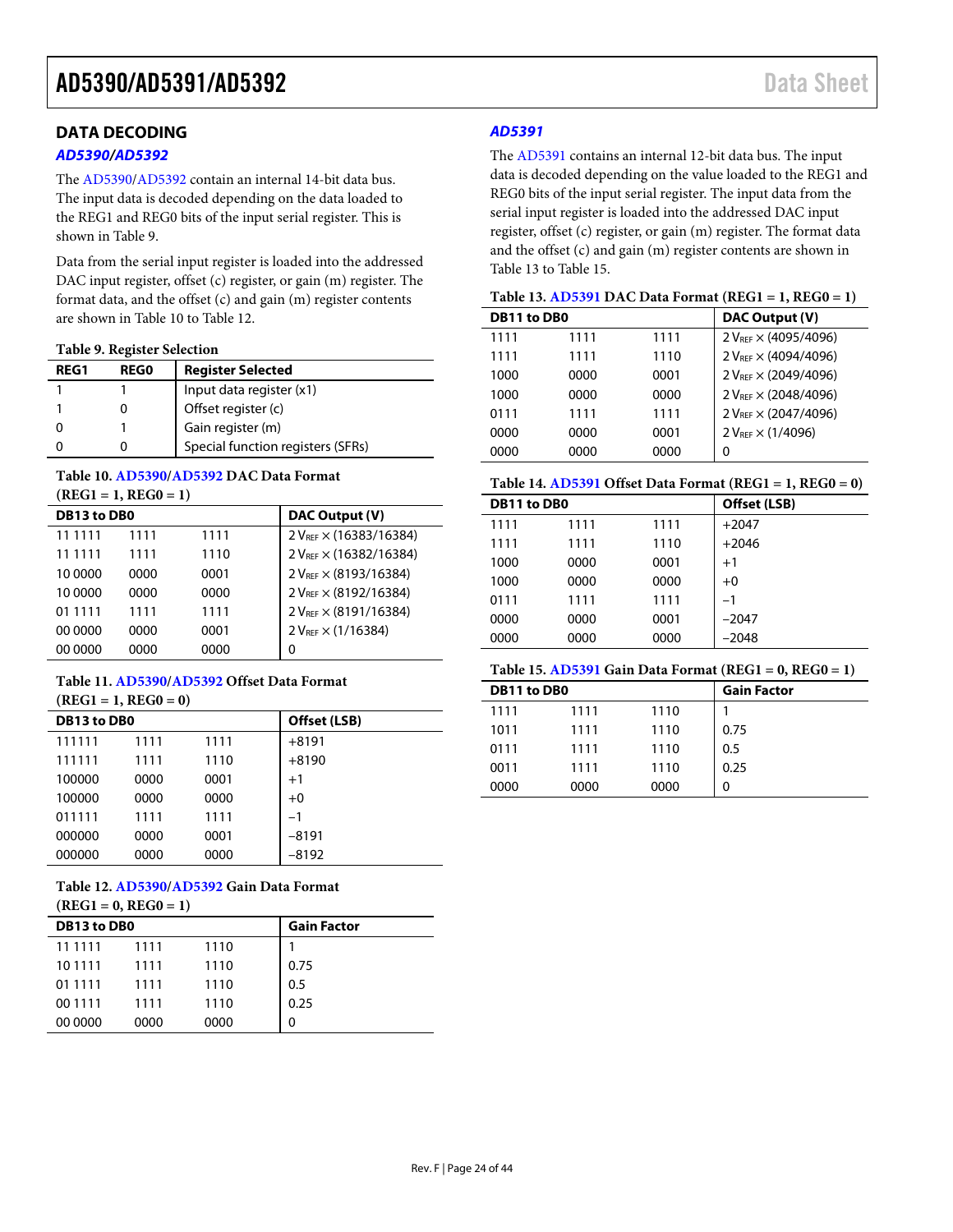### <span id="page-23-0"></span>**DATA DECODING**

#### *[AD5390/](http://www.analog.com/AD5390?doc=AD5390_5391_5392.pdf)[AD5392](http://www.analog.com/AD5392?doc=AD5390_5391_5392.pdf)*

The [AD5390](http://www.analog.com/AD5390?doc=AD5390_5391_5392.pdf)[/AD5392](http://www.analog.com/AD5392?doc=AD5390_5391_5392.pdf) contain an internal 14-bit data bus. The input data is decoded depending on the data loaded to the REG1 and REG0 bits of the input serial register. This is shown in [Table 9.](#page-23-1) 

Data from the serial input register is loaded into the addressed DAC input register, offset (c) register, or gain (m) register. The format data, and the offset (c) and gain (m) register contents are shown i[n Table 10](#page-23-2) to [Table 12.](#page-23-3) 

<span id="page-23-1"></span>**Table 9. Register Selection**

| RFG1 | <b>REGO</b> | <b>Register Selected</b>          |
|------|-------------|-----------------------------------|
|      |             | Input data register (x1)          |
|      |             | Offset register (c)               |
|      |             | Gain register (m)                 |
|      |             | Special function registers (SFRs) |

#### <span id="page-23-2"></span>**Table 10[. AD5390/](http://www.analog.com/AD5390?doc=AD5390_5391_5392.pdf)[AD5392](http://www.analog.com/AD5392?doc=AD5390_5391_5392.pdf) DAC Data Format (REG1 = 1, REG0 = 1)**

| DB13 to DB0 |      |      | DAC Output (V)                    |
|-------------|------|------|-----------------------------------|
| 11 1111     | 1111 | 1111 | $2 V_{REF} \times (16383/16384)$  |
| 11 1111     | 1111 | 1110 | 2 VREF × (16382/16384)            |
| 10 0000     | 0000 | 0001 | $2 V_{RFF} \times (8193/16384)$   |
| 10 0000     | 0000 | 0000 | 2 V <sub>REF</sub> × (8192/16384) |
| 01 1111     | 1111 | 1111 | $2 V_{RFF} \times (8191/16384)$   |
| 00 0000     | 0000 | 0001 | $2 V_{REF} \times (1/16384)$      |
| 00 0000     | 0000 | 0000 | 0                                 |

#### **Table 11[. AD5390/](http://www.analog.com/AD5390?doc=AD5390_5391_5392.pdf)[AD5392](http://www.analog.com/AD5392?doc=AD5390_5391_5392.pdf) Offset Data Format (REG1 = 1, REG0 = 0)**

| DB13 to DB0 |      |      | Offset (LSB) |
|-------------|------|------|--------------|
| 111111      | 1111 | 1111 | $+8191$      |
| 111111      | 1111 | 1110 | $+8190$      |
| 100000      | 0000 | 0001 | $+1$         |
| 100000      | 0000 | 0000 | $+0$         |
| 011111      | 1111 | 1111 | $-1$         |
| 000000      | 0000 | 0001 | $-8191$      |
| 000000      | 0000 | 0000 | $-8192$      |

<span id="page-23-3"></span>**Table 12[. AD5390/](http://www.analog.com/AD5390?doc=AD5390_5391_5392.pdf)[AD5392](http://www.analog.com/AD5392?doc=AD5390_5391_5392.pdf) Gain Data Format** 

**(REG1 = 0, REG0 = 1)**

| DB13 to DB0 |      |      | <b>Gain Factor</b> |
|-------------|------|------|--------------------|
| 11 11 11    | 1111 | 1110 |                    |
| 10 11 11    | 1111 | 1110 | 0.75               |
| 01 1111     | 1111 | 1110 | 0.5                |
| 00 11 11    | 1111 | 1110 | 0.25               |
| 00 0000     | 0000 | 0000 | 0                  |

#### *[AD5391](http://www.analog.com/AD5391?doc=AD5390_5391_5392.pdf)*

The [AD5391](http://www.analog.com/AD5391?doc=AD5390_5391_5392.pdf) contains an internal 12-bit data bus. The input data is decoded depending on the value loaded to the REG1 and REG0 bits of the input serial register. The input data from the serial input register is loaded into the addressed DAC input register, offset (c) register, or gain (m) register. The format data and the offset (c) and gain (m) register contents are shown in [Table 13](#page-23-4) t[o Table 15.](#page-23-5)

<span id="page-23-4"></span>

| Table 13. $AD5391$ DAC Data Format (REG1 = 1, REG0 = 1) |  |
|---------------------------------------------------------|--|
|---------------------------------------------------------|--|

| DB11 to DB0 |      |      | DAC Output (V)                   |
|-------------|------|------|----------------------------------|
| 1111        | 1111 | 1111 | 2 V <sub>REF</sub> × (4095/4096) |
| 1111        | 1111 | 1110 | $2 V_{REF} \times (4094/4096)$   |
| 1000        | 0000 | 0001 | $2 V_{REF} \times (2049/4096)$   |
| 1000        | 0000 | 0000 | $2 V_{RFF} \times (2048/4096)$   |
| 0111        | 1111 | 1111 | 2 V <sub>REF</sub> × (2047/4096) |
| 0000        | 0000 | 0001 | $2 V_{REF} \times (1/4096)$      |
| 0000        | 0000 | 0000 | 0                                |

#### **Table 14[. AD5391](http://www.analog.com/AD5391?doc=AD5390_5391_5392.pdf) Offset Data Format (REG1 = 1, REG0 = 0)**

| DB11 to DB0 |      |      | Offset (LSB) |
|-------------|------|------|--------------|
| 1111        | 1111 | 1111 | $+2047$      |
| 1111        | 1111 | 1110 | $+2046$      |
| 1000        | 0000 | 0001 | $+1$         |
| 1000        | 0000 | 0000 | $+0$         |
| 0111        | 1111 | 1111 | $-1$         |
| 0000        | 0000 | 0001 | $-2047$      |
| 0000        | 0000 | 0000 | $-2048$      |
|             |      |      |              |

#### <span id="page-23-5"></span>**Table 15[. AD5391](http://www.analog.com/AD5391?doc=AD5390_5391_5392.pdf) Gain Data Format (REG1 = 0, REG0 = 1)**

| DB11 to DB0 |      |      | <b>Gain Factor</b> |
|-------------|------|------|--------------------|
| 1111        | 1111 | 1110 |                    |
| 1011        | 1111 | 1110 | 0.75               |
| 0111        | 1111 | 1110 | 0.5                |
| 0011        | 1111 | 1110 | 0.25               |
| 0000        | 0000 | 0000 | 0                  |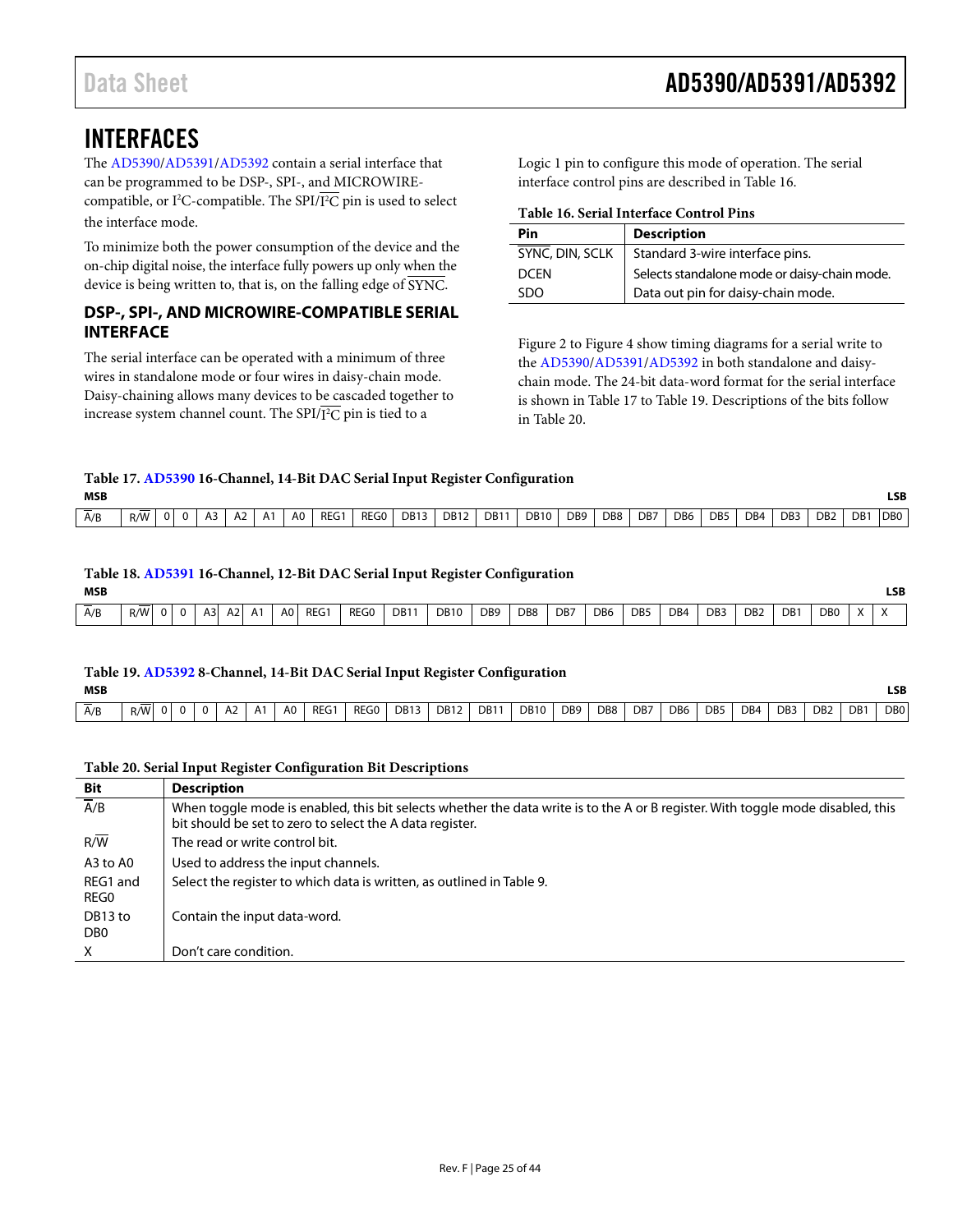### <span id="page-24-0"></span>INTERFACES

The [AD5390](http://www.analog.com/AD5390?doc=AD5390_5391_5392.pdf)[/AD5391/](http://www.analog.com/AD5391?doc=AD5390_5391_5392.pdf)[AD5392](http://www.analog.com/AD5392?doc=AD5390_5391_5392.pdf) contain a serial interface that can be programmed to be DSP-, SPI-, and MICROWIREcompatible, or I<sup>2</sup>C-compatible. The SPI/I<sup>2</sup>C pin is used to select the interface mode.

To minimize both the power consumption of the device and the on-chip digital noise, the interface fully powers up only when the device is being written to, that is, on the falling edge of SYNC.

#### <span id="page-24-1"></span>**DSP-, SPI-, AND MICROWIRE-COMPATIBLE SERIAL INTERFACE**

The serial interface can be operated with a minimum of three wires in standalone mode or four wires in daisy-chain mode. Daisy-chaining allows many devices to be cascaded together to increase system channel count. The SPI/I 2 C pin is tied to a

Logic 1 pin to configure this mode of operation. The serial interface control pins are described i[n Table 16.](#page-24-2)

#### <span id="page-24-2"></span>**Table 16. Serial Interface Control Pins**

| Pin             | <b>Description</b>                           |
|-----------------|----------------------------------------------|
| SYNC, DIN, SCLK | Standard 3-wire interface pins.              |
| <b>DCFN</b>     | Selects standalone mode or daisy-chain mode. |
| SDO             | Data out pin for daisy-chain mode.           |

[Figure 2](#page-10-2) to [Figure 4](#page-11-1) show timing diagrams for a serial write to the [AD5390](http://www.analog.com/AD5390?doc=AD5390_5391_5392.pdf)[/AD5391/](http://www.analog.com/AD5391?doc=AD5390_5391_5392.pdf)[AD5392](http://www.analog.com/AD5392?doc=AD5390_5391_5392.pdf) in both standalone and daisychain mode. The 24-bit data-word format for the serial interface is shown in [Table 17](#page-24-3) t[o Table 19.](#page-24-4) Descriptions of the bits follow in [Table 20.](#page-24-5) 

#### <span id="page-24-3"></span>**Table 17[. AD5390](http://www.analog.com/AD5390?doc=AD5390_5391_5392.pdf) 16-Channel, 14-Bit DAC Serial Input Register Configuration MSB LSB**

| A/B | R/W | $\mathbf{0}$ | $\mathbf{u}$ | A3 | A <sub>2</sub> | A <sub>1</sub> | A0 | REG1 | REG0 | J DB13 | <b>DB12</b> | DB <sub>11</sub> | <b>DB10</b> | DB <sub>9</sub> | DB <sub>8</sub> | DB7 | DB <sub>6</sub> | DB <sub>5</sub> | DB4 | DB <sub>3</sub> | D <sub>B2</sub> | DB1 | <b>DBO</b> |
|-----|-----|--------------|--------------|----|----------------|----------------|----|------|------|--------|-------------|------------------|-------------|-----------------|-----------------|-----|-----------------|-----------------|-----|-----------------|-----------------|-----|------------|
|     |     |              |              |    |                |                |    |      |      |        |             |                  |             |                 |                 |     |                 |                 |     |                 |                 |     |            |

#### **Table 18[. AD5391](http://www.analog.com/AD5391?doc=AD5390_5391_5392.pdf) 16-Channel, 12-Bit DAC Serial Input Register Configuration**

| <b>MSB</b> |     |              |     |           |    |                  |                |                     |             |                 |                        |                 |                        |                 |     |                        |                        |                 |                  |                        | LSB                    |
|------------|-----|--------------|-----|-----------|----|------------------|----------------|---------------------|-------------|-----------------|------------------------|-----------------|------------------------|-----------------|-----|------------------------|------------------------|-----------------|------------------|------------------------|------------------------|
| A/B        | R/W | $\mathbf{0}$ | A3l | $A2$ $A1$ | A0 | REG <sup>®</sup> | REG0<br>______ | <b>DB11</b><br>____ | <b>DB10</b> | DB <sub>9</sub> | DB <sub>8</sub><br>___ | D <sub>B7</sub> | D <sub>B6</sub><br>___ | DB <sub>5</sub> | DB4 | DB <sub>3</sub><br>___ | D <sub>B2</sub><br>___ | DB <sup>1</sup> | D <sub>B</sub> 0 | $\lambda$<br>$\Lambda$ | $\lambda$<br>$\Lambda$ |

#### <span id="page-24-4"></span>**Table 19[. AD5392 8](http://www.analog.com/AD5392?doc=AD5390_5391_5392.pdf)-Channel, 14-Bit DAC Serial Input Register Configuration**

| D <sub>B2</sub><br>DB7<br>DB <sub>8</sub><br>DB1<br>DB <sub>6</sub><br>DB4<br>DB <sub>9</sub><br><b>REG</b><br>REG0<br><b>DB10</b><br>DB <sub>3</sub><br>DB <sub>5</sub><br>DB <sub>13</sub><br>DB <sub>1</sub><br><b>DB12</b><br>R/W<br>A <sub>0</sub><br>A/B<br>A <sub>2</sub><br>A1<br>$\overline{0}$<br> | MSB<br>__ |  |  |  |  |  |  |  |  |  |  |  | LSB.<br>__      |
|--------------------------------------------------------------------------------------------------------------------------------------------------------------------------------------------------------------------------------------------------------------------------------------------------------------|-----------|--|--|--|--|--|--|--|--|--|--|--|-----------------|
|                                                                                                                                                                                                                                                                                                              |           |  |  |  |  |  |  |  |  |  |  |  | DB <sub>0</sub> |

#### <span id="page-24-5"></span>**Table 20. Serial Input Register Configuration Bit Descriptions**

| <b>Bit</b>                 | <b>Description</b>                                                                                                                                                                          |
|----------------------------|---------------------------------------------------------------------------------------------------------------------------------------------------------------------------------------------|
| $\overline{A/B}$           | When toggle mode is enabled, this bit selects whether the data write is to the A or B register. With toggle mode disabled, this<br>bit should be set to zero to select the A data register. |
| $R/\overline{W}$           | The read or write control bit.                                                                                                                                                              |
| A3 to A0                   | Used to address the input channels.                                                                                                                                                         |
| REG1 and<br>REG0           | Select the register to which data is written, as outlined in Table 9.                                                                                                                       |
| DB13 to<br>DB <sub>0</sub> | Contain the input data-word.                                                                                                                                                                |
|                            | Don't care condition.                                                                                                                                                                       |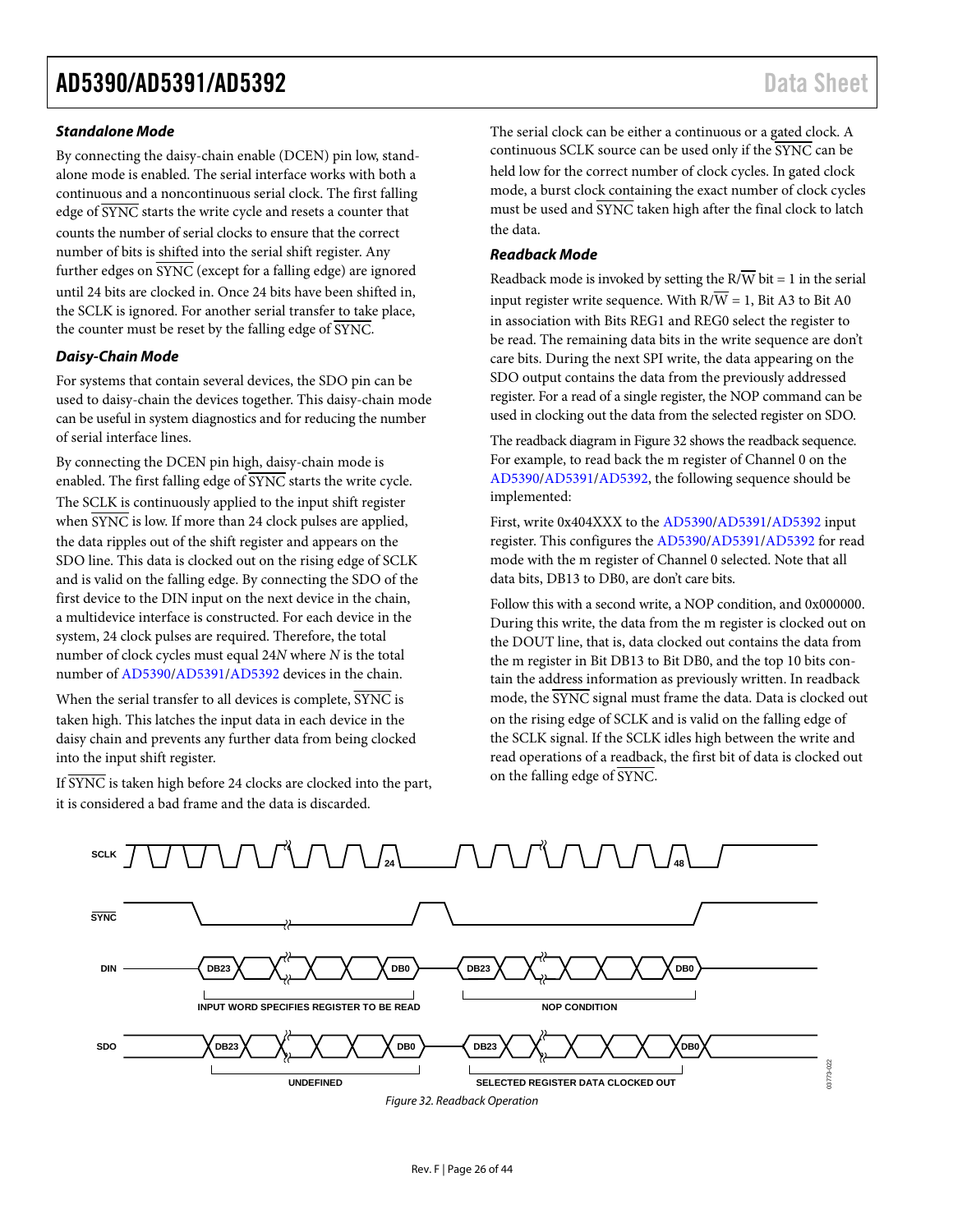#### **Standalone Mode**

By connecting the daisy-chain enable (DCEN) pin low, standalone mode is enabled. The serial interface works with both a continuous and a noncontinuous serial clock. The first falling edge of SYNC starts the write cycle and resets a counter that counts the number of serial clocks to ensure that the correct number of bits is shifted into the serial shift register. Any further edges on  $\overline{\text{SYNC}}$  (except for a falling edge) are ignored until 24 bits are clocked in. Once 24 bits have been shifted in, the SCLK is ignored. For another serial transfer to take place, the counter must be reset by the falling edge of  $\overline{\text{SYNC}}$ .

#### **Daisy-Chain Mode**

For systems that contain several devices, the SDO pin can be used to daisy-chain the devices together. This daisy-chain mode can be useful in system diagnostics and for reducing the number of serial interface lines.

By connecting the DCEN pin high, daisy-chain mode is enabled. The first falling edge of SYNC starts the write cycle. The SCLK is continuously applied to the input shift register when  $\overline{\text{SYNC}}$  is low. If more than 24 clock pulses are applied, the data ripples out of the shift register and appears on the SDO line. This data is clocked out on the rising edge of SCLK and is valid on the falling edge. By connecting the SDO of the first device to the DIN input on the next device in the chain, a multidevice interface is constructed. For each device in the system, 24 clock pulses are required. Therefore, the total number of clock cycles must equal 24*N* where *N* is the total number of [AD5390/](http://www.analog.com/AD5390?doc=AD5390_5391_5392.pdf)[AD5391/](http://www.analog.com/AD5391?doc=AD5390_5391_5392.pdf)[AD5392 d](http://www.analog.com/AD5392?doc=AD5390_5391_5392.pdf)evices in the chain.

When the serial transfer to all devices is complete,  $\overline{\text{SYNC}}$  is taken high. This latches the input data in each device in the daisy chain and prevents any further data from being clocked into the input shift register.

If SYNC is taken high before 24 clocks are clocked into the part, it is considered a bad frame and the data is discarded.

The serial clock can be either a continuous or a gated clock. A continuous SCLK source can be used only if the SYNC can be held low for the correct number of clock cycles. In gated clock mode, a burst clock containing the exact number of clock cycles must be used and  $\overline{\text{SYNC}}$  taken high after the final clock to latch the data.

#### **Readback Mode**

Readback mode is invoked by setting the  $R/\overline{W}$  bit = 1 in the serial input register write sequence. With  $R/\overline{W} = 1$ , Bit A3 to Bit A0 in association with Bits REG1 and REG0 select the register to be read. The remaining data bits in the write sequence are don't care bits. During the next SPI write, the data appearing on the SDO output contains the data from the previously addressed register. For a read of a single register, the NOP command can be used in clocking out the data from the selected register on SDO.

The readback diagram i[n Figure 32](#page-25-0) shows the readback sequence. For example, to read back the m register of Channel 0 on the [AD5390/](http://www.analog.com/AD5390?doc=AD5390_5391_5392.pdf)[AD5391/](http://www.analog.com/AD5391?doc=AD5390_5391_5392.pdf)[AD5392,](http://www.analog.com/AD5392?doc=AD5390_5391_5392.pdf) the following sequence should be implemented:

First, write 0x404XXX to the [AD5390/](http://www.analog.com/AD5390?doc=AD5390_5391_5392.pdf)[AD5391/](http://www.analog.com/AD5391?doc=AD5390_5391_5392.pdf)[AD5392 i](http://www.analog.com/AD5392?doc=AD5390_5391_5392.pdf)nput register. This configures th[e AD5390](http://www.analog.com/AD5390?doc=AD5390_5391_5392.pdf)[/AD5391/](http://www.analog.com/AD5391?doc=AD5390_5391_5392.pdf)[AD5392 f](http://www.analog.com/AD5392?doc=AD5390_5391_5392.pdf)or read mode with the m register of Channel 0 selected. Note that all data bits, DB13 to DB0, are don't care bits.

Follow this with a second write, a NOP condition, and 0x000000. During this write, the data from the m register is clocked out on the DOUT line, that is, data clocked out contains the data from the m register in Bit DB13 to Bit DB0, and the top 10 bits contain the address information as previously written. In readback mode, the SYNC signal must frame the data. Data is clocked out on the rising edge of SCLK and is valid on the falling edge of the SCLK signal. If the SCLK idles high between the write and read operations of a readback, the first bit of data is clocked out on the falling edge of SYNC.

<span id="page-25-0"></span>

Figure 32. Readback Operation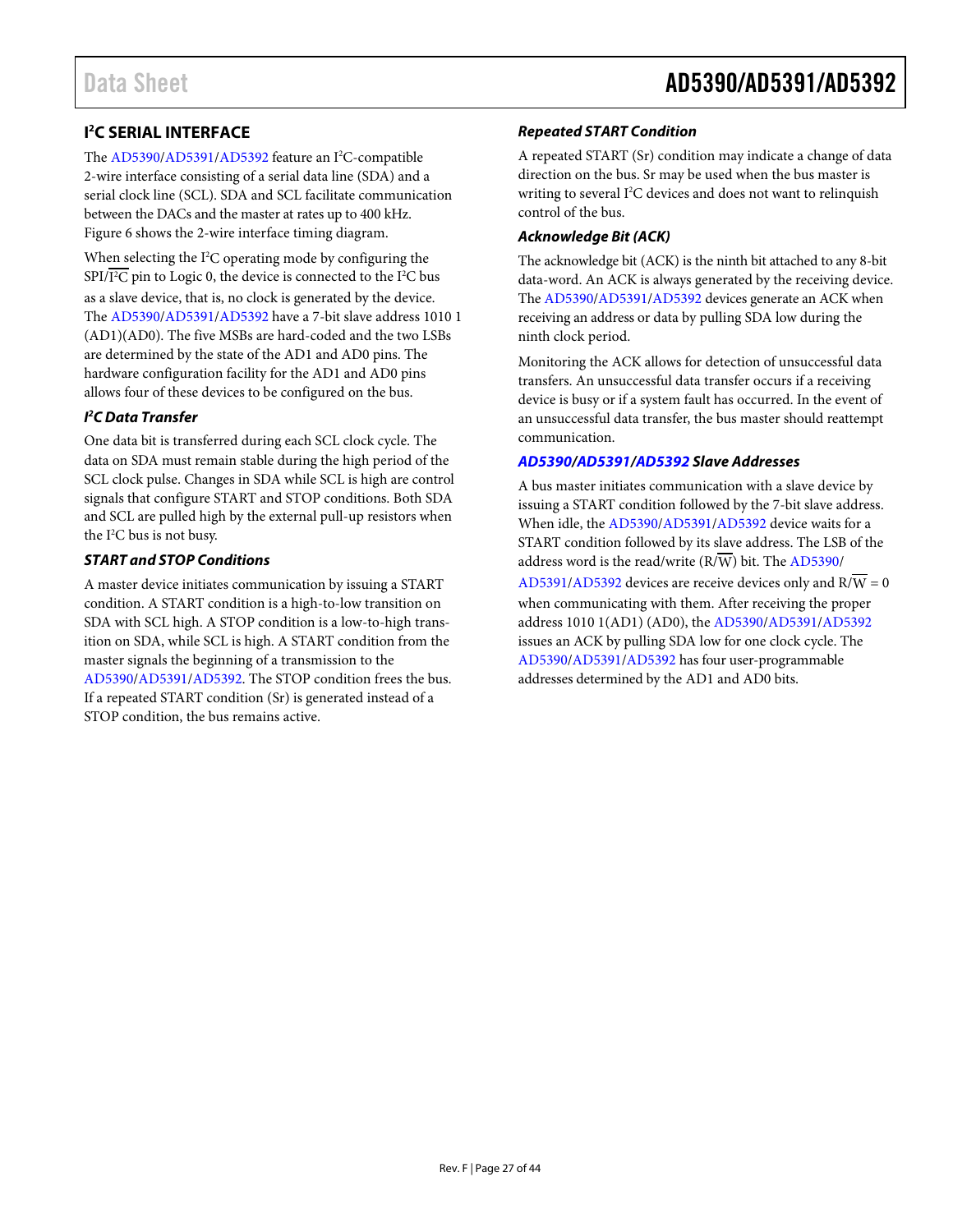### <span id="page-26-0"></span>**I 2 C SERIAL INTERFACE**

The [AD5390](http://www.analog.com/AD5390?doc=AD5390_5391_5392.pdf)[/AD5391/](http://www.analog.com/AD5391?doc=AD5390_5391_5392.pdf)[AD5392](http://www.analog.com/AD5392?doc=AD5390_5391_5392.pdf) feature an I<sup>2</sup>C-compatible 2-wire interface consisting of a serial data line (SDA) and a serial clock line (SCL). SDA and SCL facilitate communication between the DACs and the master at rates up to 400 kHz. [Figure 6](#page-12-1) shows the 2-wire interface timing diagram.

When selecting the  $I<sup>2</sup>C$  operating mode by configuring the SPI/I<sup>2</sup>C pin to Logic 0, the device is connected to the I<sup>2</sup>C bus

as a slave device, that is, no clock is generated by the device. The [AD5390](http://www.analog.com/AD5390?doc=AD5390_5391_5392.pdf)[/AD5391/](http://www.analog.com/AD5391?doc=AD5390_5391_5392.pdf)[AD5392](http://www.analog.com/AD5392?doc=AD5390_5391_5392.pdf) have a 7-bit slave address 1010 1 (AD1)(AD0). The five MSBs are hard-coded and the two LSBs are determined by the state of the AD1 and AD0 pins. The hardware configuration facility for the AD1 and AD0 pins allows four of these devices to be configured on the bus.

#### *I 2 C Data Transfer*

One data bit is transferred during each SCL clock cycle. The data on SDA must remain stable during the high period of the SCL clock pulse. Changes in SDA while SCL is high are control signals that configure START and STOP conditions. Both SDA and SCL are pulled high by the external pull-up resistors when the I2 C bus is not busy.

#### *START and STOP Conditions*

A master device initiates communication by issuing a START condition. A START condition is a high-to-low transition on SDA with SCL high. A STOP condition is a low-to-high transition on SDA, while SCL is high. A START condition from the master signals the beginning of a transmission to the [AD5390/](http://www.analog.com/AD5390?doc=AD5390_5391_5392.pdf)[AD5391/](http://www.analog.com/AD5391?doc=AD5390_5391_5392.pdf)[AD5392.](http://www.analog.com/AD5392?doc=AD5390_5391_5392.pdf) The STOP condition frees the bus. If a repeated START condition (Sr) is generated instead of a STOP condition, the bus remains active.

#### *Repeated START Condition*

A repeated START (Sr) condition may indicate a change of data direction on the bus. Sr may be used when the bus master is writing to several I<sup>2</sup>C devices and does not want to relinquish control of the bus.

#### *Acknowledge Bit (ACK)*

The acknowledge bit (ACK) is the ninth bit attached to any 8-bit data-word. An ACK is always generated by the receiving device. Th[e AD5390](http://www.analog.com/AD5390?doc=AD5390_5391_5392.pdf)[/AD5391/](http://www.analog.com/AD5391?doc=AD5390_5391_5392.pdf)[AD5392](http://www.analog.com/AD5392?doc=AD5390_5391_5392.pdf) devices generate an ACK when receiving an address or data by pulling SDA low during the ninth clock period.

Monitoring the ACK allows for detection of unsuccessful data transfers. An unsuccessful data transfer occurs if a receiving device is busy or if a system fault has occurred. In the event of an unsuccessful data transfer, the bus master should reattempt communication.

#### *[AD5390/](http://www.analog.com/AD5390?doc=AD5390_5391_5392.pdf)[AD5391/](http://www.analog.com/AD5391?doc=AD5390_5391_5392.pdf)[AD5392](http://www.analog.com/AD5392?doc=AD5390_5391_5392.pdf) Slave Addresses*

A bus master initiates communication with a slave device by issuing a START condition followed by the 7-bit slave address. When idle, the [AD5390/](http://www.analog.com/AD5390?doc=AD5390_5391_5392.pdf)[AD5391/](http://www.analog.com/AD5391?doc=AD5390_5391_5392.pdf)[AD5392 d](http://www.analog.com/AD5392?doc=AD5390_5391_5392.pdf)evice waits for a START condition followed by its slave address. The LSB of the address word is the read/write  $(R/\overline{W})$  bit. Th[e AD5390/](http://www.analog.com/AD5390?doc=AD5390_5391_5392.pdf)

[AD5391/](http://www.analog.com/AD5391?doc=AD5390_5391_5392.pdf)[AD5392](http://www.analog.com/AD5392?doc=AD5390_5391_5392.pdf) devices are receive devices only and  $R/W = 0$ when communicating with them. After receiving the proper address 1010 1(AD1) (AD0), th[e AD5390](http://www.analog.com/AD5390?doc=AD5390_5391_5392.pdf)[/AD5391](http://www.analog.com/AD5391?doc=AD5390_5391_5392.pdf)[/AD5392](http://www.analog.com/AD5392?doc=AD5390_5391_5392.pdf) issues an ACK by pulling SDA low for one clock cycle. The [AD5390/](http://www.analog.com/AD5390?doc=AD5390_5391_5392.pdf)[AD5391/](http://www.analog.com/AD5391?doc=AD5390_5391_5392.pdf)[AD5392](http://www.analog.com/AD5392?doc=AD5390_5391_5392.pdf) has four user-programmable addresses determined by the AD1 and AD0 bits.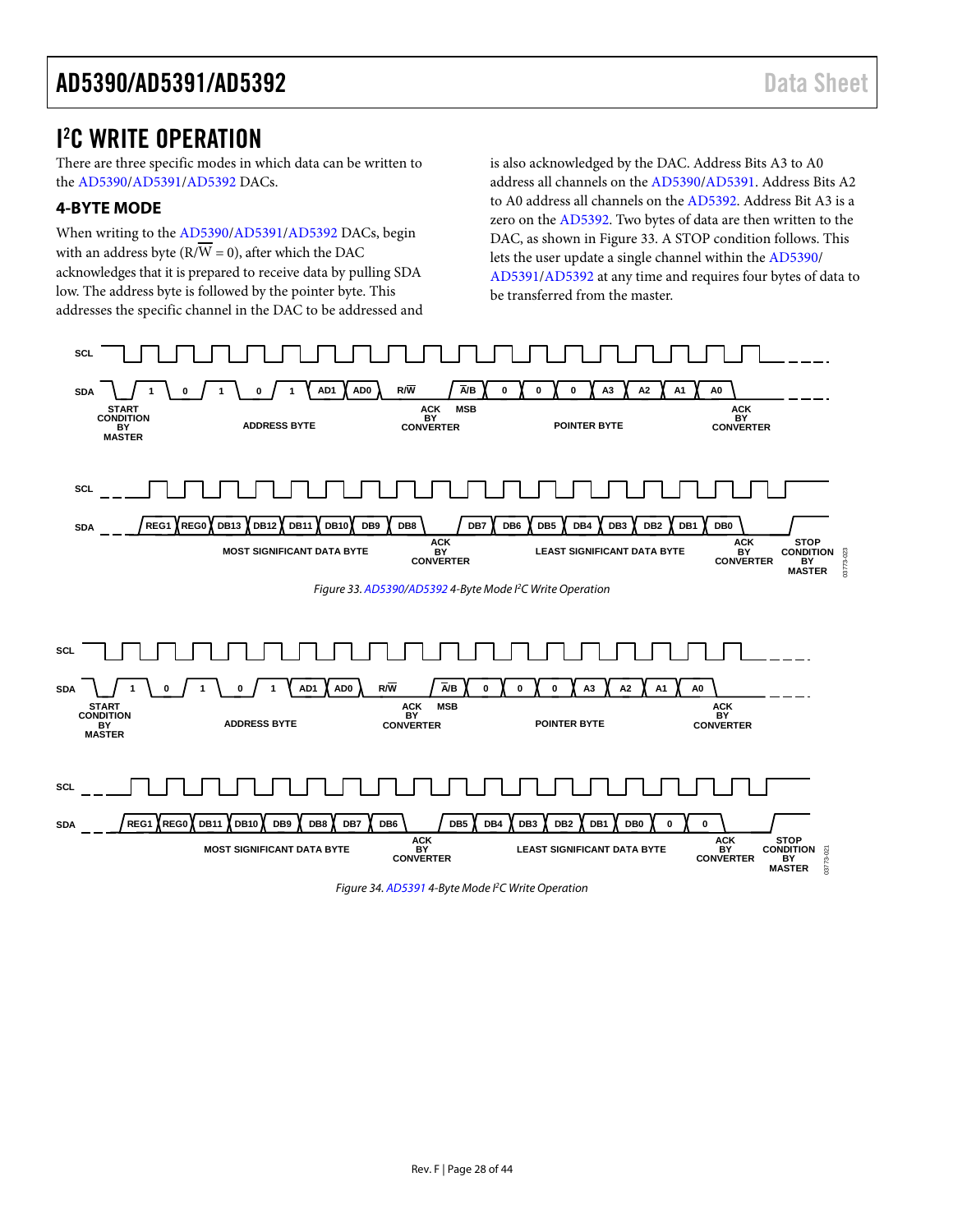### <span id="page-27-0"></span>I 2 C WRITE OPERATION

There are three specific modes in which data can be written to the [AD5390](http://www.analog.com/AD5390?doc=AD5390_5391_5392.pdf)[/AD5391/](http://www.analog.com/AD5391?doc=AD5390_5391_5392.pdf)[AD5392 D](http://www.analog.com/AD5392?doc=AD5390_5391_5392.pdf)ACs.

#### <span id="page-27-1"></span>**4-BYTE MODE**

When writing to th[e AD5390](http://www.analog.com/AD5390?doc=AD5390_5391_5392.pdf)[/AD5391](http://www.analog.com/AD5391?doc=AD5390_5391_5392.pdf)[/AD5392](http://www.analog.com/AD5392?doc=AD5390_5391_5392.pdf) DACs, begin with an address byte ( $\overline{RVW} = 0$ ), after which the DAC acknowledges that it is prepared to receive data by pulling SDA low. The address byte is followed by the pointer byte. This addresses the specific channel in the DAC to be addressed and is also acknowledged by the DAC. Address Bits A3 to A0 address all channels on th[e AD5390/](http://www.analog.com/AD5390?doc=AD5390_5391_5392.pdf)[AD5391.](http://www.analog.com/AD5391?doc=AD5390_5391_5392.pdf) Address Bits A2 to A0 address all channels on th[e AD5392.](http://www.analog.com/AD5392?doc=AD5390_5391_5392.pdf) Address Bit A3 is a zero on th[e AD5392.](http://www.analog.com/AD5392?doc=AD5390_5391_5392.pdf) Two bytes of data are then written to the DAC, as shown i[n Figure 33.](#page-27-2) A STOP condition follows. This lets the user update a single channel within the [AD5390/](http://www.analog.com/AD5390?doc=AD5390_5391_5392.pdf) [AD5391/](http://www.analog.com/AD5391?doc=AD5390_5391_5392.pdf)[AD5392 a](http://www.analog.com/AD5392?doc=AD5390_5391_5392.pdf)t any time and requires four bytes of data to be transferred from the master.

<span id="page-27-2"></span>

Figure 34[. AD5391 4](http://www.analog.com/AD5391?doc=AD5390_5391_5392.pdf)-Byte Mode PC Write Operation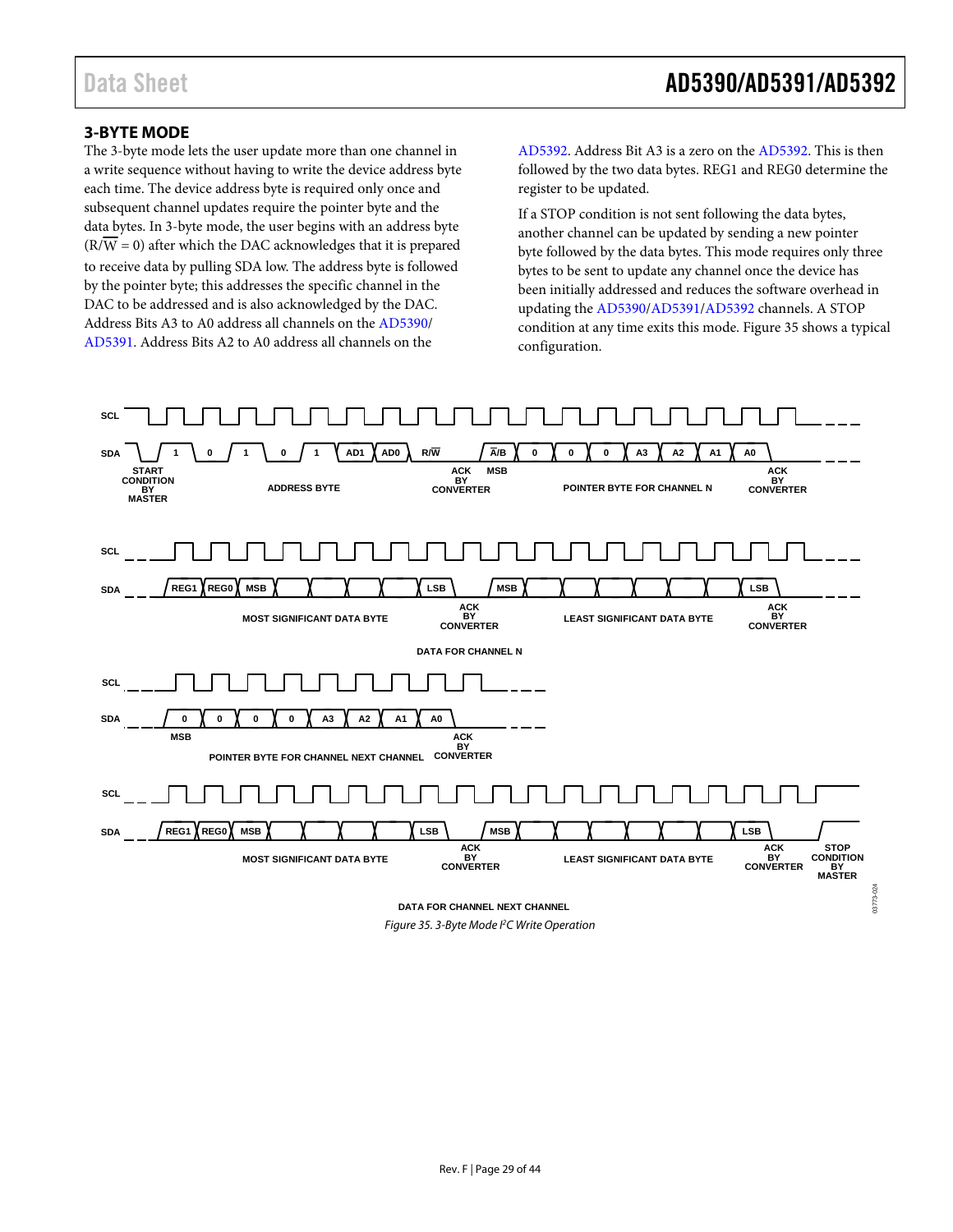03773-024

#### <span id="page-28-0"></span>**3-BYTE MODE**

The 3-byte mode lets the user update more than one channel in a write sequence without having to write the device address byte each time. The device address byte is required only once and subsequent channel updates require the pointer byte and the data bytes. In 3-byte mode, the user begins with an address byte  $(R/\overline{W} = 0)$  after which the DAC acknowledges that it is prepared to receive data by pulling SDA low. The address byte is followed by the pointer byte; this addresses the specific channel in the DAC to be addressed and is also acknowledged by the DAC. Address Bits A3 to A0 address all channels on th[e AD5390/](http://www.analog.com/AD5390?doc=AD5390_5391_5392.pdf) [AD5391.](http://www.analog.com/AD5391?doc=AD5390_5391_5392.pdf) Address Bits A2 to A0 address all channels on the

[AD5392.](http://www.analog.com/AD5392?doc=AD5390_5391_5392.pdf) Address Bit A3 is a zero on th[e AD5392.](http://www.analog.com/AD5392?doc=AD5390_5391_5392.pdf) This is then followed by the two data bytes. REG1 and REG0 determine the register to be updated.

If a STOP condition is not sent following the data bytes, another channel can be updated by sending a new pointer byte followed by the data bytes. This mode requires only three bytes to be sent to update any channel once the device has been initially addressed and reduces the software overhead in updating th[e AD5390](http://www.analog.com/AD5390?doc=AD5390_5391_5392.pdf)[/AD5391](http://www.analog.com/AD5391?doc=AD5390_5391_5392.pdf)[/AD5392](http://www.analog.com/AD5392?doc=AD5390_5391_5392.pdf) channels. A STOP condition at any time exits this mode[. Figure 35](#page-28-1) shows a typical configuration.



<span id="page-28-1"></span>Figure 35. 3-Byte Mode <sup>P</sup>C Write Operation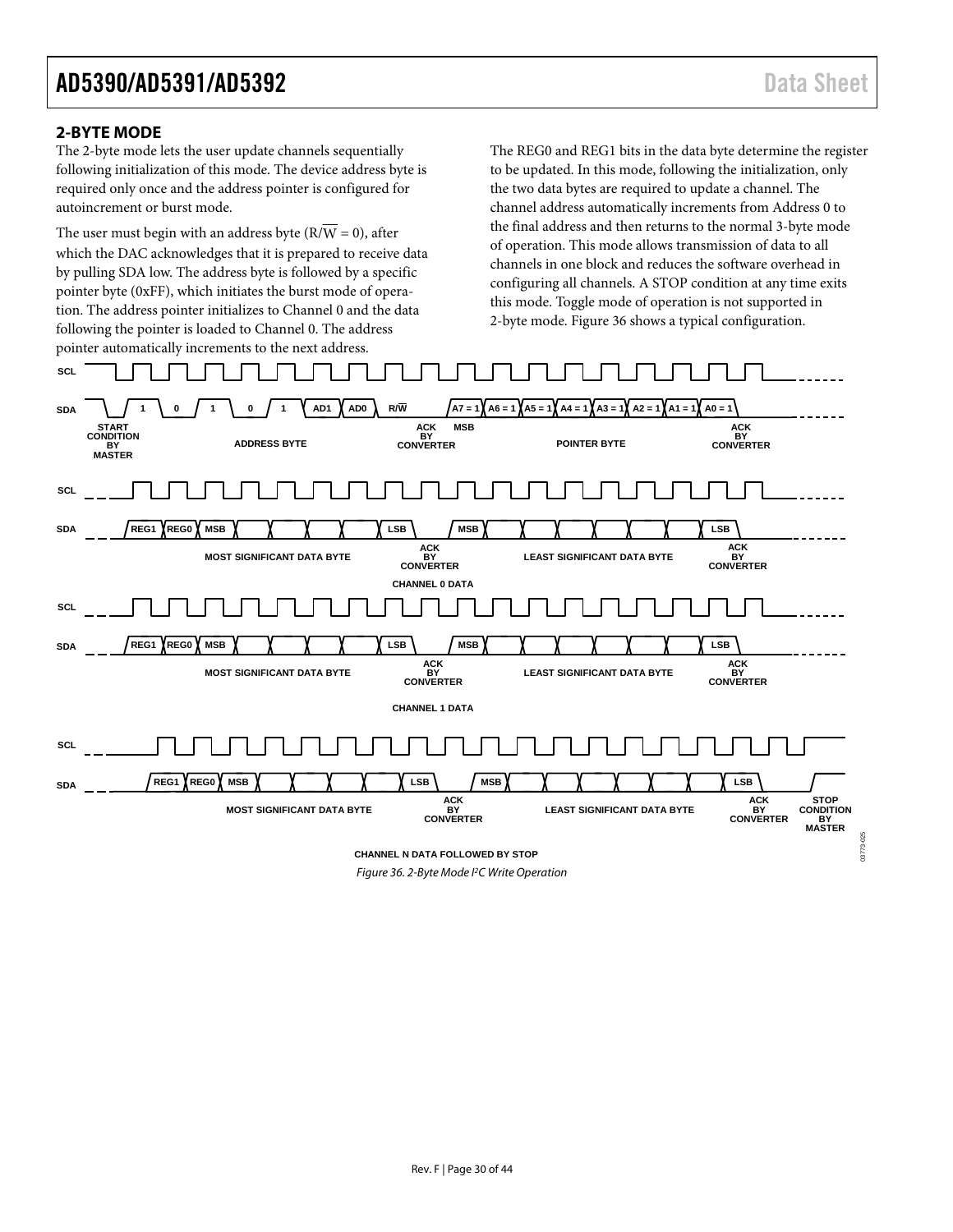03773-025

#### <span id="page-29-0"></span>**2-BYTE MODE**

The 2-byte mode lets the user update channels sequentially following initialization of this mode. The device address byte is required only once and the address pointer is configured for autoincrement or burst mode.

The user must begin with an address byte  $(R/\overline{W} = 0)$ , after which the DAC acknowledges that it is prepared to receive data by pulling SDA low. The address byte is followed by a specific pointer byte (0xFF), which initiates the burst mode of operation. The address pointer initializes to Channel 0 and the data following the pointer is loaded to Channel 0. The address pointer automatically increments to the next address.

The REG0 and REG1 bits in the data byte determine the register to be updated. In this mode, following the initialization, only the two data bytes are required to update a channel. The channel address automatically increments from Address 0 to the final address and then returns to the normal 3-byte mode of operation. This mode allows transmission of data to all channels in one block and reduces the software overhead in configuring all channels. A STOP condition at any time exits this mode. Toggle mode of operation is not supported in 2-byte mode. [Figure 36 s](#page-29-1)hows a typical configuration.

<span id="page-29-1"></span>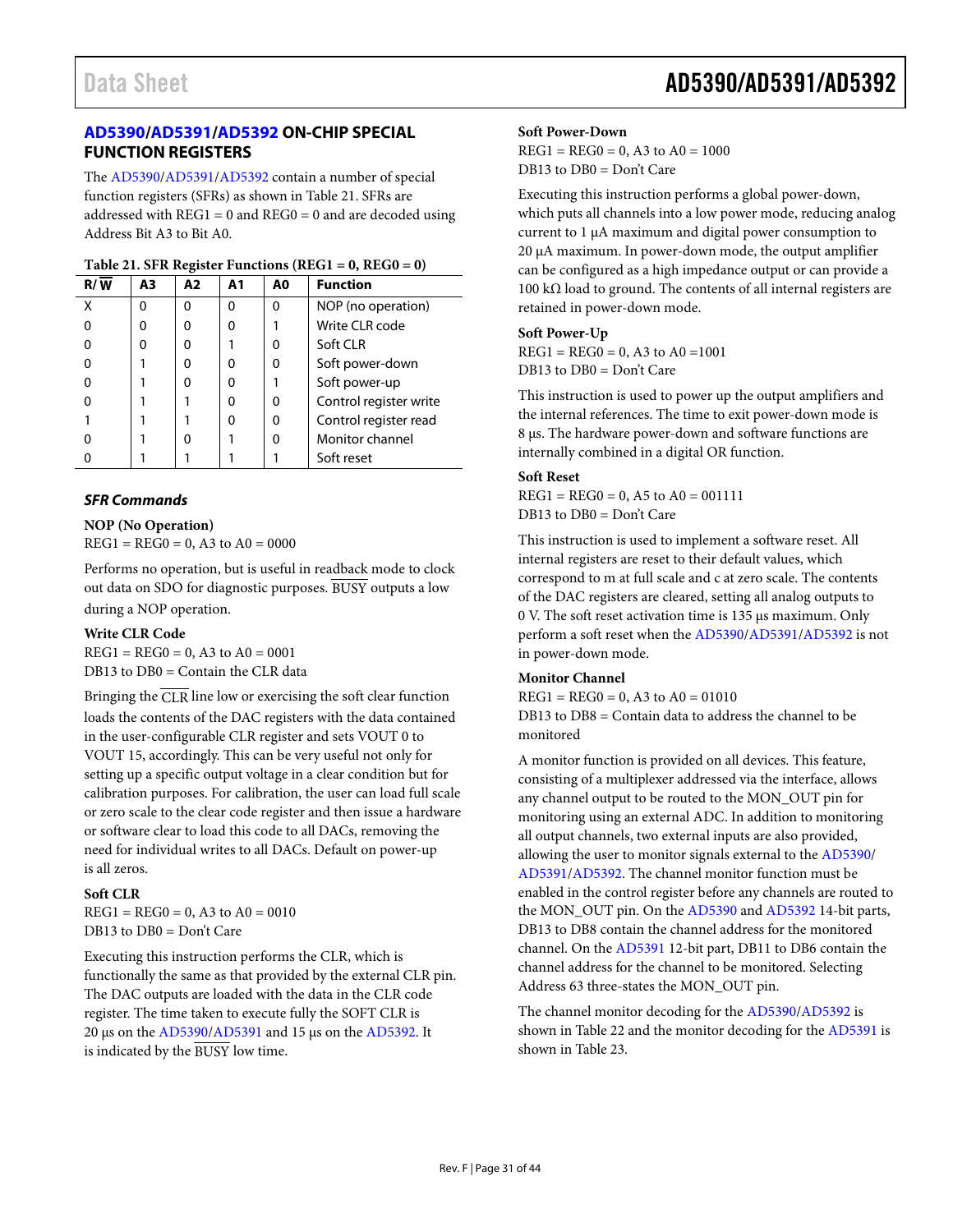#### <span id="page-30-0"></span>**[AD5390/](http://www.analog.com/AD5390?doc=AD5390_5391_5392.pdf)[AD5391](http://www.analog.com/AD5391?doc=AD5390_5391_5392.pdf)[/AD5392](http://www.analog.com/AD5392?doc=AD5390_5391_5392.pdf) ON-CHIP SPECIAL FUNCTION REGISTERS**

The [AD5390](http://www.analog.com/AD5390?doc=AD5390_5391_5392.pdf)[/AD5391/](http://www.analog.com/AD5391?doc=AD5390_5391_5392.pdf)[AD5392](http://www.analog.com/AD5392?doc=AD5390_5391_5392.pdf) contain a number of special function registers (SFRs) as shown in [Table 21.](#page-30-1) SFRs are addressed with  $REG1 = 0$  and  $REG0 = 0$  and are decoded using Address Bit A3 to Bit A0.

|     |    | $\frac{1}{2}$ |    |    |                        |
|-----|----|---------------|----|----|------------------------|
| R/W | A3 | A2            | A1 | A0 | <b>Function</b>        |
| χ   | ŋ  | $\Omega$      | ი  | O  | NOP (no operation)     |
| 0   | n  | ŋ             | 0  |    | Write CLR code         |
| ŋ   | ŋ  | U             |    | O  | Soft CLR               |
| 0   |    | ŋ             | 0  | 0  | Soft power-down        |
| ŋ   |    | ŋ             | 0  |    | Soft power-up          |
| ŋ   |    |               | O  | 0  | Control register write |
|     |    |               | O  | 0  | Control register read  |
|     |    | ŋ             |    | O  | Monitor channel        |
|     |    |               |    |    | Soft reset             |
|     |    |               |    |    |                        |

#### <span id="page-30-1"></span>**Table 21. SFR Register Functions (REG1 = 0, REG0 = 0)**

#### *SFR Commands*

#### **NOP (No Operation)**

 $REG1 = REG0 = 0, A3$  to  $A0 = 0000$ 

Performs no operation, but is useful in readback mode to clock out data on SDO for diagnostic purposes. BUSY outputs a low during a NOP operation.

#### **Write CLR Code**

 $REG1 = REG0 = 0, A3$  to  $A0 = 0001$ DB13 to DB0 = Contain the CLR data

Bringing the CLR line low or exercising the soft clear function loads the contents of the DAC registers with the data contained in the user-configurable CLR register and sets VOUT 0 to VOUT 15, accordingly. This can be very useful not only for setting up a specific output voltage in a clear condition but for calibration purposes. For calibration, the user can load full scale or zero scale to the clear code register and then issue a hardware or software clear to load this code to all DACs, removing the need for individual writes to all DACs. Default on power-up is all zeros.

#### **Soft CLR**

 $REG1 = REG0 = 0$ , A3 to  $AO = 0010$ DB13 to DB0 = Don't Care

Executing this instruction performs the CLR, which is functionally the same as that provided by the external CLR pin. The DAC outputs are loaded with the data in the CLR code register. The time taken to execute fully the SOFT CLR is 20 µs on the [AD5390/](http://www.analog.com/AD5390?doc=AD5390_5391_5392.pdf)[AD5391](http://www.analog.com/AD5391?doc=AD5390_5391_5392.pdf) and 15 µs on th[e AD5392.](http://www.analog.com/AD5392?doc=AD5390_5391_5392.pdf) It is indicated by the BUSY low time.

### Data Sheet **AD5390/AD5391/AD5392**

#### **Soft Power-Down**

 $REG1 = REG0 = 0, A3$  to  $A0 = 1000$ DB13 to DB0 = Don't Care

Executing this instruction performs a global power-down, which puts all channels into a low power mode, reducing analog current to 1 µA maximum and digital power consumption to 20 µA maximum. In power-down mode, the output amplifier can be configured as a high impedance output or can provide a 100 kΩ load to ground. The contents of all internal registers are retained in power-down mode.

#### **Soft Power-Up**

 $REG1 = REG0 = 0, A3$  to  $A0 = 1001$ DB13 to DB0 = Don't Care

This instruction is used to power up the output amplifiers and the internal references. The time to exit power-down mode is 8 µs. The hardware power-down and software functions are internally combined in a digital OR function.

#### **Soft Reset**

 $REG1 = REG0 = 0, A5$  to  $A0 = 001111$ DB13 to DB0 = Don't Care

This instruction is used to implement a software reset. All internal registers are reset to their default values, which correspond to m at full scale and c at zero scale. The contents of the DAC registers are cleared, setting all analog outputs to 0 V. The soft reset activation time is 135 µs maximum. Only perform a soft reset when th[e AD5390](http://www.analog.com/AD5390?doc=AD5390_5391_5392.pdf)[/AD5391](http://www.analog.com/AD5391?doc=AD5390_5391_5392.pdf)[/AD5392](http://www.analog.com/AD5392?doc=AD5390_5391_5392.pdf) is not in power-down mode.

#### **Monitor Channel**

 $REG1 = REG0 = 0$ , A3 to  $A0 = 01010$ DB13 to DB8 = Contain data to address the channel to be monitored

A monitor function is provided on all devices. This feature, consisting of a multiplexer addressed via the interface, allows any channel output to be routed to the MON\_OUT pin for monitoring using an external ADC. In addition to monitoring all output channels, two external inputs are also provided, allowing the user to monitor signals external to the [AD5390/](http://www.analog.com/AD5390?doc=AD5390_5391_5392.pdf) [AD5391/](http://www.analog.com/AD5391?doc=AD5390_5391_5392.pdf)[AD5392.](http://www.analog.com/AD5392?doc=AD5390_5391_5392.pdf) The channel monitor function must be enabled in the control register before any channels are routed to the MON\_OUT pin. On the [AD5390](http://www.analog.com/AD5390?doc=AD5390_5391_5392.pdf) an[d AD5392](http://www.analog.com/AD5392?doc=AD5390_5391_5392.pdf) 14-bit parts, DB13 to DB8 contain the channel address for the monitored channel. On th[e AD5391](http://www.analog.com/AD5391?doc=AD5390_5391_5392.pdf) 12-bit part, DB11 to DB6 contain the channel address for the channel to be monitored. Selecting Address 63 three-states the MON\_OUT pin.

The channel monitor decoding for the [AD5390/](http://www.analog.com/AD5390?doc=AD5390_5391_5392.pdf)[AD5392](http://www.analog.com/AD5392?doc=AD5390_5391_5392.pdf) is shown in [Table 22](#page-31-0) and the monitor decoding for the [AD5391](http://www.analog.com/AD5391?doc=AD5390_5391_5392.pdf) is shown in [Table 23.](#page-31-1)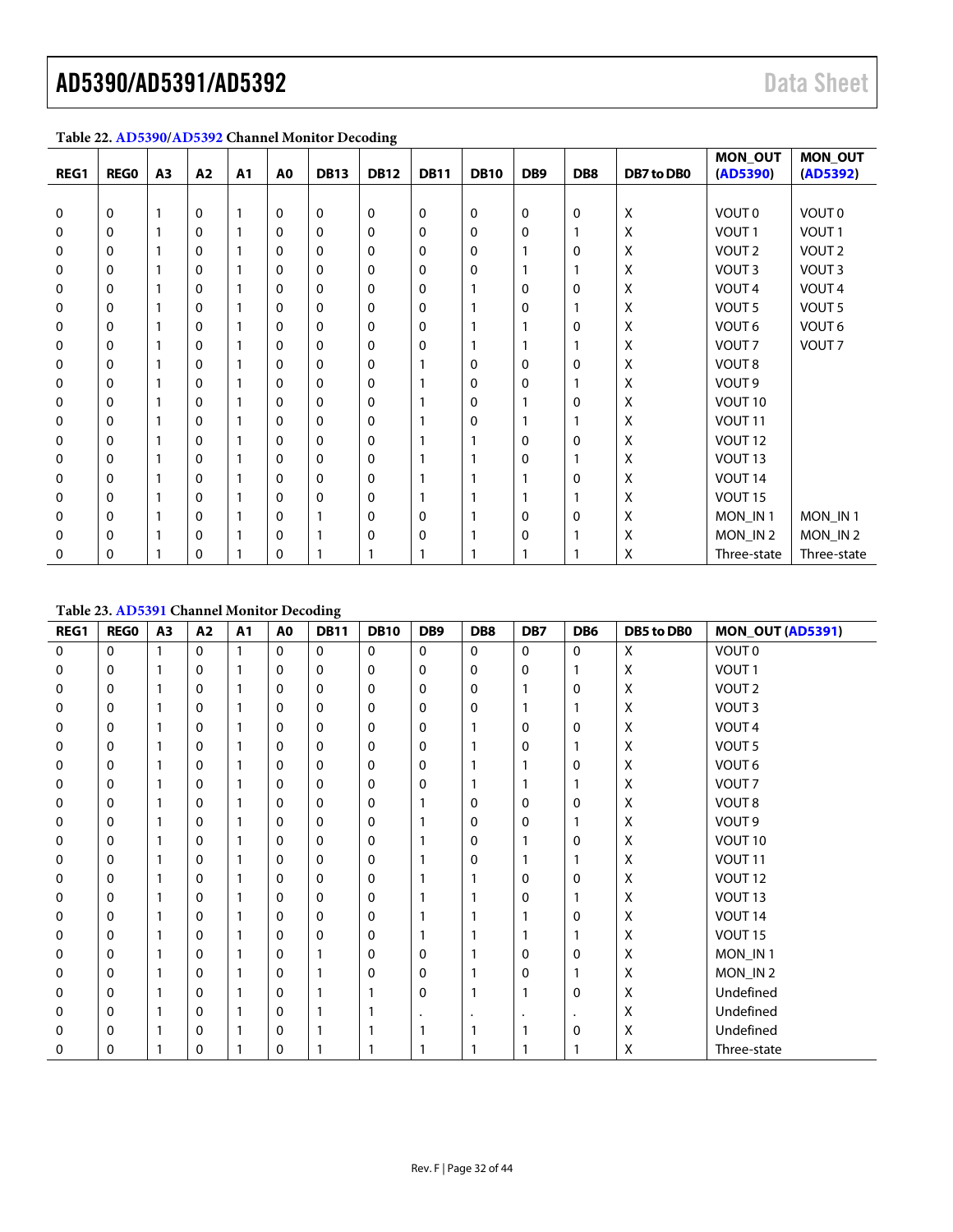| REG1         | <b>REGO</b>  | A <sub>3</sub> | A2       | A <sub>1</sub> | A0 | <b>DB13</b> | <b>DB12</b> | <b>DB11</b> | <b>DB10</b>  | DB <sub>9</sub> | DB8          | DB7 to DB0 | MON_OUT<br>(AD5390) | <b>MON_OUT</b><br>(AD5392) |
|--------------|--------------|----------------|----------|----------------|----|-------------|-------------|-------------|--------------|-----------------|--------------|------------|---------------------|----------------------------|
|              |              |                |          |                |    |             |             |             |              |                 |              |            |                     |                            |
| 0            | 0            |                | $\Omega$ |                | 0  | 0           | $\mathbf 0$ | 0           | 0            | 0               | $\Omega$     | X          | VOUT 0              | VOUT 0                     |
| 0            | 0            |                | $\Omega$ |                | 0  | 0           | 0           | 0           | 0            | 0               |              | Χ          | VOUT <sub>1</sub>   | VOUT <sub>1</sub>          |
| 0            | 0            |                | 0        |                | 0  | 0           | $\mathbf 0$ | 0           | $\mathbf 0$  |                 | $\Omega$     | Χ          | VOUT <sub>2</sub>   | VOUT <sub>2</sub>          |
| 0            | 0            |                | 0        |                | 0  | 0           | $\mathbf 0$ | 0           | 0            |                 |              | Χ          | VOUT <sub>3</sub>   | VOUT <sub>3</sub>          |
| 0            | 0            |                | $\Omega$ |                | 0  | 0           | 0           | 0           |              | 0               | 0            | Χ          | VOUT <sub>4</sub>   | VOUT <sub>4</sub>          |
| 0            | 0            |                | $\Omega$ |                | 0  | 0           | $\mathbf 0$ | 0           |              | 0               |              | Χ          | VOUT <sub>5</sub>   | VOUT <sub>5</sub>          |
| 0            | 0            |                | $\Omega$ |                | 0  | 0           | 0           | 0           |              |                 | 0            | Χ          | VOUT <sub>6</sub>   | VOUT <sub>6</sub>          |
| 0            | 0            |                | $\Omega$ |                | 0  | 0           | $\mathbf 0$ | 0           |              |                 |              | Χ          | VOUT <sub>7</sub>   | VOUT <sub>7</sub>          |
| 0            | $\mathbf{0}$ |                | 0        |                | 0  | 0           | 0           |             | $\mathbf{0}$ | 0               | $\mathbf{0}$ | Χ          | VOUT <sub>8</sub>   |                            |
| 0            | 0            |                | 0        |                | 0  | 0           | 0           |             | 0            | 0               |              | Χ          | VOUT <sub>9</sub>   |                            |
| 0            | $\mathbf{0}$ |                | $\Omega$ |                | 0  | 0           | 0           |             | 0            |                 | 0            | Χ          | VOUT 10             |                            |
| 0            | 0            |                | $\Omega$ |                | 0  | 0           | 0           |             | $\mathbf{0}$ |                 |              | Χ          | VOUT <sub>11</sub>  |                            |
| $\mathbf{0}$ | 0            |                | 0        |                | 0  | 0           | $\mathbf 0$ |             |              | 0               | $\mathbf{0}$ | Χ          | VOUT <sub>12</sub>  |                            |
| 0            | 0            |                | 0        |                | 0  | 0           | 0           |             |              | 0               |              | Χ          | VOUT <sub>13</sub>  |                            |
| 0            | 0            |                | $\Omega$ |                | 0  | 0           | 0           |             |              |                 | 0            | Χ          | VOUT <sub>14</sub>  |                            |
| 0            | 0            |                | $\Omega$ |                | 0  | 0           | 0           |             |              |                 |              | Χ          | VOUT <sub>15</sub>  |                            |
| 0            | 0            |                | $\Omega$ |                | 0  |             | 0           | 0           |              | 0               | 0            | Χ          | MON IN1             | MON_IN1                    |
| 0            | 0            |                | $\Omega$ |                | 0  |             | 0           | 0           |              | 0               |              | Χ          | MON_IN 2            | MON_IN2                    |
| 0            | 0            |                | 0        |                | 0  |             |             |             |              |                 |              | Χ          | Three-state         | Three-state                |

### <span id="page-31-2"></span><span id="page-31-0"></span>**Table 22[. AD5390/](http://www.analog.com/AD5390?doc=AD5390_5391_5392.pdf)[AD5392](http://www.analog.com/AD5392?doc=AD5390_5391_5392.pdf) Channel Monitor Decoding**

#### <span id="page-31-1"></span>**Table 23[. AD5391](http://www.analog.com/AD5391?doc=AD5390_5391_5392.pdf) Channel Monitor Decoding**

| REG1 | <b>REGO</b>  | A3 | A2           | A1 | A <sub>0</sub> | ັ<br><b>DB11</b> | <b>DB10</b> | DB <sub>9</sub> | DB8          | DB7      | DB <sub>6</sub> | DB5 to DB0 | <b>MON_OUT (AD5391)</b> |
|------|--------------|----|--------------|----|----------------|------------------|-------------|-----------------|--------------|----------|-----------------|------------|-------------------------|
| 0    | $\mathbf{0}$ | 1  | $\mathbf{0}$ | 1  | $\mathbf{0}$   | $\mathbf{0}$     | $\Omega$    | 0               | $\mathbf{0}$ | $\Omega$ | 0               | X          | VOUT 0                  |
| 0    | 0            | 1  | 0            | 1  | 0              | 0                | 0           | 0               | 0            | 0        | 1               | X          | VOUT <sub>1</sub>       |
| 0    | $\mathbf{0}$ | 1  | $\mathbf{0}$ |    | 0              | $\Omega$         | 0           | $\Omega$        | $\Omega$     |          | $\mathbf 0$     | X          | VOUT <sub>2</sub>       |
| 0    | 0            | 1  | 0            |    | 0              | 0                | 0           | 0               | 0            |          |                 | X          | VOUT <sub>3</sub>       |
| 0    | 0            | 1  | $\mathbf{0}$ |    | 0              | 0                | 0           | 0               |              | 0        | $\mathbf 0$     | X          | VOUT <sub>4</sub>       |
| 0    | 0            | 1  | 0            |    | 0              | 0                | 0           | 0               |              | 0        |                 | X          | VOUT <sub>5</sub>       |
| 0    | 0            | 1  | 0            |    | 0              | $\Omega$         | 0           | 0               |              | 1        | $\mathbf 0$     | X          | VOUT 6                  |
| 0    | $\mathbf{0}$ | 1  | $\mathbf{0}$ |    | 0              | $\Omega$         | 0           | $\Omega$        |              |          |                 | X          | VOUT <sub>7</sub>       |
| 0    | $\mathbf{0}$ | 1  | $\mathbf{0}$ |    | 0              | $\Omega$         | 0           |                 | $\Omega$     | 0        | 0               | Χ          | VOUT <sub>8</sub>       |
| 0    | 0            | 1  | $\mathbf{0}$ |    | 0              | 0                | 0           |                 | 0            | 0        |                 | Χ          | VOUT <sub>9</sub>       |
| 0    | 0            | 1  | 0            |    | 0              | 0                | 0           |                 | 0            |          | 0               | X          | VOUT 10                 |
| 0    | 0            | 1  | 0            |    | 0              | 0                | 0           |                 | 0            |          |                 | X          | VOUT <sub>11</sub>      |
| 0    | $\mathbf{0}$ | 1  | $\mathbf{0}$ |    | 0              | 0                | 0           |                 |              | 0        | $\mathbf 0$     | X          | VOUT <sub>12</sub>      |
| 0    | $\mathbf{0}$ |    | 0            |    | 0              | $\Omega$         | $\Omega$    |                 |              | 0        |                 | X          | VOUT <sub>13</sub>      |
| 0    | 0            | 1  | 0            |    | 0              | 0                | 0           |                 |              |          | $\mathbf 0$     | X          | VOUT <sub>14</sub>      |
| 0    | 0            | 1  | 0            |    | 0              | 0                | 0           |                 |              |          |                 | X          | VOUT <sub>15</sub>      |
| 0    | 0            | 1  | 0            |    | 0              |                  | 0           | 0               |              | 0        | $\mathbf 0$     | X          | MON_IN1                 |
| 0    | 0            | 1  | $\mathbf{0}$ |    | 0              |                  | 0           | 0               |              | 0        | 1               | X          | MON_IN2                 |
| 0    | 0            | 1  | 0            |    | 0              |                  |             | 0               |              | 1        | 0               | Χ          | Undefined               |
| 0    | 0            | 1  | $\mathbf{0}$ |    | 0              |                  |             |                 |              |          | $\cdot$         | Χ          | Undefined               |
| 0    | 0            | 1  | 0            |    | 0              |                  |             |                 |              |          | $\mathbf 0$     | X          | Undefined               |
| 0    | 0            | 1  | 0            |    | 0              |                  |             |                 |              | 1        |                 | X          | Three-state             |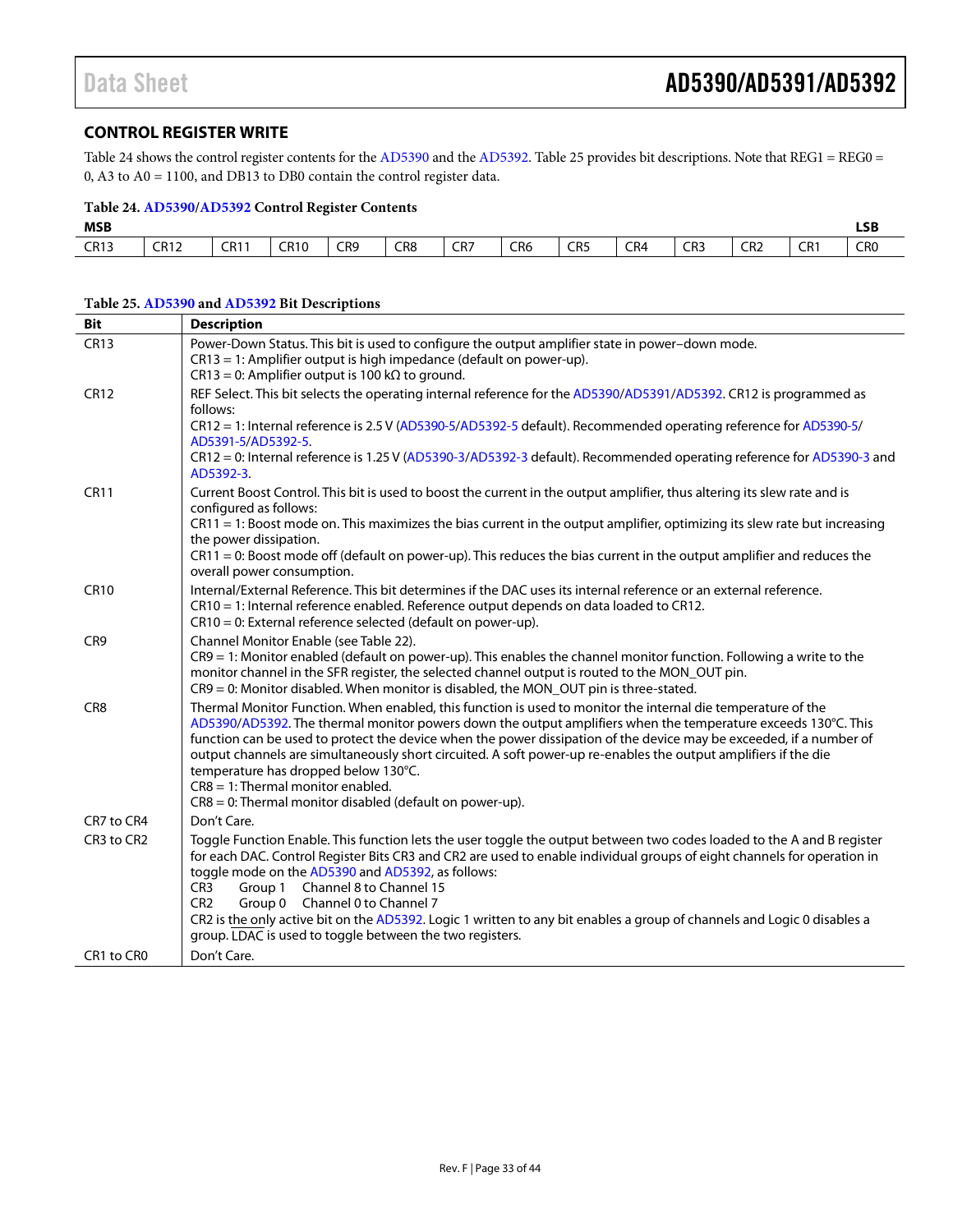#### <span id="page-32-0"></span>**CONTROL REGISTER WRITE**

[Table 24](#page-32-1) shows the control register contents for th[e AD5390](http://www.analog.com/AD5390?doc=AD5390_5391_5392.pdf) and the [AD5392.](http://www.analog.com/AD5392?doc=AD5390_5391_5392.pdf) [Table 25](#page-32-2) provides bit descriptions. Note that REG1 = REG0 = 0, A3 to A0 = 1100, and DB13 to DB0 contain the control register data.

#### <span id="page-32-1"></span>**Table 24[. AD5390/](http://www.analog.com/AD5390?doc=AD5390_5391_5392.pdf)[AD5392](http://www.analog.com/AD5392?doc=AD5390_5391_5392.pdf) Control Register Contents**

| <b>MSB</b>  |             |             |                         |                      |                      |     |                                  |                                  |     |                      |                        |                 | <b>LSB</b>           |
|-------------|-------------|-------------|-------------------------|----------------------|----------------------|-----|----------------------------------|----------------------------------|-----|----------------------|------------------------|-----------------|----------------------|
| <b>CR13</b> | <b>CR12</b> | <b>CR11</b> | CD10<br>к.<br><b>JU</b> | CR9<br>$\sim$ $\sim$ | CR8<br>$\sim$ $\sim$ | CR7 | CR <sub>6</sub><br>$\sim$ $\sim$ | CR <sub>5</sub><br>$\sim$ $\sim$ | CR4 | CR3<br>$\sim$ $\sim$ | CR <sub>2</sub><br>___ | CR <sub>1</sub> | CR0<br>$\sim$ $\sim$ |

### <span id="page-32-2"></span>**Table 25[. AD5390](http://www.analog.com/AD5390?doc=AD5390_5391_5392.pdf) an[d AD5392](http://www.analog.com/AD5392?doc=AD5390_5391_5392.pdf) Bit Descriptions**

| <b>Bit</b>      | <b>Description</b>                                                                                                                                                                                                                                                                                                                                                                                                                                                                                                                                                                                                     |
|-----------------|------------------------------------------------------------------------------------------------------------------------------------------------------------------------------------------------------------------------------------------------------------------------------------------------------------------------------------------------------------------------------------------------------------------------------------------------------------------------------------------------------------------------------------------------------------------------------------------------------------------------|
| <b>CR13</b>     | Power-Down Status. This bit is used to configure the output amplifier state in power-down mode.<br>CR13 = 1: Amplifier output is high impedance (default on power-up).<br>$CR13 = 0$ : Amplifier output is 100 k $\Omega$ to ground.                                                                                                                                                                                                                                                                                                                                                                                   |
| <b>CR12</b>     | REF Select. This bit selects the operating internal reference for the AD5390/AD5391/AD5392. CR12 is programmed as<br>follows:<br>CR12 = 1: Internal reference is 2.5 V (AD5390-5/AD5392-5 default). Recommended operating reference for AD5390-5/<br>AD5391-5/AD5392-5.<br>CR12 = 0: Internal reference is 1.25 V (AD5390-3/AD5392-3 default). Recommended operating reference for AD5390-3 and                                                                                                                                                                                                                        |
| <b>CR11</b>     | AD5392-3.<br>Current Boost Control. This bit is used to boost the current in the output amplifier, thus altering its slew rate and is<br>configured as follows:<br>CR11 = 1: Boost mode on. This maximizes the bias current in the output amplifier, optimizing its slew rate but increasing<br>the power dissipation.<br>$CR11 = 0$ : Boost mode off (default on power-up). This reduces the bias current in the output amplifier and reduces the<br>overall power consumption.                                                                                                                                       |
| <b>CR10</b>     | Internal/External Reference. This bit determines if the DAC uses its internal reference or an external reference.<br>CR10 = 1: Internal reference enabled. Reference output depends on data loaded to CR12.<br>$CR10 = 0$ : External reference selected (default on power-up).                                                                                                                                                                                                                                                                                                                                         |
| CR <sub>9</sub> | Channel Monitor Enable (see Table 22).<br>CR9 = 1: Monitor enabled (default on power-up). This enables the channel monitor function. Following a write to the<br>monitor channel in the SFR register, the selected channel output is routed to the MON_OUT pin.<br>$CR9 = 0$ : Monitor disabled. When monitor is disabled, the MON_OUT pin is three-stated.                                                                                                                                                                                                                                                            |
| CR <sub>8</sub> | Thermal Monitor Function. When enabled, this function is used to monitor the internal die temperature of the<br>AD5390/AD5392. The thermal monitor powers down the output amplifiers when the temperature exceeds 130°C. This<br>function can be used to protect the device when the power dissipation of the device may be exceeded, if a number of<br>output channels are simultaneously short circuited. A soft power-up re-enables the output amplifiers if the die<br>temperature has dropped below 130°C.<br>$CR8 = 1$ : Thermal monitor enabled.<br>$CR8 = 0$ : Thermal monitor disabled (default on power-up). |
| CR7 to CR4      | Don't Care.                                                                                                                                                                                                                                                                                                                                                                                                                                                                                                                                                                                                            |
| CR3 to CR2      | Toggle Function Enable. This function lets the user toggle the output between two codes loaded to the A and B register<br>for each DAC. Control Register Bits CR3 and CR2 are used to enable individual groups of eight channels for operation in<br>toggle mode on the AD5390 and AD5392, as follows:<br>Channel 8 to Channel 15<br>CR <sub>3</sub><br>Group 1<br>CR <sub>2</sub><br>Group 0 Channel 0 to Channel 7<br>CR2 is the only active bit on the AD5392. Logic 1 written to any bit enables a group of channels and Logic 0 disables a<br>group. LDAC is used to toggle between the two registers.            |
| CR1 to CR0      | Don't Care.                                                                                                                                                                                                                                                                                                                                                                                                                                                                                                                                                                                                            |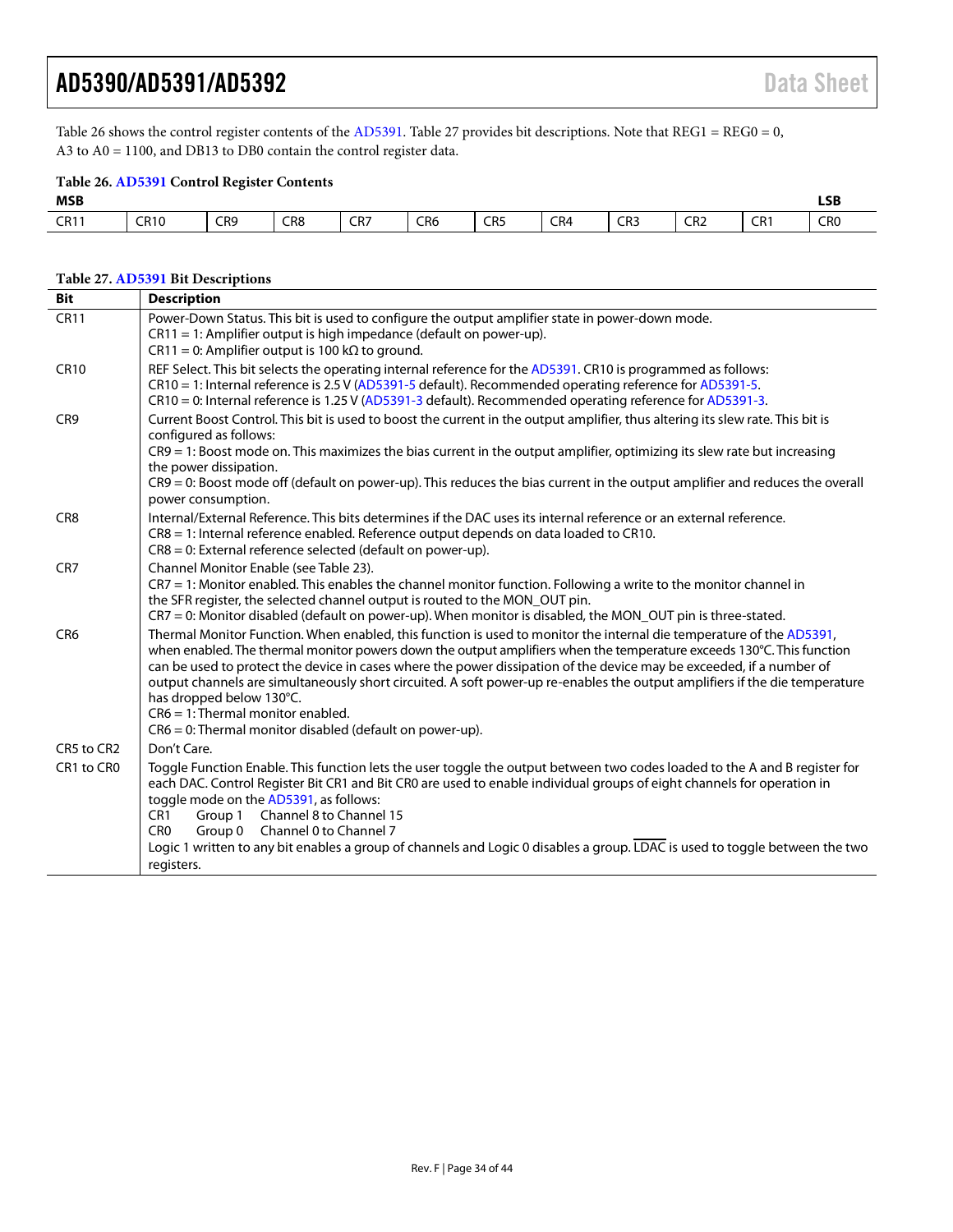[Table 26](#page-33-0) shows the control register contents of the [AD5391.](http://www.analog.com/AD5391?doc=AD5390_5391_5392.pdf) [Table 27](#page-33-1) provides bit descriptions. Note that REG1 = REG0 = 0, A3 to A0 = 1100, and DB13 to DB0 contain the control register data.

#### <span id="page-33-0"></span>**Table 26[. AD5391](http://www.analog.com/AD5391?doc=AD5390_5391_5392.pdf) Control Register Contents**

| <b>MSB</b>  |             |     |     |            |                 |                 |     |     | <b>LSB</b><br>___ |                                |                 |
|-------------|-------------|-----|-----|------------|-----------------|-----------------|-----|-----|-------------------|--------------------------------|-----------------|
| <b>CR11</b> | <b>CR10</b> | CR9 | CR8 | CD7<br>CR/ | CR <sub>6</sub> | CR <sub>5</sub> | CR4 | CR3 | CR <sub>2</sub>   | CD <sub>1</sub><br>UN 1<br>___ | CR <sub>0</sub> |

#### <span id="page-33-1"></span>**Table 27[. AD5391](http://www.analog.com/AD5391?doc=AD5390_5391_5392.pdf) Bit Descriptions**

| Bit             | <b>Description</b>                                                                                                                                                                                                                                                                                                                                                                                                                                                                                                                                                                                                                      |
|-----------------|-----------------------------------------------------------------------------------------------------------------------------------------------------------------------------------------------------------------------------------------------------------------------------------------------------------------------------------------------------------------------------------------------------------------------------------------------------------------------------------------------------------------------------------------------------------------------------------------------------------------------------------------|
| <b>CR11</b>     | Power-Down Status. This bit is used to configure the output amplifier state in power-down mode.<br>$CR11 = 1$ : Amplifier output is high impedance (default on power-up).<br>$CR11 = 0$ : Amplifier output is 100 k $\Omega$ to ground.                                                                                                                                                                                                                                                                                                                                                                                                 |
| <b>CR10</b>     | REF Select. This bit selects the operating internal reference for the AD5391. CR10 is programmed as follows:<br>CR10 = 1: Internal reference is 2.5 V (AD5391-5 default). Recommended operating reference for AD5391-5.<br>CR10 = 0: Internal reference is 1.25 V (AD5391-3 default). Recommended operating reference for AD5391-3.                                                                                                                                                                                                                                                                                                     |
| CR <sub>9</sub> | Current Boost Control. This bit is used to boost the current in the output amplifier, thus altering its slew rate. This bit is<br>configured as follows:<br>CR9 = 1: Boost mode on. This maximizes the bias current in the output amplifier, optimizing its slew rate but increasing<br>the power dissipation.<br>CR9 = 0: Boost mode off (default on power-up). This reduces the bias current in the output amplifier and reduces the overall<br>power consumption.                                                                                                                                                                    |
| CR <sub>8</sub> | Internal/External Reference. This bits determines if the DAC uses its internal reference or an external reference.<br>CR8 = 1: Internal reference enabled. Reference output depends on data loaded to CR10.<br>$CR8 = 0$ : External reference selected (default on power-up).                                                                                                                                                                                                                                                                                                                                                           |
| CR <sub>7</sub> | Channel Monitor Enable (see Table 23).<br>CR7 = 1: Monitor enabled. This enables the channel monitor function. Following a write to the monitor channel in<br>the SFR register, the selected channel output is routed to the MON_OUT pin.<br>$CR7 = 0$ : Monitor disabled (default on power-up). When monitor is disabled, the MON_OUT pin is three-stated.                                                                                                                                                                                                                                                                             |
| CR <sub>6</sub> | Thermal Monitor Function. When enabled, this function is used to monitor the internal die temperature of the AD5391,<br>when enabled. The thermal monitor powers down the output amplifiers when the temperature exceeds 130°C. This function<br>can be used to protect the device in cases where the power dissipation of the device may be exceeded, if a number of<br>output channels are simultaneously short circuited. A soft power-up re-enables the output amplifiers if the die temperature<br>has dropped below 130°C.<br>$CR6 = 1$ : Thermal monitor enabled.<br>$CR6 = 0$ : Thermal monitor disabled (default on power-up). |
| CR5 to CR2      | Don't Care.                                                                                                                                                                                                                                                                                                                                                                                                                                                                                                                                                                                                                             |
| CR1 to CR0      | Toggle Function Enable. This function lets the user toggle the output between two codes loaded to the A and B register for<br>each DAC. Control Register Bit CR1 and Bit CR0 are used to enable individual groups of eight channels for operation in<br>toggle mode on the AD5391, as follows:<br>Channel 8 to Channel 15<br>CR <sub>1</sub><br>Group 1<br>Channel 0 to Channel 7<br>CR <sub>0</sub><br>Group 0                                                                                                                                                                                                                         |
|                 | Logic 1 written to any bit enables a group of channels and Logic 0 disables a group. LDAC is used to toggle between the two<br>registers.                                                                                                                                                                                                                                                                                                                                                                                                                                                                                               |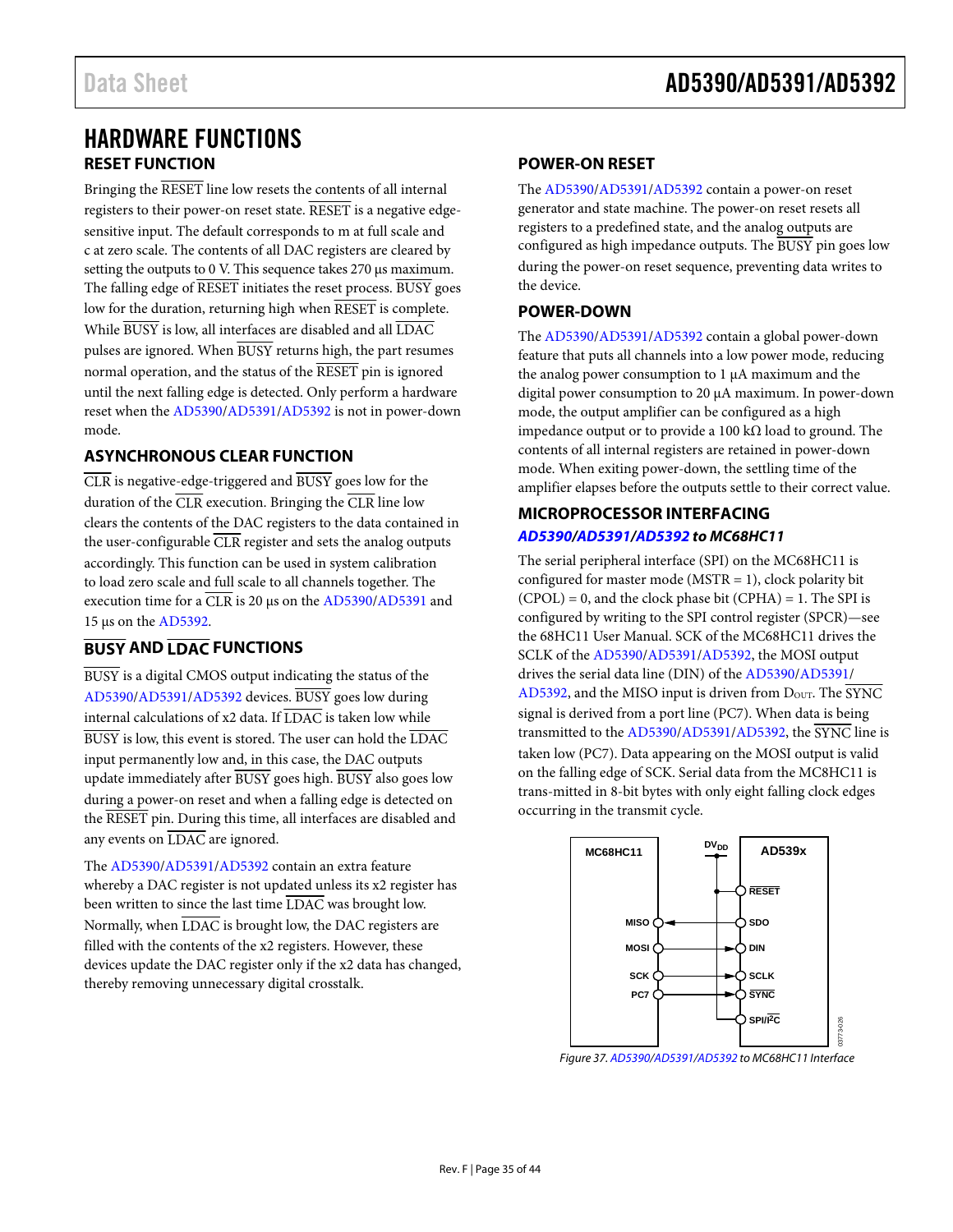### <span id="page-34-1"></span><span id="page-34-0"></span>HARDWARE FUNCTIONS **RESET FUNCTION**

Bringing the RESET line low resets the contents of all internal registers to their power-on reset state. RESET is a negative edgesensitive input. The default corresponds to m at full scale and c at zero scale. The contents of all DAC registers are cleared by setting the outputs to 0 V. This sequence takes 270 μs maximum. The falling edge of RESET initiates the reset process. BUSY goes low for the duration, returning high when RESET is complete. While  $\overline{BUSY}$  is low, all interfaces are disabled and all  $\overline{LDAC}$ pulses are ignored. When BUSY returns high, the part resumes normal operation, and the status of the RESET pin is ignored until the next falling edge is detected. Only perform a hardware reset when th[e AD5390](http://www.analog.com/AD5390?doc=AD5390_5391_5392.pdf)[/AD5391](http://www.analog.com/AD5391?doc=AD5390_5391_5392.pdf)[/AD5392 i](http://www.analog.com/AD5392?doc=AD5390_5391_5392.pdf)s not in power-down mode.

### <span id="page-34-2"></span>**ASYNCHRONOUS CLEAR FUNCTION**

 $\overline{\text{CLR}}$  is negative-edge-triggered and  $\overline{\text{BUSY}}$  goes low for the duration of the  $\overline{\text{CLR}}$  execution. Bringing the  $\overline{\text{CLR}}$  line low clears the contents of the DAC registers to the data contained in the user-configurable CLR register and sets the analog outputs accordingly. This function can be used in system calibration to load zero scale and full scale to all channels together. The execution time for a CLR is 20 μs on th[e AD5390](http://www.analog.com/AD5390?doc=AD5390_5391_5392.pdf)[/AD5391 a](http://www.analog.com/AD5391?doc=AD5390_5391_5392.pdf)nd 15 μs on the [AD5392.](http://www.analog.com/AD5392?doc=AD5390_5391_5392.pdf) 

### <span id="page-34-3"></span>**BUSY AND LDAC FUNCTIONS**

BUSY is a digital CMOS output indicating the status of the [AD5390/](http://www.analog.com/AD5390?doc=AD5390_5391_5392.pdf)[AD5391/](http://www.analog.com/AD5391?doc=AD5390_5391_5392.pdf)[AD5392 d](http://www.analog.com/AD5392?doc=AD5390_5391_5392.pdf)evices. BUSY goes low during internal calculations of x2 data. If  $\overline{\text{LDAC}}$  is taken low while  $\overline{BUSY}$  is low, this event is stored. The user can hold the  $\overline{LDAC}$ input permanently low and, in this case, the DAC outputs update immediately after BUSY goes high. BUSY also goes low during a power-on reset and when a falling edge is detected on the RESET pin. During this time, all interfaces are disabled and any events on LDAC are ignored.

The [AD5390/](http://www.analog.com/AD5390?doc=AD5390_5391_5392.pdf)[AD5391/](http://www.analog.com/AD5391?doc=AD5390_5391_5392.pdf)[AD5392 c](http://www.analog.com/AD5392?doc=AD5390_5391_5392.pdf)ontain an extra feature whereby a DAC register is not updated unless its x2 register has been written to since the last time LDAC was brought low. Normally, when LDAC is brought low, the DAC registers are filled with the contents of the x2 registers. However, these devices update the DAC register only if the x2 data has changed, thereby removing unnecessary digital crosstalk.

#### <span id="page-34-4"></span>**POWER-ON RESET**

The [AD5390/](http://www.analog.com/AD5390?doc=AD5390_5391_5392.pdf)[AD5391/](http://www.analog.com/AD5391?doc=AD5390_5391_5392.pdf)[AD5392 c](http://www.analog.com/AD5392?doc=AD5390_5391_5392.pdf)ontain a power-on reset generator and state machine. The power-on reset resets all registers to a predefined state, and the analog outputs are configured as high impedance outputs. The BUSY pin goes low during the power-on reset sequence, preventing data writes to the device.

#### <span id="page-34-5"></span>**POWER-DOWN**

The [AD5390/](http://www.analog.com/AD5390?doc=AD5390_5391_5392.pdf)[AD5391/](http://www.analog.com/AD5391?doc=AD5390_5391_5392.pdf)[AD5392 c](http://www.analog.com/AD5392?doc=AD5390_5391_5392.pdf)ontain a global power-down feature that puts all channels into a low power mode, reducing the analog power consumption to 1 μA maximum and the digital power consumption to 20 μA maximum. In power-down mode, the output amplifier can be configured as a high impedance output or to provide a 100 kΩ load to ground. The contents of all internal registers are retained in power-down mode. When exiting power-down, the settling time of the amplifier elapses before the outputs settle to their correct value.

#### <span id="page-34-6"></span>**MICROPROCESSOR INTERFACING [AD5390/](http://www.analog.com/AD5390?doc=AD5390_5391_5392.pdf)[AD5391/](http://www.analog.com/AD5391?doc=AD5390_5391_5392.pdf)[AD5392 t](http://www.analog.com/AD5392?doc=AD5390_5391_5392.pdf)o MC68HC11**

The serial peripheral interface (SPI) on the MC68HC11 is configured for master mode ( $MSTR = 1$ ), clock polarity bit  $(CPOL) = 0$ , and the clock phase bit  $(CPHA) = 1$ . The SPI is configured by writing to the SPI control register (SPCR)—see the 68HC11 User Manual. SCK of the MC68HC11 drives the SCLK of th[e AD5390](http://www.analog.com/AD5390?doc=AD5390_5391_5392.pdf)[/AD5391](http://www.analog.com/AD5391?doc=AD5390_5391_5392.pdf)[/AD5392,](http://www.analog.com/AD5392?doc=AD5390_5391_5392.pdf) the MOSI output drives the serial data line (DIN) of the [AD5390/](http://www.analog.com/AD5390?doc=AD5390_5391_5392.pdf)[AD5391/](http://www.analog.com/AD5391?doc=AD5390_5391_5392.pdf) [AD5392,](http://www.analog.com/AD5392?doc=AD5390_5391_5392.pdf) and the MISO input is driven from  $D_{\text{OUT}}$ . The  $\overline{\text{SYNC}}$ signal is derived from a port line (PC7). When data is being transmitted to th[e AD5390](http://www.analog.com/AD5390?doc=AD5390_5391_5392.pdf)[/AD5391](http://www.analog.com/AD5391?doc=AD5390_5391_5392.pdf)[/AD5392,](http://www.analog.com/AD5392?doc=AD5390_5391_5392.pdf) the SYNC line is taken low (PC7). Data appearing on the MOSI output is valid on the falling edge of SCK. Serial data from the MC8HC11 is trans-mitted in 8-bit bytes with only eight falling clock edges occurring in the transmit cycle.



Figure 37[. AD5390](http://www.analog.com/AD5390?doc=AD5390_5391_5392.pdf)[/AD5391](http://www.analog.com/AD5391?doc=AD5390_5391_5392.pdf)[/AD5392 t](http://www.analog.com/AD5392?doc=AD5390_5391_5392.pdf)o MC68HC11 Interface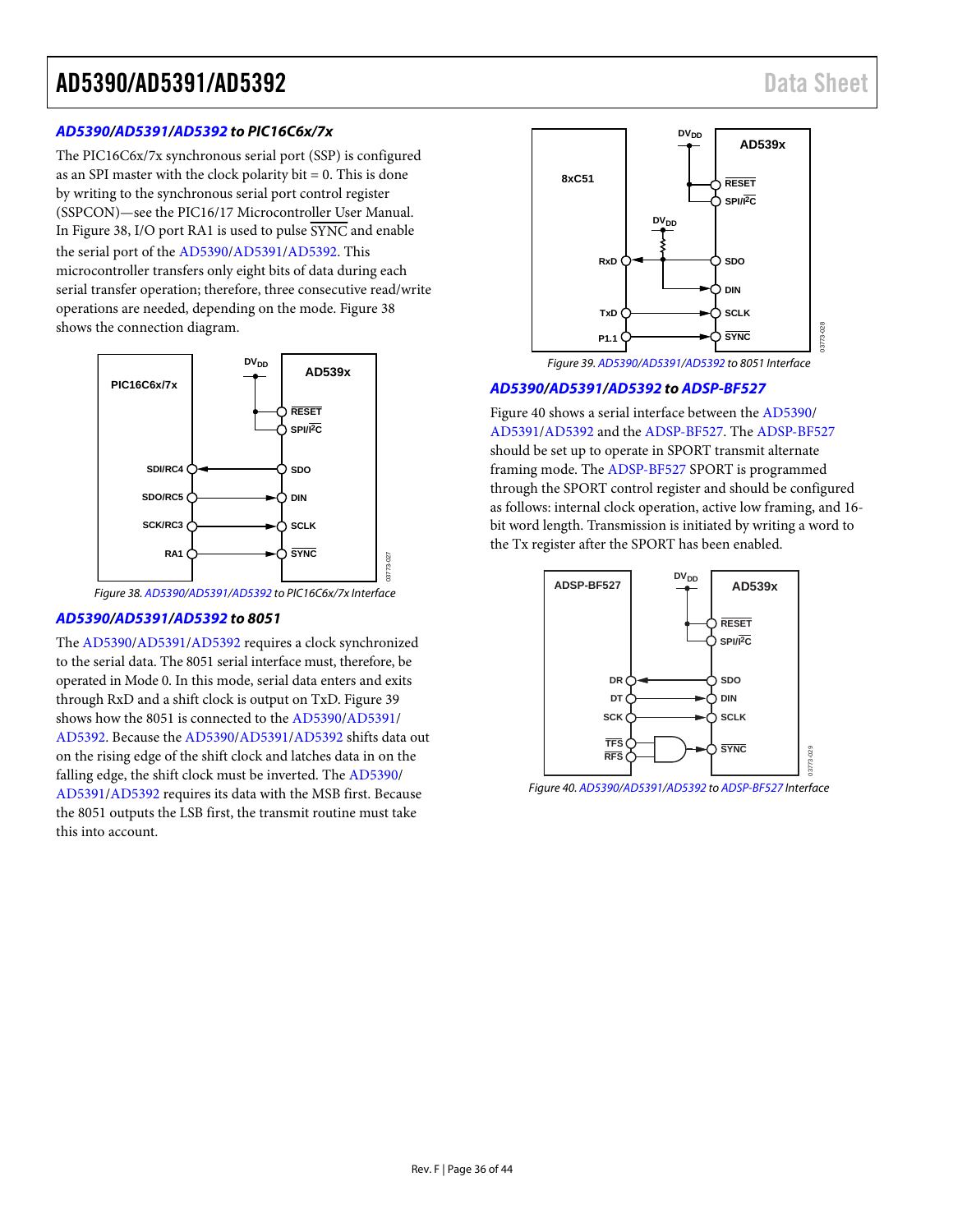#### **[AD5390/](http://www.analog.com/AD5390?doc=AD5390_5391_5392.pdf)[AD5391/](http://www.analog.com/AD5391?doc=AD5390_5391_5392.pdf)[AD5392 t](http://www.analog.com/AD5392?doc=AD5390_5391_5392.pdf)o PIC16C6x/7x**

The PIC16C6x/7x synchronous serial port (SSP) is configured as an SPI master with the clock polarity  $bit = 0$ . This is done by writing to the synchronous serial port control register (SSPCON)—see the PIC16/17 Microcontroller User Manual. I[n Figure 38,](#page-35-0) I/O port RA1 is used to pulse SYNC and enable the serial port of the [AD5390/](http://www.analog.com/AD5390?doc=AD5390_5391_5392.pdf)[AD5391/](http://www.analog.com/AD5391?doc=AD5390_5391_5392.pdf)[AD5392.](http://www.analog.com/AD5392?doc=AD5390_5391_5392.pdf) This microcontroller transfers only eight bits of data during each serial transfer operation; therefore, three consecutive read/write operations are needed, depending on the mode[. Figure 38](#page-35-0)  shows the connection diagram.



#### Figure 38[. AD5390/](http://www.analog.com/AD5390?doc=AD5390_5391_5392.pdf)[AD5391](http://www.analog.com/AD5391?doc=AD5390_5391_5392.pdf)[/AD5392 t](http://www.analog.com/AD5392?doc=AD5390_5391_5392.pdf)o PIC16C6x/7x Interface

03773-027

#### <span id="page-35-0"></span>**[AD5390](http://www.analog.com/AD5390?doc=AD5390_5391_5392.pdf)[/AD5391/](http://www.analog.com/AD5391?doc=AD5390_5391_5392.pdf)[AD5392 t](http://www.analog.com/AD5392?doc=AD5390_5391_5392.pdf)o 8051**

Th[e AD5390/](http://www.analog.com/AD5390?doc=AD5390_5391_5392.pdf)[AD5391/](http://www.analog.com/AD5391?doc=AD5390_5391_5392.pdf)[AD5392 r](http://www.analog.com/AD5392?doc=AD5390_5391_5392.pdf)equires a clock synchronized to the serial data. The 8051 serial interface must, therefore, be operated in Mode 0. In this mode, serial data enters and exits through RxD and a shift clock is output on TxD[. Figure 39](#page-35-1)  shows how the 8051 is connected to the [AD5390](http://www.analog.com/AD5390?doc=AD5390_5391_5392.pdf)[/AD5391/](http://www.analog.com/AD5391?doc=AD5390_5391_5392.pdf) [AD5392.](http://www.analog.com/AD5392?doc=AD5390_5391_5392.pdf) Because th[e AD5390](http://www.analog.com/AD5390?doc=AD5390_5391_5392.pdf)[/AD5391/](http://www.analog.com/AD5391?doc=AD5390_5391_5392.pdf)[AD5392 s](http://www.analog.com/AD5392?doc=AD5390_5391_5392.pdf)hifts data out on the rising edge of the shift clock and latches data in on the falling edge, the shift clock must be inverted. The [AD5390/](http://www.analog.com/AD5390?doc=AD5390_5391_5392.pdf)  [AD5391/](http://www.analog.com/AD5391?doc=AD5390_5391_5392.pdf)[AD5392 r](http://www.analog.com/AD5392?doc=AD5390_5391_5392.pdf)equires its data with the MSB first. Because the 8051 outputs the LSB first, the transmit routine must take this into account.



Figure 39[. AD5390](http://www.analog.com/AD5390?doc=AD5390_5391_5392.pdf)[/AD5391](http://www.analog.com/AD5391?doc=AD5390_5391_5392.pdf)[/AD5392 t](http://www.analog.com/AD5392?doc=AD5390_5391_5392.pdf)o 8051 Interface

#### <span id="page-35-1"></span>**[AD5390/](http://www.analog.com/AD5390?doc=AD5390_5391_5392.pdf)[AD5391](http://www.analog.com/AD5391?doc=AD5390_5391_5392.pdf)[/AD5392](http://www.analog.com/AD5392?doc=AD5390_5391_5392.pdf) to [ADSP-BF527](http://www.analog.com/ADSP-BF527?doc=AD5390_5391_5392.pdf)**

[Figure 40](#page-35-2) shows a serial interface between the [AD5390/](http://www.analog.com/AD5390?doc=AD5390_5391_5392.pdf) [AD5391/](http://www.analog.com/AD5391?doc=AD5390_5391_5392.pdf)[AD5392 a](http://www.analog.com/AD5392?doc=AD5390_5391_5392.pdf)nd th[e ADSP-BF527.](http://www.analog.com/ADSP-BF527?doc=AD5390_5391_5392.pdf) Th[e ADSP-BF527](http://www.analog.com/ADSP-BF527?doc=AD5390_5391_5392.pdf) should be set up to operate in SPORT transmit alternate framing mode. Th[e ADSP-BF527](http://www.analog.com/ADSP-BF527?doc=AD5390_5391_5392.pdf) SPORT is programmed through the SPORT control register and should be configured as follows: internal clock operation, active low framing, and 16 bit word length. Transmission is initiated by writing a word to the Tx register after the SPORT has been enabled.



<span id="page-35-2"></span>Figure 40. [AD5390/](http://www.analog.com/AD5390?doc=AD5390_5391_5392.pdf)[AD5391/](http://www.analog.com/AD5391?doc=AD5390_5391_5392.pdf)[AD5392 t](http://www.analog.com/AD5392?doc=AD5390_5391_5392.pdf)[o ADSP-BF527 I](http://www.analog.com/ADSP-BF527?doc=AD5390_5391_5392.pdf)nterface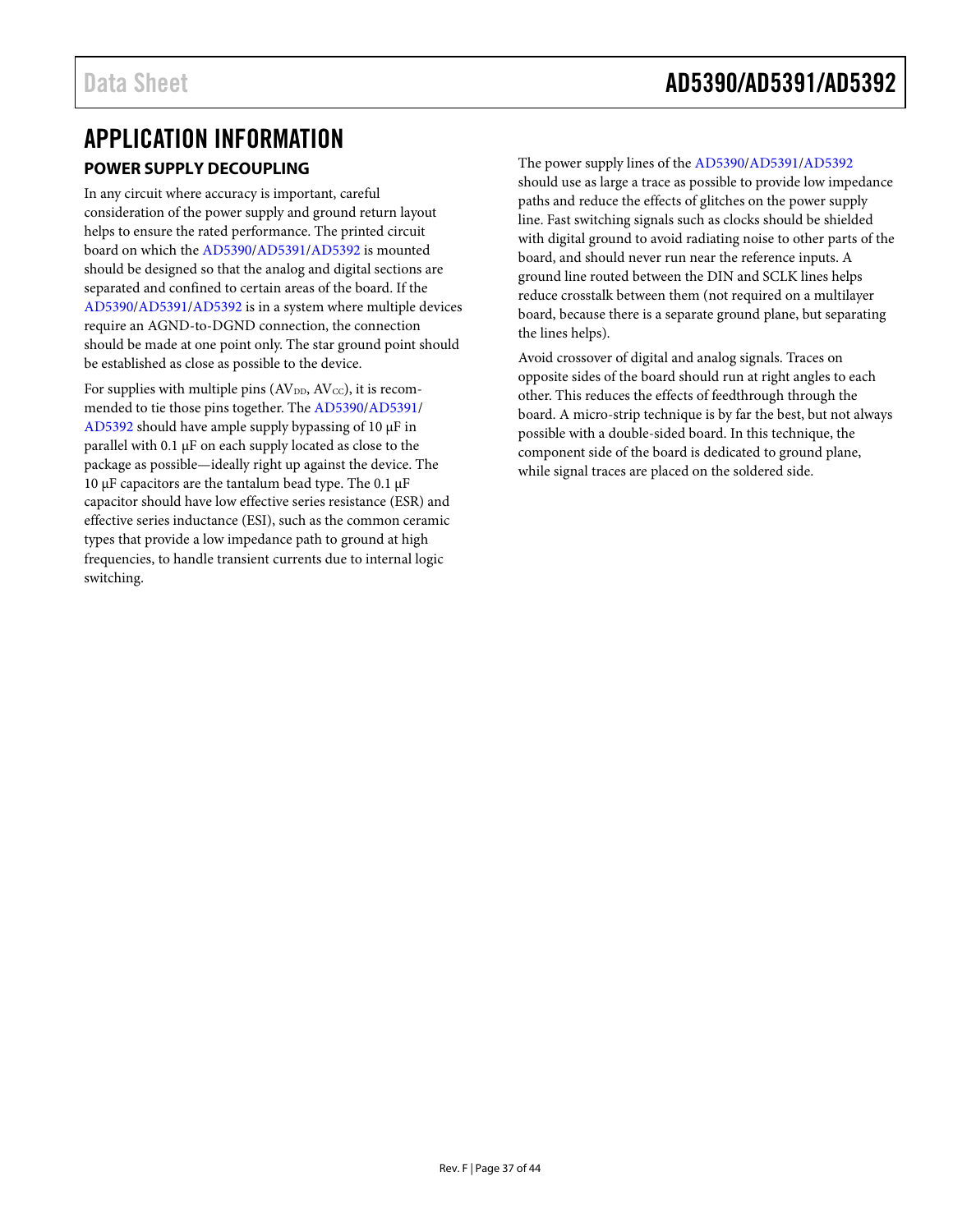### <span id="page-36-1"></span><span id="page-36-0"></span>APPLICATION INFORMATION **POWER SUPPLY DECOUPLING**

In any circuit where accuracy is important, careful consideration of the power supply and ground return layout helps to ensure the rated performance. The printed circuit board on which the [AD5390/](http://www.analog.com/AD5390?doc=AD5390_5391_5392.pdf)[AD5391/](http://www.analog.com/AD5391?doc=AD5390_5391_5392.pdf)[AD5392](http://www.analog.com/AD5392?doc=AD5390_5391_5392.pdf) is mounted should be designed so that the analog and digital sections are separated and confined to certain areas of the board. If the [AD5390/](http://www.analog.com/AD5390?doc=AD5390_5391_5392.pdf)[AD5391/](http://www.analog.com/AD5391?doc=AD5390_5391_5392.pdf)[AD5392](http://www.analog.com/AD5392?doc=AD5390_5391_5392.pdf) is in a system where multiple devices require an AGND-to-DGND connection, the connection should be made at one point only. The star ground point should be established as close as possible to the device.

For supplies with multiple pins  $(AV_{DD}, AV_{CC})$ , it is recommended to tie those pins together. The [AD5390/](http://www.analog.com/AD5390?doc=AD5390_5391_5392.pdf)[AD5391/](http://www.analog.com/AD5391?doc=AD5390_5391_5392.pdf) [AD5392](http://www.analog.com/AD5392?doc=AD5390_5391_5392.pdf) should have ample supply bypassing of 10 µF in parallel with 0.1 µF on each supply located as close to the package as possible—ideally right up against the device. The 10  $\mu$ F capacitors are the tantalum bead type. The 0.1  $\mu$ F capacitor should have low effective series resistance (ESR) and effective series inductance (ESI), such as the common ceramic types that provide a low impedance path to ground at high frequencies, to handle transient currents due to internal logic switching.

The power supply lines of th[e AD5390](http://www.analog.com/AD5390?doc=AD5390_5391_5392.pdf)[/AD5391/](http://www.analog.com/AD5391?doc=AD5390_5391_5392.pdf)[AD5392](http://www.analog.com/AD5392?doc=AD5390_5391_5392.pdf) should use as large a trace as possible to provide low impedance paths and reduce the effects of glitches on the power supply line. Fast switching signals such as clocks should be shielded with digital ground to avoid radiating noise to other parts of the board, and should never run near the reference inputs. A ground line routed between the DIN and SCLK lines helps reduce crosstalk between them (not required on a multilayer board, because there is a separate ground plane, but separating the lines helps).

Avoid crossover of digital and analog signals. Traces on opposite sides of the board should run at right angles to each other. This reduces the effects of feedthrough through the board. A micro-strip technique is by far the best, but not always possible with a double-sided board. In this technique, the component side of the board is dedicated to ground plane, while signal traces are placed on the soldered side.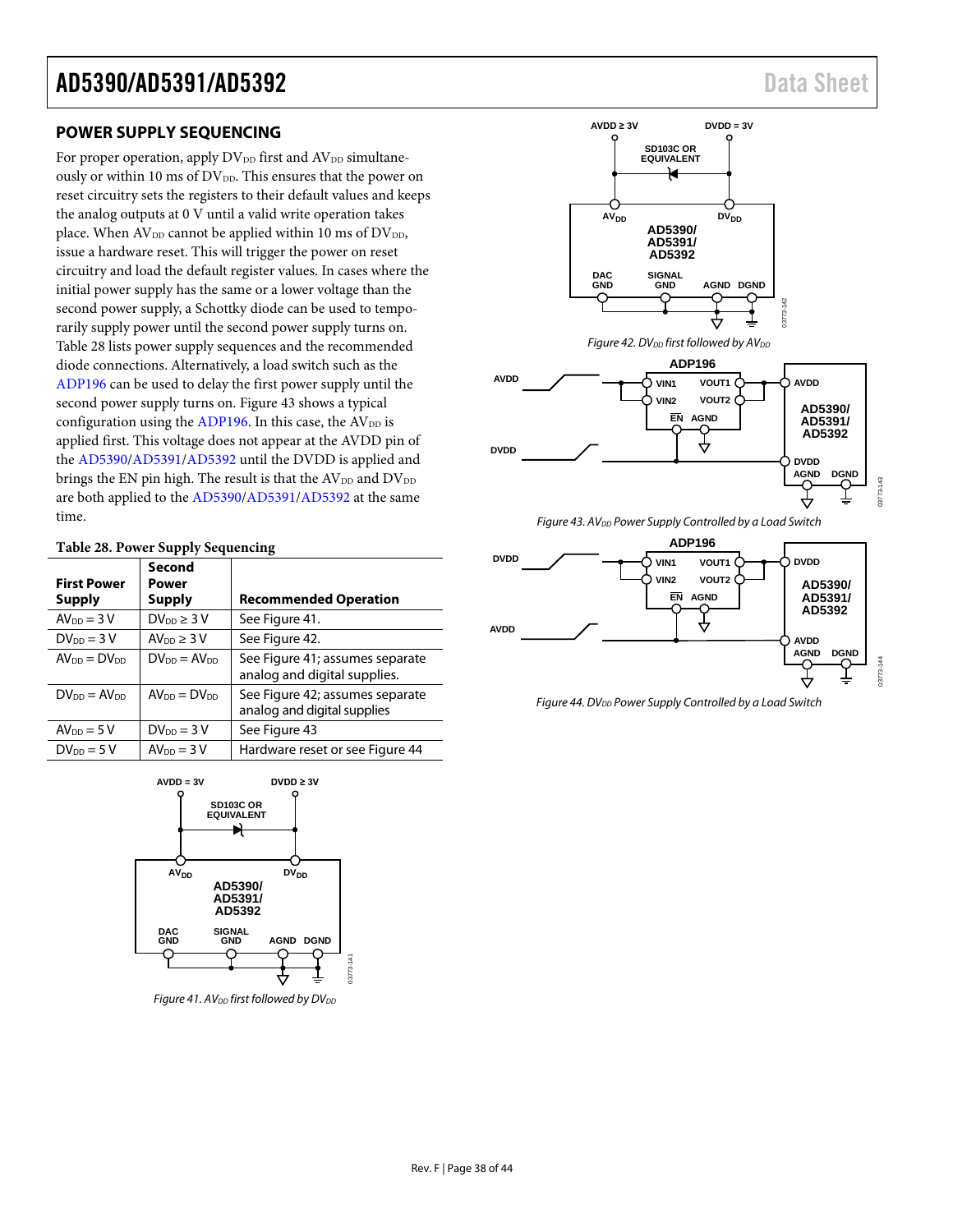#### <span id="page-37-0"></span>**POWER SUPPLY SEQUENCING**

For proper operation, apply DV<sub>DD</sub> first and AV<sub>DD</sub> simultaneously or within 10 ms of  $DV_{DD}$ . This ensures that the power on reset circuitry sets the registers to their default values and keeps the analog outputs at 0 V until a valid write operation takes place. When  $AV_{DD}$  cannot be applied within 10 ms of  $DV_{DD}$ , issue a hardware reset. This will trigger the power on reset circuitry and load the default register values. In cases where the initial power supply has the same or a lower voltage than the second power supply, a Schottky diode can be used to temporarily supply power until the second power supply turns on. [Table 28](#page-37-1) lists power supply sequences and the recommended diode connections. Alternatively, a load switch such as the [ADP196](http://www.analog.com/ADP196?doc=AD5390_5391_5392.pdf) can be used to delay the first power supply until the second power supply turns on. [Figure 43](#page-37-2) shows a typical configuration using the [ADP196.](http://www.analog.com/ADP196?doc=AD5390_5391_5392.pdf) In this case, the  $AV<sub>DD</sub>$  is applied first. This voltage does not appear at the AVDD pin of the [AD5390](http://www.analog.com/AD5390?doc=AD5390_5391_5392.pdf)[/AD5391/](http://www.analog.com/AD5391?doc=AD5390_5391_5392.pdf)[AD5392](http://www.analog.com/AD5392?doc=AD5390_5391_5392.pdf) until the DVDD is applied and brings the EN pin high. The result is that the  $AV_{DD}$  and  $DV_{DD}$ are both applied to th[e AD5390/](http://www.analog.com/AD5390?doc=AD5390_5391_5392.pdf)[AD5391](http://www.analog.com/AD5391?doc=AD5390_5391_5392.pdf)[/AD5392](http://www.analog.com/AD5392?doc=AD5390_5391_5392.pdf) at the same time.

#### <span id="page-37-1"></span>**Table 28. Power Supply Sequencing**

| <b>First Power</b><br><b>Supply</b> | Second<br>Power<br><b>Supply</b> | <b>Recommended Operation</b>                                    |
|-------------------------------------|----------------------------------|-----------------------------------------------------------------|
| $AV_{DD} = 3V$                      | $DV_{DD} \geq 3V$                | See Figure 41.                                                  |
| $DV_{DD} = 3V$                      | AV <sub>DD</sub> $\geq$ 3 V      | See Figure 42.                                                  |
| $AV_{DD} = DV_{DD}$                 | $DV_{DD} = AV_{DD}$              | See Figure 41; assumes separate<br>analog and digital supplies. |
| $DV_{DD} = AV_{DD}$                 | $AV_{DD} = DV_{DD}$              | See Figure 42; assumes separate<br>analog and digital supplies  |
| $AV_{DD} = 5V$                      | $DV_{DD} = 3V$                   | See Figure 43                                                   |
| $DV_{DD} = 5V$                      | $AV_{DD} = 3V$                   | Hardware reset or see Figure 44                                 |



<span id="page-37-3"></span>*Figure 41. AV*<sub>DD</sub> first followed by  $DV_{DD}$ 



<span id="page-37-4"></span>

**Figure 43. AV**<sub>DD</sub> Power Supply Controlled by a Load Switch

<span id="page-37-2"></span>

<span id="page-37-5"></span>*Figure 44. DVDD Power Supply Controlled by a Load Switch*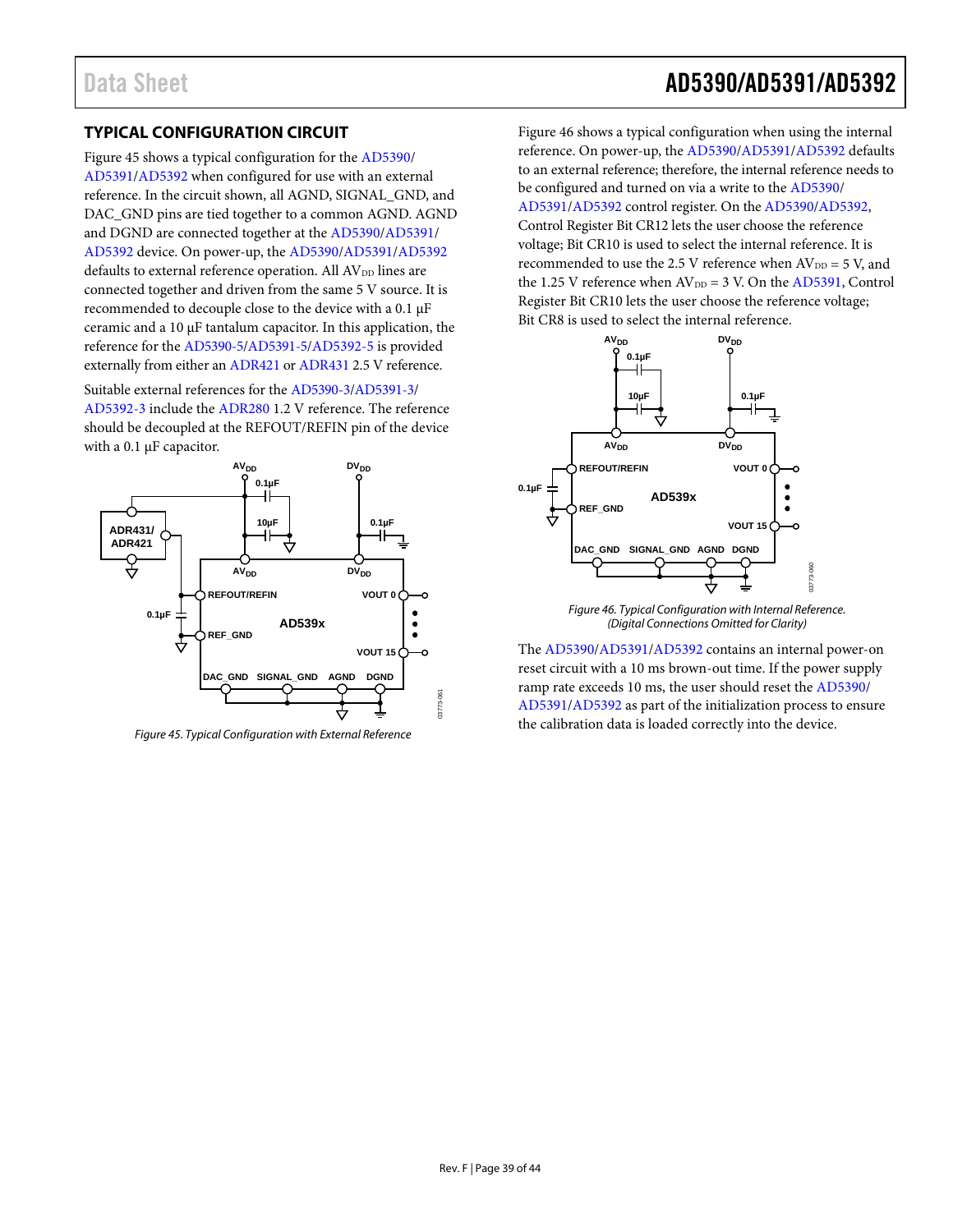### <span id="page-38-0"></span>**TYPICAL CONFIGURATION CIRCUIT**

[Figure 45](#page-38-1) shows a typical configuration for the [AD5390/](http://www.analog.com/AD5390?doc=AD5390_5391_5392.pdf) [AD5391/](http://www.analog.com/AD5391?doc=AD5390_5391_5392.pdf)[AD5392](http://www.analog.com/AD5392?doc=AD5390_5391_5392.pdf) when configured for use with an external reference. In the circuit shown, all AGND, SIGNAL\_GND, and DAC\_GND pins are tied together to a common AGND. AGND and DGND are connected together at th[e AD5390/](http://www.analog.com/AD5390?doc=AD5390_5391_5392.pdf)[AD5391/](http://www.analog.com/AD5391?doc=AD5390_5391_5392.pdf) [AD5392](http://www.analog.com/AD5392?doc=AD5390_5391_5392.pdf) device. On power-up, the [AD5390/](http://www.analog.com/AD5390?doc=AD5390_5391_5392.pdf)[AD5391](http://www.analog.com/AD5391?doc=AD5390_5391_5392.pdf)[/AD5392](http://www.analog.com/AD5392?doc=AD5390_5391_5392.pdf) defaults to external reference operation. All  $AV_{DD}$  lines are connected together and driven from the same 5 V source. It is recommended to decouple close to the device with a 0.1 µF ceramic and a  $10 \mu$ F tantalum capacitor. In this application, the reference for the [AD5390-5/](http://www.analog.com/AD5390?doc=AD5390_5391_5392.pdf)[AD5391-5/](http://www.analog.com/AD5391?doc=AD5390_5391_5392.pdf)[AD5392-5](http://www.analog.com/AD5392?doc=AD5390_5391_5392.pdf) is provided externally from either a[n ADR421](http://www.analog.com/adr421?doc=AD5390_5391_5392.pdf) o[r ADR431](http://www.analog.com/ADR431?doc=AD5390_5391_5392.pdf) 2.5 V reference.

Suitable external references for the [AD5390-3](http://www.analog.com/AD5390?doc=AD5390_5391_5392.pdf)[/AD5391-3/](http://www.analog.com/AD5391?doc=AD5390_5391_5392.pdf) [AD5392-3](http://www.analog.com/AD5392?doc=AD5390_5391_5392.pdf) include th[e ADR280](http://www.analog.com/ADR280?doc=AD5390_5391_5392.pdf) 1.2 V reference. The reference should be decoupled at the REFOUT/REFIN pin of the device with a 0.1 µF capacitor.



<span id="page-38-1"></span>*Figure 45. Typical Configuration with External Reference*

Data Sheet **AD5390/AD5391/AD5392** 

[Figure 46](#page-38-2) shows a typical configuration when using the internal reference. On power-up, th[e AD5390/](http://www.analog.com/AD5390?doc=AD5390_5391_5392.pdf)[AD5391/](http://www.analog.com/AD5391?doc=AD5390_5391_5392.pdf)[AD5392](http://www.analog.com/AD5392?doc=AD5390_5391_5392.pdf) defaults to an external reference; therefore, the internal reference needs to be configured and turned on via a write to the [AD5390/](http://www.analog.com/AD5390?doc=AD5390_5391_5392.pdf) [AD5391/](http://www.analog.com/AD5391?doc=AD5390_5391_5392.pdf)[AD5392](http://www.analog.com/AD5392?doc=AD5390_5391_5392.pdf) control register. On the [AD5390](http://www.analog.com/AD5390?doc=AD5390_5391_5392.pdf)[/AD5392,](http://www.analog.com/AD5392?doc=AD5390_5391_5392.pdf)  Control Register Bit CR12 lets the user choose the reference voltage; Bit CR10 is used to select the internal reference. It is recommended to use the 2.5 V reference when  $\text{AV}_{\text{DD}} = 5$  V, and the 1.25 V reference when  $AV_{DD} = 3$  V. On the  $AD5391$ , Control Register Bit CR10 lets the user choose the reference voltage; Bit CR8 is used to select the internal reference.



*Figure 46. Typical Configuration with Internal Reference. (Digital Connections Omitted for Clarity)* 

<span id="page-38-2"></span>The [AD5390](http://www.analog.com/AD5390?doc=AD5390_5391_5392.pdf)[/AD5391/](http://www.analog.com/AD5391?doc=AD5390_5391_5392.pdf)[AD5392](http://www.analog.com/AD5392?doc=AD5390_5391_5392.pdf) contains an internal power-on reset circuit with a 10 ms brown-out time. If the power supply ramp rate exceeds 10 ms, the user should reset th[e AD5390/](http://www.analog.com/AD5390?doc=AD5390_5391_5392.pdf) [AD5391/](http://www.analog.com/AD5391?doc=AD5390_5391_5392.pdf)[AD5392](http://www.analog.com/AD5392?doc=AD5390_5391_5392.pdf) as part of the initialization process to ensure the calibration data is loaded correctly into the device.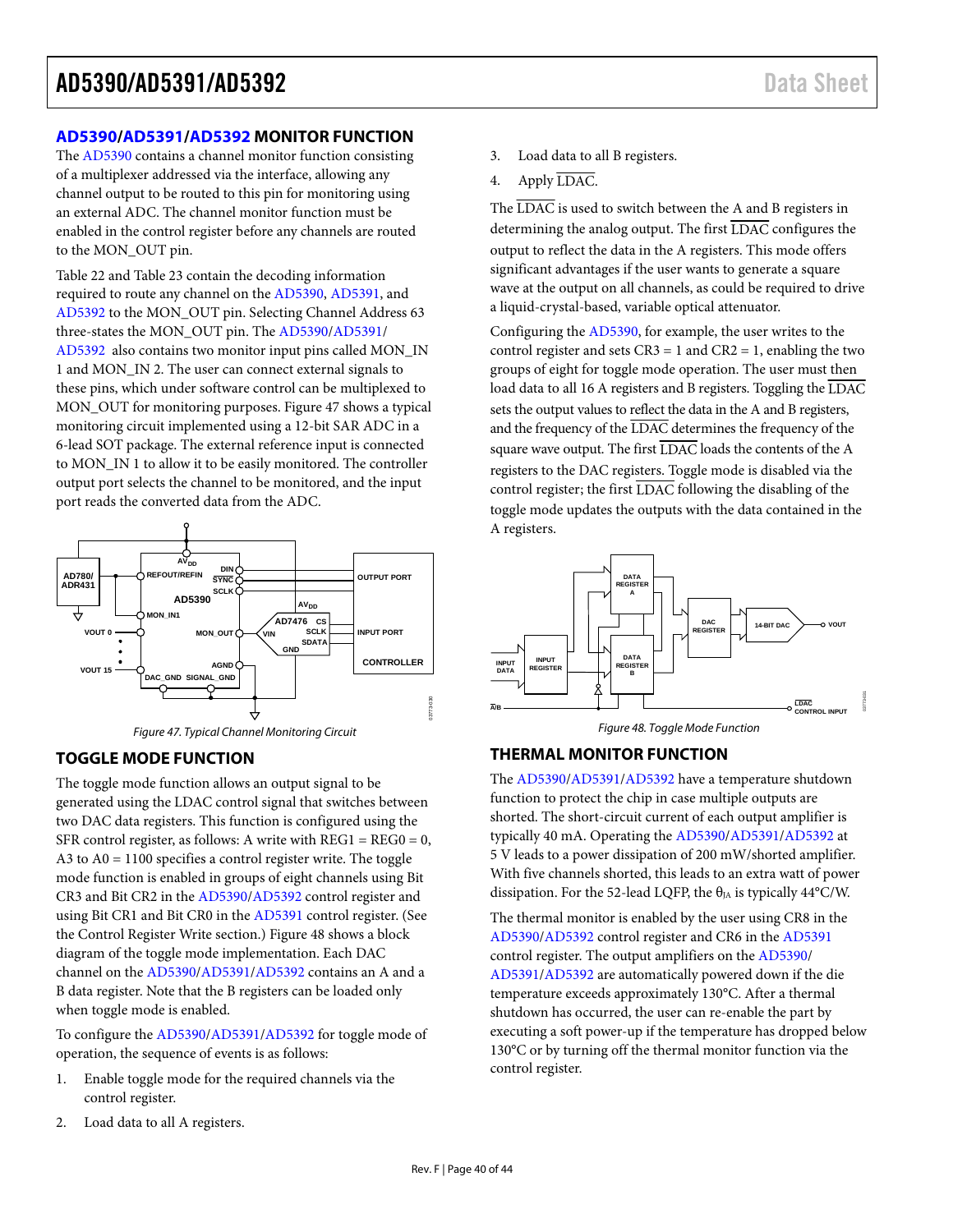#### <span id="page-39-0"></span>**[AD5390/](http://www.analog.com/AD5390?doc=AD5390_5391_5392.pdf)[AD5391](http://www.analog.com/AD5391?doc=AD5390_5391_5392.pdf)[/AD5392](http://www.analog.com/AD5392?doc=AD5390_5391_5392.pdf) MONITOR FUNCTION**

The [AD5390 c](http://www.analog.com/AD5390?doc=AD5390_5391_5392.pdf)ontains a channel monitor function consisting of a multiplexer addressed via the interface, allowing any channel output to be routed to this pin for monitoring using an external ADC. The channel monitor function must be enabled in the control register before any channels are routed to the MON\_OUT pin.

[Table 22 a](#page-31-0)nd [Table 23 c](#page-31-1)ontain the decoding information required to route any channel on th[e AD5390,](http://www.analog.com/AD5390?doc=AD5390_5391_5392.pdf) [AD5391,](http://www.analog.com/AD5391?doc=AD5390_5391_5392.pdf) and [AD5392 t](http://www.analog.com/AD5392?doc=AD5390_5391_5392.pdf)o the MON\_OUT pin. Selecting Channel Address 63 three-states the MON\_OUT pin. Th[e AD5390](http://www.analog.com/AD5390?doc=AD5390_5391_5392.pdf)[/AD5391/](http://www.analog.com/AD5391?doc=AD5390_5391_5392.pdf) [AD5392](http://www.analog.com/AD5392?doc=AD5390_5391_5392.pdf) also contains two monitor input pins called MON\_IN 1 and MON\_IN 2. The user can connect external signals to these pins, which under software control can be multiplexed to MON\_OUT for monitoring purposes[. Figure 47 s](#page-39-3)hows a typical monitoring circuit implemented using a 12-bit SAR ADC in a 6-lead SOT package. The external reference input is connected to MON\_IN 1 to allow it to be easily monitored. The controller output port selects the channel to be monitored, and the input port reads the converted data from the ADC.





#### <span id="page-39-3"></span><span id="page-39-1"></span>**TOGGLE MODE FUNCTION**

The toggle mode function allows an output signal to be generated using the LDAC control signal that switches between two DAC data registers. This function is configured using the SFR control register, as follows: A write with REG1 = REG0 = 0, A3 to  $A0 = 1100$  specifies a control register write. The toggle mode function is enabled in groups of eight channels using Bit CR3 and Bit CR2 in th[e AD5390](http://www.analog.com/AD5390?doc=AD5390_5391_5392.pdf)[/AD5392](http://www.analog.com/AD5392?doc=AD5390_5391_5392.pdf) control register and using Bit CR1 and Bit CR0 in the [AD5391 c](http://www.analog.com/AD5391?doc=AD5390_5391_5392.pdf)ontrol register. (See the [Control Register Write s](#page-32-0)ection.[\) Figure 48 s](#page-39-4)hows a block diagram of the toggle mode implementation. Each DAC channel on th[e AD5390](http://www.analog.com/AD5390?doc=AD5390_5391_5392.pdf)[/AD5391](http://www.analog.com/AD5391?doc=AD5390_5391_5392.pdf)[/AD5392 c](http://www.analog.com/AD5392?doc=AD5390_5391_5392.pdf)ontains an A and a B data register. Note that the B registers can be loaded only when toggle mode is enabled.

To configure th[e AD5390/](http://www.analog.com/AD5390?doc=AD5390_5391_5392.pdf)[AD5391/](http://www.analog.com/AD5391?doc=AD5390_5391_5392.pdf)[AD5392](http://www.analog.com/AD5392?doc=AD5390_5391_5392.pdf) for toggle mode of operation, the sequence of events is as follows:

- 1. Enable toggle mode for the required channels via the control register.
- 2. Load data to all A registers.
- 3. Load data to all B registers.
- 4. Apply LDAC.

The LDAC is used to switch between the A and B registers in determining the analog output. The first  $\overline{\text{LDAC}}$  configures the output to reflect the data in the A registers. This mode offers significant advantages if the user wants to generate a square wave at the output on all channels, as could be required to drive a liquid-crystal-based, variable optical attenuator.

Configuring th[e AD5390,](http://www.analog.com/AD5390?doc=AD5390_5391_5392.pdf) for example, the user writes to the control register and sets  $CR3 = 1$  and  $CR2 = 1$ , enabling the two groups of eight for toggle mode operation. The user must then load data to all 16 A registers and B registers. Toggling the LDAC sets the output values to reflect the data in the A and B registers, and the frequency of the LDAC determines the frequency of the square wave output. The first LDAC loads the contents of the A registers to the DAC registers. Toggle mode is disabled via the control register; the first  $\overline{\text{LDAC}}$  following the disabling of the toggle mode updates the outputs with the data contained in the A registers.



Figure 48. Toggle Mode Function

#### <span id="page-39-4"></span><span id="page-39-2"></span>**TH[ERMAL](http://www.analog.com/AD5390?doc=AD5390_5391_5392.pdf) [MONIT](http://www.analog.com/AD5391?doc=AD5390_5391_5392.pdf)[OR FUN](http://www.analog.com/AD5392?doc=AD5390_5391_5392.pdf)CTION**

The AD5390/AD5391/AD5392 have a temperature shutdown function to protect the chip in case multiple outputs are shorted. The short-circuit curr[ent of eac](http://www.analog.com/AD5390?doc=AD5390_5391_5392.pdf)[h output](http://www.analog.com/AD5391?doc=AD5390_5391_5392.pdf) [amplifier](http://www.analog.com/AD5392?doc=AD5390_5391_5392.pdf) is typically 40 mA. Operating the AD5390/AD5391/AD5392 at 5 V leads to a power dissipation of 200 mW/shorted amplifier. With five channels shorted, this leads to an extra watt of power dissipation. For the 52-lead LQFP, the  $\theta_{JA}$  is typically 44°C/W.

The thermal monitor is enabled by the user usin[g CR8 in th](http://www.analog.com/AD5391?doc=AD5390_5391_5392.pdf)e [AD5390/](http://www.analog.com/AD5390?doc=AD5390_5391_5392.pdf)[AD5392 c](http://www.analog.com/AD5392?doc=AD5390_5391_5392.pdf)ontrol register and CR6 i[n the AD5](http://www.analog.com/AD5390?doc=AD5390_5391_5392.pdf)391 [control r](http://www.analog.com/AD5391?doc=AD5390_5391_5392.pdf)[egister. Th](http://www.analog.com/AD5392?doc=AD5390_5391_5392.pdf)e output amplifiers on the AD5390/ AD5391/AD5392 are automatically powered down if the die temperature exceeds approximately 130°C. After a thermal shutdown has occurred, the user can re-enable the part by executing a soft power-up if the temperature has dropped below 130°C or by turning off the thermal monitor function via the control register.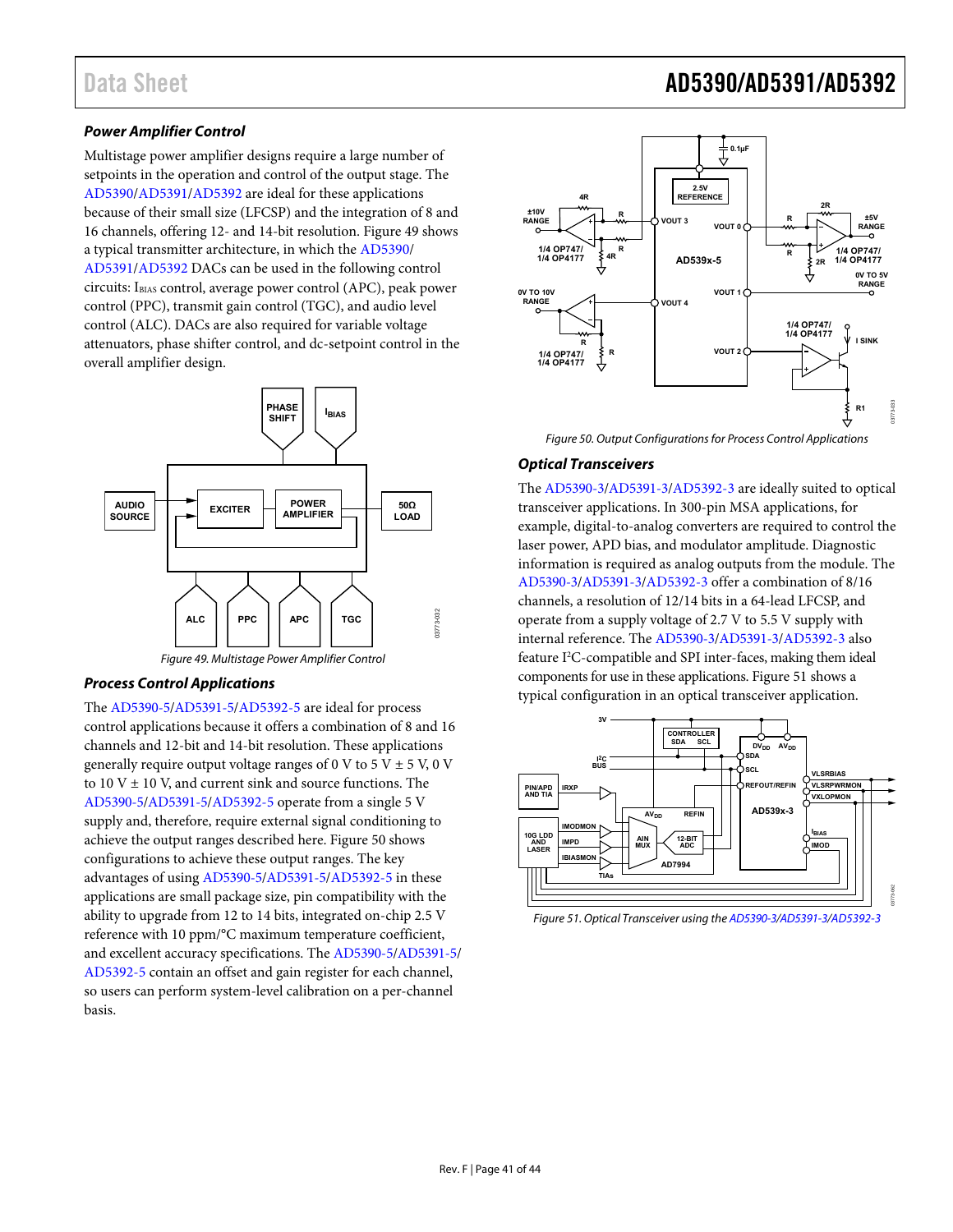#### **Power Amplifier Control**

Multistage power amplifier designs require a large number of setpoints in the operation and control of the output stage. The [AD5390/](http://www.analog.com/AD5390?doc=AD5390_5391_5392.pdf)[AD5391/](http://www.analog.com/AD5391?doc=AD5390_5391_5392.pdf)[AD5392 a](http://www.analog.com/AD5392?doc=AD5390_5391_5392.pdf)re ideal for these applications because of their small size (LFCSP) and the integration of 8 and 16 channels, offering 12- and 14-bit resolution[. Figure 49](#page-40-0) shows a typical transmitter architecture, in which th[e AD5390/](http://www.analog.com/AD5390?doc=AD5390_5391_5392.pdf) [AD5391/](http://www.analog.com/AD5391?doc=AD5390_5391_5392.pdf)[AD5392 D](http://www.analog.com/AD5392?doc=AD5390_5391_5392.pdf)ACs can be used in the following control circuits: IBIAS control, average power control (APC), peak power control (PPC), transmit gain control (TGC), and audio level control (ALC). DACs are also required for variable voltage attenuators, phase shifter control, and dc-setpoint control in the overall amplifier design.



Figure 49. Multistage Power Amplifier Control

#### <span id="page-40-0"></span>**Process Control Applications**

The [AD5390-5/](http://www.analog.com/AD5390?doc=AD5390_5391_5392.pdf)[AD5391-5](http://www.analog.com/AD5391?doc=AD5390_5391_5392.pdf)[/AD5392-5](http://www.analog.com/AD5392?doc=AD5390_5391_5392.pdf) are ideal for process control applications because it offers a combination of 8 and 16 channels and 12-bit and 14-bit resolution. These applications generally require output voltage ranges of 0 V to 5 V  $\pm$  5 V, 0 V to  $10 \text{ V} \pm 10 \text{ V}$ , and current sink and source functions. The [AD5390-5](http://www.analog.com/AD5390?doc=AD5390_5391_5392.pdf)[/AD5391-5](http://www.analog.com/AD5391?doc=AD5390_5391_5392.pdf)[/AD5392-5](http://www.analog.com/AD5392?doc=AD5390_5391_5392.pdf) operate from a single 5 V supply and, therefore, require external signal conditioning to achieve the output ranges described here. [Figure 50 s](#page-40-1)hows configurations to achieve these output ranges. The key advantages of usin[g AD5390-5](http://www.analog.com/AD5390?doc=AD5390_5391_5392.pdf)[/AD5391-5](http://www.analog.com/AD5391?doc=AD5390_5391_5392.pdf)[/AD5392-5](http://www.analog.com/AD5392?doc=AD5390_5391_5392.pdf) in these applications are small package size, pin compatibility with the ability to upgrade from 12 to 14 bits, integrated on-chip 2.5 V reference with 10 ppm/°C maximum temperature coefficient, and excellent accuracy specifications. The [AD5390-5/](http://www.analog.com/AD5390?doc=AD5390_5391_5392.pdf)[AD5391-5/](http://www.analog.com/AD5391?doc=AD5390_5391_5392.pdf) [AD5392-5](http://www.analog.com/AD5392?doc=AD5390_5391_5392.pdf) contain an offset and gain register for each channel, so users can perform system-level calibration on a per-channel basis.

# Data Sheet **AD5390/AD5391/AD5392**



Figure 50. Output Configurations for Process Control Applications

#### <span id="page-40-1"></span>**Optical Transceivers**

The [AD5390-3/](http://www.analog.com/AD5390?doc=AD5390_5391_5392.pdf)[AD5391-3/](http://www.analog.com/AD5391?doc=AD5390_5391_5392.pdf)[AD5392-3](http://www.analog.com/AD5392?doc=AD5390_5391_5392.pdf) are ideally suited to optical transceiver applications. In 300-pin MSA applications, for example, digital-to-analog converters are required to control the laser power, APD bias, and modulator amplitude. Diagnostic information is required as analog outputs from the module. The [AD5390-3](http://www.analog.com/AD5390?doc=AD5390_5391_5392.pdf)[/AD5391-3](http://www.analog.com/AD5391?doc=AD5390_5391_5392.pdf)[/AD5392-3](http://www.analog.com/AD5392?doc=AD5390_5391_5392.pdf) offer a combination of 8/16 channels, a resolution of 12/14 bits in a 64-lead LFCSP, and operate from a supply voltage of 2.7 V to 5.5 V supply with internal reference. The [AD5390-3/](http://www.analog.com/AD5390?doc=AD5390_5391_5392.pdf)[AD5391-3/](http://www.analog.com/AD5391?doc=AD5390_5391_5392.pdf)[AD5392-3](http://www.analog.com/AD5392?doc=AD5390_5391_5392.pdf) also feature I<sup>2</sup>C-compatible and SPI inter-faces, making them ideal components for use in these applications. Figure 51 shows a typical configuration in an optical transceiver application.



Figure 51. Optical Transceiver using th[e AD5390-3](http://www.analog.com/AD5390?doc=AD5390_5391_5392.pdf)[/AD5391-3](http://www.analog.com/AD5391?doc=AD5390_5391_5392.pdf)[/AD5392-3](http://www.analog.com/AD5392?doc=AD5390_5391_5392.pdf)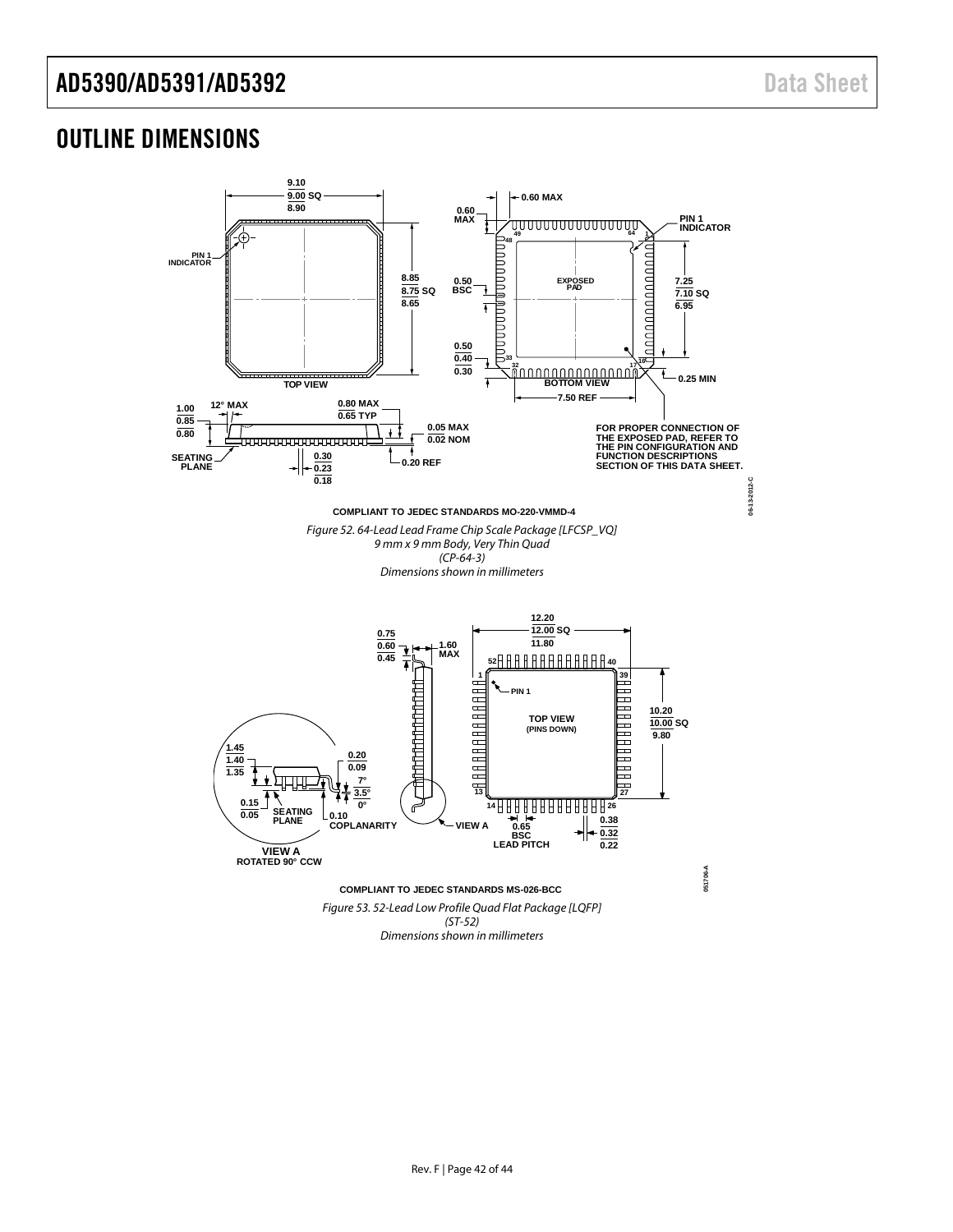### <span id="page-41-0"></span>OUTLINE DIMENSIONS

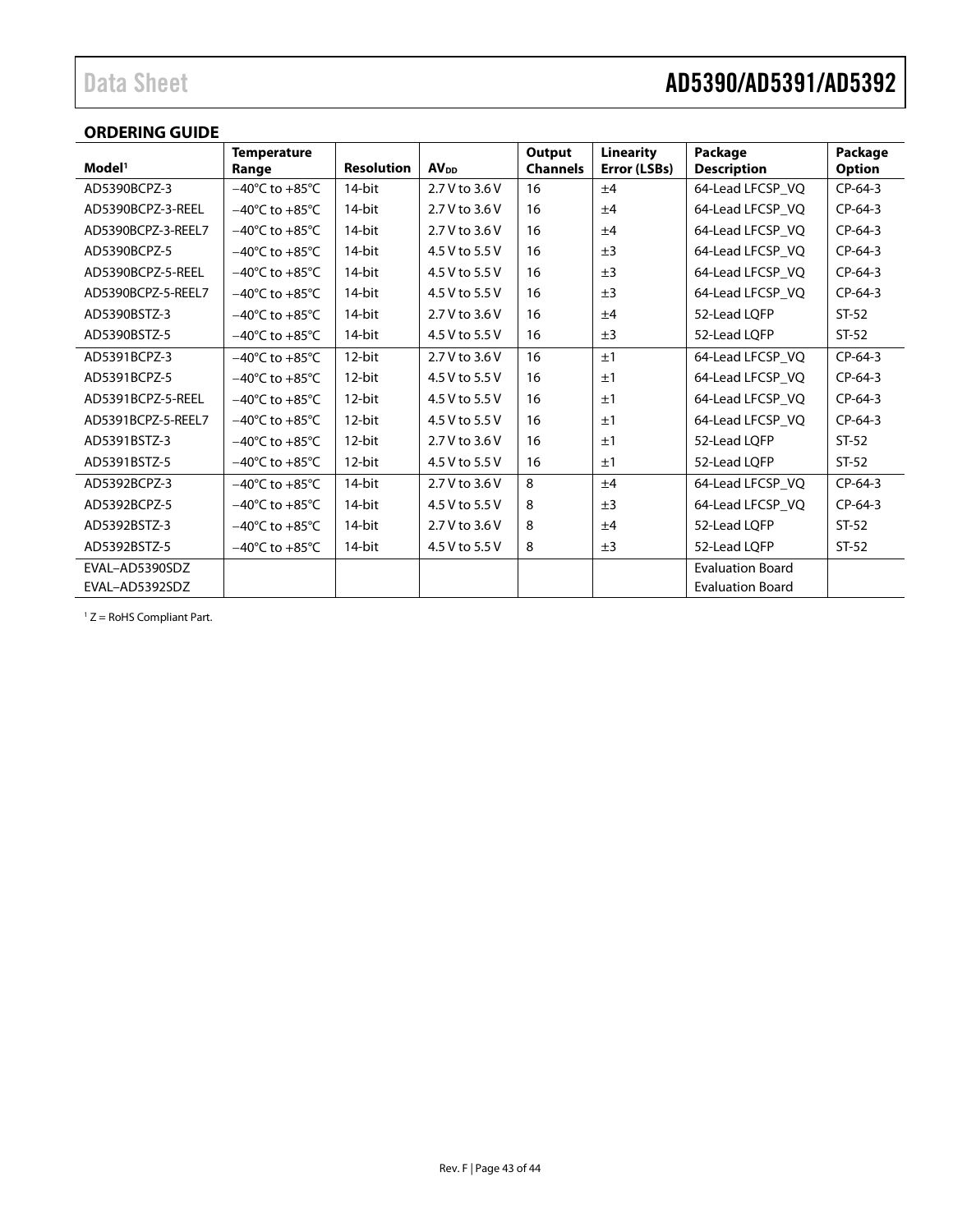## Data Sheet **AD5390/AD5391/AD5392**

### <span id="page-42-0"></span>**ORDERING GUIDE**

| Model <sup>1</sup> | <b>Temperature</b>                 | <b>Resolution</b> |                         | Output          | <b>Linearity</b> | Package                 | Package       |
|--------------------|------------------------------------|-------------------|-------------------------|-----------------|------------------|-------------------------|---------------|
|                    | Range                              |                   | <b>AV</b> <sub>DD</sub> | <b>Channels</b> | Error (LSBs)     | <b>Description</b>      | <b>Option</b> |
| AD5390BCPZ-3       | $-40^{\circ}$ C to $+85^{\circ}$ C | 14-bit            | 2.7 V to 3.6 V          | 16              | ±4               | 64-Lead LFCSP_VQ        | $CP-64-3$     |
| AD5390BCPZ-3-REEL  | $-40^{\circ}$ C to $+85^{\circ}$ C | 14-bit            | 2.7 V to 3.6 V          | 16              | ±4               | 64-Lead LFCSP_VQ        | $CP-64-3$     |
| AD5390BCPZ-3-REEL7 | $-40^{\circ}$ C to $+85^{\circ}$ C | 14-bit            | 2.7 V to 3.6 V          | 16              | ±4               | 64-Lead LFCSP_VQ        | $CP-64-3$     |
| AD5390BCPZ-5       | $-40^{\circ}$ C to $+85^{\circ}$ C | 14-bit            | 4.5 V to 5.5 V          | 16              | ±3               | 64-Lead LFCSP_VQ        | $CP-64-3$     |
| AD5390BCPZ-5-REEL  | $-40^{\circ}$ C to $+85^{\circ}$ C | 14-bit            | 4.5 V to 5.5 V          | 16              | ±3               | 64-Lead LFCSP_VQ        | $CP-64-3$     |
| AD5390BCPZ-5-REEL7 | $-40^{\circ}$ C to $+85^{\circ}$ C | 14-bit            | 4.5 V to 5.5 V          | 16              | ±3               | 64-Lead LFCSP_VQ        | $CP-64-3$     |
| AD5390BSTZ-3       | $-40^{\circ}$ C to $+85^{\circ}$ C | 14-bit            | 2.7 V to 3.6 V          | 16              | ±4               | 52-Lead LOFP            | $ST-52$       |
| AD5390BSTZ-5       | $-40^{\circ}$ C to $+85^{\circ}$ C | 14-bit            | 4.5 V to 5.5 V          | 16              | ±3               | 52-Lead LQFP            | $ST-52$       |
| AD5391BCPZ-3       | $-40^{\circ}$ C to $+85^{\circ}$ C | 12-bit            | 2.7 V to 3.6 V          | 16              | ±1               | 64-Lead LFCSP VQ        | $CP-64-3$     |
| AD5391BCPZ-5       | $-40^{\circ}$ C to $+85^{\circ}$ C | 12-bit            | 4.5 V to 5.5 V          | 16              | ±1               | 64-Lead LFCSP VQ        | $CP-64-3$     |
| AD5391BCPZ-5-REEL  | $-40^{\circ}$ C to $+85^{\circ}$ C | 12-bit            | 4.5 V to 5.5 V          | 16              | ±1               | 64-Lead LFCSP VQ        | $CP-64-3$     |
| AD5391BCPZ-5-REEL7 | $-40^{\circ}$ C to $+85^{\circ}$ C | 12-bit            | 4.5 V to 5.5 V          | 16              | ±1               | 64-Lead LFCSP VQ        | $CP-64-3$     |
| AD5391BSTZ-3       | $-40^{\circ}$ C to $+85^{\circ}$ C | 12-bit            | 2.7 V to 3.6 V          | 16              | ±1               | 52-Lead LOFP            | $ST-52$       |
| AD5391BSTZ-5       | $-40^{\circ}$ C to $+85^{\circ}$ C | 12-bit            | 4.5 V to 5.5 V          | 16              | ±1               | 52-Lead LQFP            | $ST-52$       |
| AD5392BCPZ-3       | $-40^{\circ}$ C to $+85^{\circ}$ C | 14-bit            | 2.7 V to 3.6 V          | 8               | ±4               | 64-Lead LFCSP_VQ        | $CP-64-3$     |
| AD5392BCPZ-5       | $-40^{\circ}$ C to $+85^{\circ}$ C | 14-bit            | 4.5 V to 5.5 V          | 8               | ±3               | 64-Lead LFCSP VQ        | $CP-64-3$     |
| AD5392BSTZ-3       | $-40^{\circ}$ C to $+85^{\circ}$ C | 14-bit            | 2.7 V to 3.6 V          | 8               | ±4               | 52-Lead LOFP            | $ST-52$       |
| AD5392BSTZ-5       | $-40^{\circ}$ C to $+85^{\circ}$ C | 14-bit            | 4.5 V to 5.5 V          | 8               | ±3               | 52-Lead LQFP            | $ST-52$       |
| EVAL-AD5390SDZ     |                                    |                   |                         |                 |                  | <b>Evaluation Board</b> |               |
| EVAL-AD5392SDZ     |                                    |                   |                         |                 |                  | <b>Evaluation Board</b> |               |

 $1 Z =$  RoHS Compliant Part.